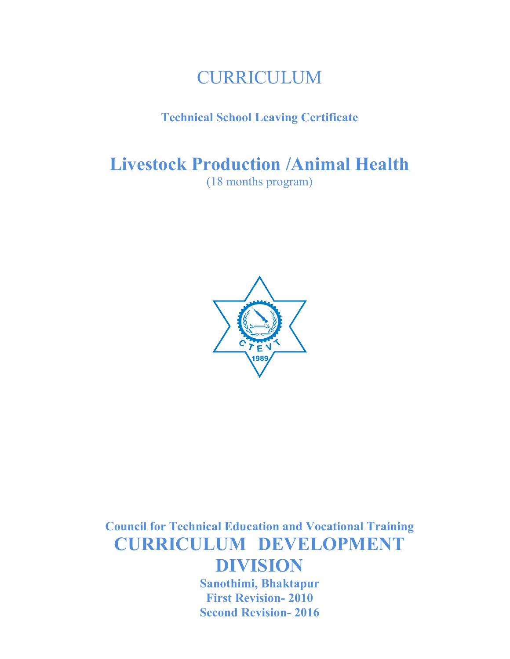# CURRICULUM

# Technical School Leaving Certificate

Livestock Production /Animal Health

(18 months program)



Council for Technical Education and Vocational Training CURRICULUM DEVELOPMENT DIVISION

> Sanothimi, Bhaktapur First Revision- 2010 Second Revision- 2016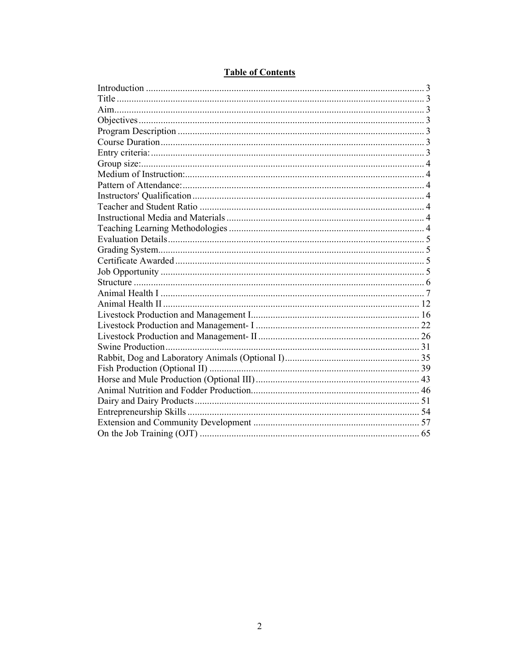# **Table of Contents**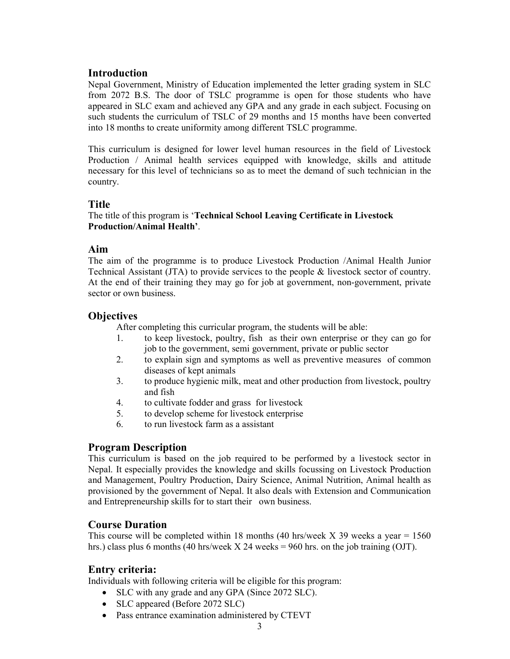# **Introduction**

Nepal Government, Ministry of Education implemented the letter grading system in SLC from 2072 B.S. The door of TSLC programme is open for those students who have appeared in SLC exam and achieved any GPA and any grade in each subject. Focusing on such students the curriculum of TSLC of 29 months and 15 months have been converted into 18 months to create uniformity among different TSLC programme.

This curriculum is designed for lower level human resources in the field of Livestock Production / Animal health services equipped with knowledge, skills and attitude necessary for this level of technicians so as to meet the demand of such technician in the country.

# Title

# The title of this program is 'Technical School Leaving Certificate in Livestock Production/Animal Health'.

# Aim

The aim of the programme is to produce Livestock Production /Animal Health Junior Technical Assistant (JTA) to provide services to the people & livestock sector of country. At the end of their training they may go for job at government, non-government, private sector or own business.

# **Objectives**

After completing this curricular program, the students will be able:

- 1. to keep livestock, poultry, fish as their own enterprise or they can go for job to the government, semi government, private or public sector
- 2. to explain sign and symptoms as well as preventive measures of common diseases of kept animals
- 3. to produce hygienic milk, meat and other production from livestock, poultry and fish
- 4. to cultivate fodder and grass for livestock
- 5. to develop scheme for livestock enterprise
- 6. to run livestock farm as a assistant

# Program Description

This curriculum is based on the job required to be performed by a livestock sector in Nepal. It especially provides the knowledge and skills focussing on Livestock Production and Management, Poultry Production, Dairy Science, Animal Nutrition, Animal health as provisioned by the government of Nepal. It also deals with Extension and Communication and Entrepreneurship skills for to start their own business.

# Course Duration

This course will be completed within 18 months (40 hrs/week X 39 weeks a year  $= 1560$ hrs.) class plus 6 months (40 hrs/week  $X$  24 weeks = 960 hrs. on the job training (OJT).

# Entry criteria:

Individuals with following criteria will be eligible for this program:

- SLC with any grade and any GPA (Since 2072 SLC).
- SLC appeared (Before 2072 SLC)
- Pass entrance examination administered by CTEVT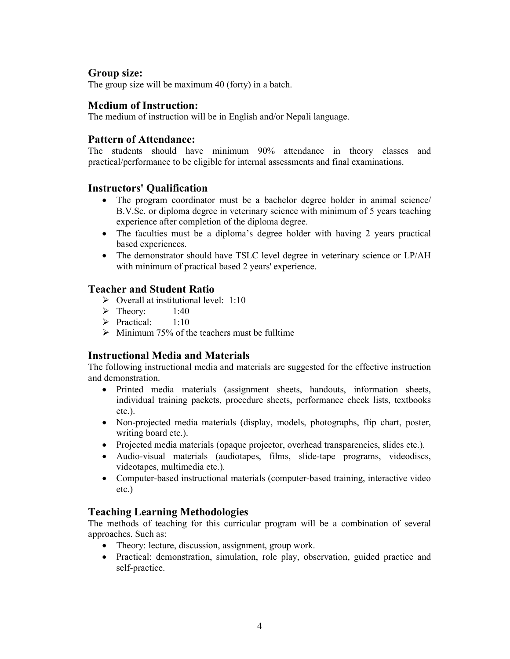# Group size:

The group size will be maximum 40 (forty) in a batch.

# Medium of Instruction:

The medium of instruction will be in English and/or Nepali language.

# Pattern of Attendance:

The students should have minimum 90% attendance in theory classes and practical/performance to be eligible for internal assessments and final examinations.

# Instructors' Qualification

- The program coordinator must be a bachelor degree holder in animal science/ B.V.Sc. or diploma degree in veterinary science with minimum of 5 years teaching experience after completion of the diploma degree.
- The faculties must be a diploma's degree holder with having 2 years practical based experiences.
- The demonstrator should have TSLC level degree in veterinary science or LP/AH with minimum of practical based 2 years' experience.

# Teacher and Student Ratio

- $\triangleright$  Overall at institutional level: 1:10
- $\triangleright$  Theory: 1:40
- $\triangleright$  Practical: 1:10
- $\triangleright$  Minimum 75% of the teachers must be fulltime

# Instructional Media and Materials

The following instructional media and materials are suggested for the effective instruction and demonstration.

- Printed media materials (assignment sheets, handouts, information sheets, individual training packets, procedure sheets, performance check lists, textbooks etc.).
- Non-projected media materials (display, models, photographs, flip chart, poster, writing board etc.).
- Projected media materials (opaque projector, overhead transparencies, slides etc.).
- Audio-visual materials (audiotapes, films, slide-tape programs, videodiscs, videotapes, multimedia etc.).
- Computer-based instructional materials (computer-based training, interactive video etc.)

# Teaching Learning Methodologies

The methods of teaching for this curricular program will be a combination of several approaches. Such as:

- Theory: lecture, discussion, assignment, group work.
- Practical: demonstration, simulation, role play, observation, guided practice and self-practice.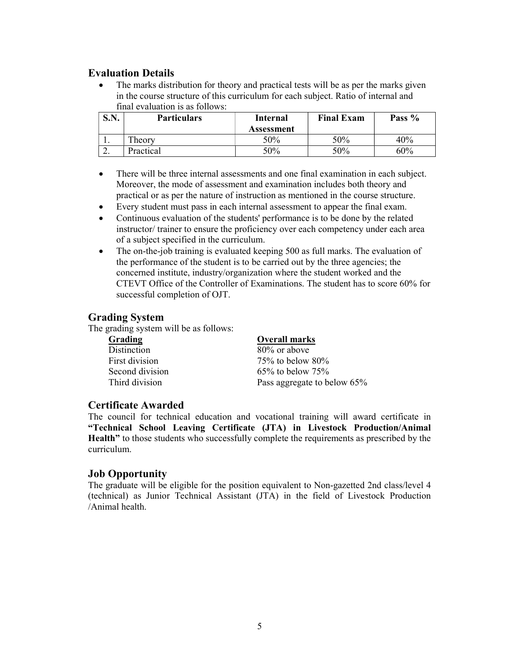# Evaluation Details

• The marks distribution for theory and practical tests will be as per the marks given in the course structure of this curriculum for each subject. Ratio of internal and final evaluation is as follows:

| $\mathbf C \mathbf N$<br>DJJ. | <b>Particulars</b> | Internal   | <b>Final Exam</b> | Pass % |
|-------------------------------|--------------------|------------|-------------------|--------|
|                               |                    | Assessment |                   |        |
| . .                           | heory              | 50%        | 50%               | 40%    |
| <u>L.</u>                     | Practical          | 50%        | 50%               | 60%    |

- There will be three internal assessments and one final examination in each subject. Moreover, the mode of assessment and examination includes both theory and practical or as per the nature of instruction as mentioned in the course structure.
- Every student must pass in each internal assessment to appear the final exam.
- Continuous evaluation of the students' performance is to be done by the related instructor/ trainer to ensure the proficiency over each competency under each area of a subject specified in the curriculum.
- The on-the-job training is evaluated keeping 500 as full marks. The evaluation of the performance of the student is to be carried out by the three agencies; the concerned institute, industry/organization where the student worked and the CTEVT Office of the Controller of Examinations. The student has to score 60% for successful completion of OJT.

# Grading System

The grading system will be as follows:

| <b>Overall marks</b>        |
|-----------------------------|
| 80% or above                |
| $75\%$ to below $80\%$      |
| $65\%$ to below $75\%$      |
| Pass aggregate to below 65% |
|                             |

# Certificate Awarded

The council for technical education and vocational training will award certificate in "Technical School Leaving Certificate (JTA) in Livestock Production/Animal Health" to those students who successfully complete the requirements as prescribed by the curriculum.

# Job Opportunity

The graduate will be eligible for the position equivalent to Non-gazetted 2nd class/level 4 (technical) as Junior Technical Assistant (JTA) in the field of Livestock Production /Animal health.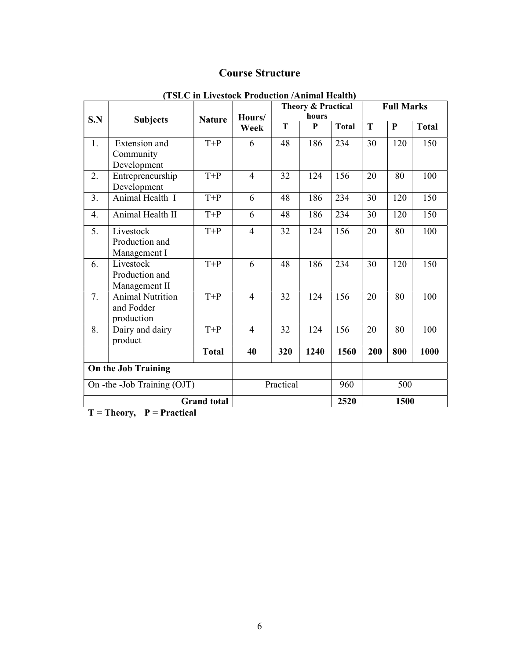# Course Structure

|                             |                                                     |               | Theory & Practical<br>hours |     |      | <b>Full Marks</b> |     |           |              |
|-----------------------------|-----------------------------------------------------|---------------|-----------------------------|-----|------|-------------------|-----|-----------|--------------|
| S.N                         | <b>Subjects</b>                                     | <b>Nature</b> | Hours/<br>Week              | T   | P    | <b>Total</b>      | T   | ${\bf P}$ | <b>Total</b> |
| 1.                          | Extension and<br>Community<br>Development           | $T+P$         | 6                           | 48  | 186  | 234               | 30  | 120       | 150          |
| 2.                          | Entrepreneurship<br>Development                     | $T+P$         | $\overline{4}$              | 32  | 124  | 156               | 20  | 80        | 100          |
| 3.                          | Animal Health I                                     | $T+P$         | 6                           | 48  | 186  | 234               | 30  | 120       | 150          |
| $\overline{4}$ .            | Animal Health II                                    | $T+P$         | 6                           | 48  | 186  | 234               | 30  | 120       | 150          |
| 5.                          | Livestock<br>Production and<br>Management I         | $T+P$         | $\overline{4}$              | 32  | 124  | 156               | 20  | 80        | 100          |
| 6.                          | Livestock<br>Production and<br>Management II        | $T+P$         | 6                           | 48  | 186  | 234               | 30  | 120       | 150          |
| 7.                          | <b>Animal Nutrition</b><br>and Fodder<br>production | $T+P$         | $\overline{4}$              | 32  | 124  | 156               | 20  | 80        | 100          |
| 8.                          | Dairy and dairy<br>product                          | $T+P$         | $\overline{4}$              | 32  | 124  | 156               | 20  | 80        | 100          |
|                             |                                                     | <b>Total</b>  | 40                          | 320 | 1240 | 1560              | 200 | 800       | 1000         |
| On the Job Training         |                                                     |               |                             |     |      |                   |     |           |              |
| On -the -Job Training (OJT) |                                                     |               | Practical                   |     | 960  |                   | 500 |           |              |
|                             | 2520<br>1500<br><b>Grand</b> total                  |               |                             |     |      |                   |     |           |              |

# (TSLC in Livestock Production /Animal Health)

 $T = Theory$ ,  $P = Practical$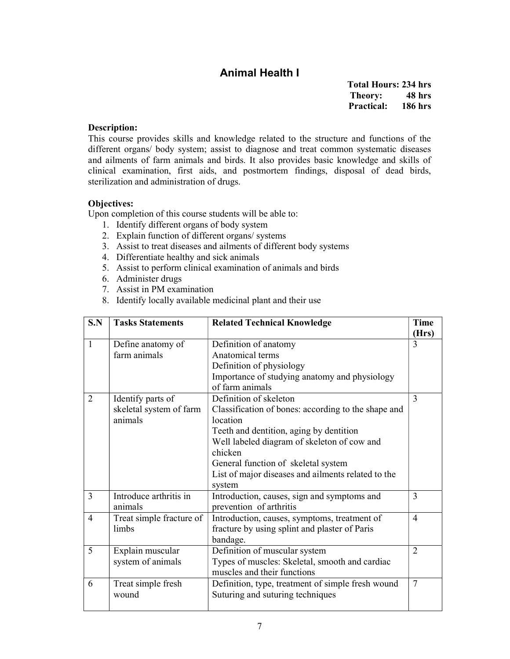# Animal Health I

Total Hours: 234 hrs Theory: 48 hrs Practical: 186 hrs

#### Description:

This course provides skills and knowledge related to the structure and functions of the different organs/ body system; assist to diagnose and treat common systematic diseases and ailments of farm animals and birds. It also provides basic knowledge and skills of clinical examination, first aids, and postmortem findings, disposal of dead birds, sterilization and administration of drugs.

#### Objectives:

- 1. Identify different organs of body system
- 2. Explain function of different organs/ systems
- 3. Assist to treat diseases and ailments of different body systems
- 4. Differentiate healthy and sick animals
- 5. Assist to perform clinical examination of animals and birds
- 6. Administer drugs
- 7. Assist in PM examination
- 8. Identify locally available medicinal plant and their use

| S.N            | <b>Tasks Statements</b>  | <b>Related Technical Knowledge</b>                  | <b>Time</b><br>(Hrs) |
|----------------|--------------------------|-----------------------------------------------------|----------------------|
| 1              | Define anatomy of        | Definition of anatomy                               | 3                    |
|                | farm animals             | Anatomical terms                                    |                      |
|                |                          | Definition of physiology                            |                      |
|                |                          | Importance of studying anatomy and physiology       |                      |
|                |                          | of farm animals                                     |                      |
| $\overline{2}$ | Identify parts of        | Definition of skeleton                              | 3                    |
|                | skeletal system of farm  | Classification of bones: according to the shape and |                      |
|                | animals                  | location                                            |                      |
|                |                          | Teeth and dentition, aging by dentition             |                      |
|                |                          | Well labeled diagram of skeleton of cow and         |                      |
|                |                          | chicken                                             |                      |
|                |                          | General function of skeletal system                 |                      |
|                |                          | List of major diseases and ailments related to the  |                      |
|                |                          | system                                              |                      |
| 3              | Introduce arthritis in   | Introduction, causes, sign and symptoms and         | 3                    |
|                | animals                  | prevention of arthritis                             |                      |
| 4              | Treat simple fracture of | Introduction, causes, symptoms, treatment of        | $\overline{4}$       |
|                | limbs                    | fracture by using splint and plaster of Paris       |                      |
|                |                          | bandage.                                            |                      |
| 5              | Explain muscular         | Definition of muscular system                       | $\overline{2}$       |
|                | system of animals        | Types of muscles: Skeletal, smooth and cardiac      |                      |
|                |                          | muscles and their functions                         |                      |
| 6              | Treat simple fresh       | Definition, type, treatment of simple fresh wound   | 7                    |
|                | wound                    | Suturing and suturing techniques                    |                      |
|                |                          |                                                     |                      |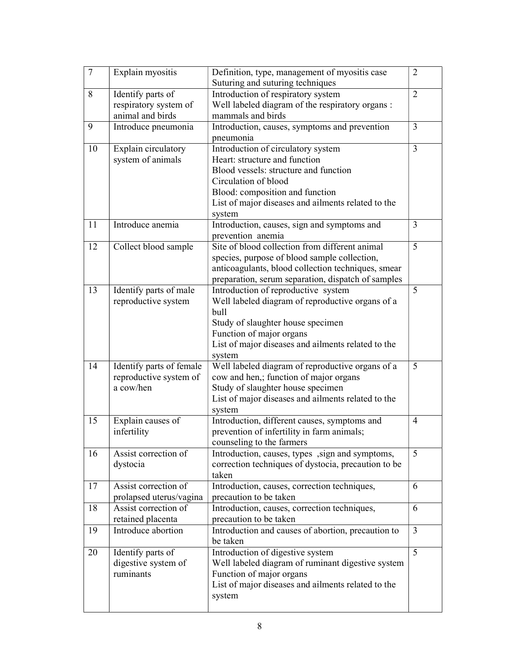| $\boldsymbol{7}$ | Explain myositis                                   | Definition, type, management of myositis case                                              | 2              |
|------------------|----------------------------------------------------|--------------------------------------------------------------------------------------------|----------------|
|                  |                                                    | Suturing and suturing techniques                                                           |                |
| 8                | Identify parts of                                  | Introduction of respiratory system                                                         | $\overline{2}$ |
|                  | respiratory system of                              | Well labeled diagram of the respiratory organs :                                           |                |
|                  | animal and birds                                   | mammals and birds                                                                          |                |
| 9                | Introduce pneumonia                                | Introduction, causes, symptoms and prevention                                              | 3              |
|                  |                                                    | pneumonia                                                                                  |                |
| 10               | Explain circulatory                                | Introduction of circulatory system                                                         | 3              |
|                  | system of animals                                  | Heart: structure and function                                                              |                |
|                  |                                                    | Blood vessels: structure and function                                                      |                |
|                  |                                                    | Circulation of blood                                                                       |                |
|                  |                                                    | Blood: composition and function                                                            |                |
|                  |                                                    | List of major diseases and ailments related to the                                         |                |
|                  |                                                    | system                                                                                     |                |
| 11               | Introduce anemia                                   | Introduction, causes, sign and symptoms and                                                | 3              |
|                  |                                                    | prevention anemia                                                                          |                |
| 12               | Collect blood sample                               | Site of blood collection from different animal                                             | 5              |
|                  |                                                    | species, purpose of blood sample collection,                                               |                |
|                  |                                                    | anticoagulants, blood collection techniques, smear                                         |                |
|                  |                                                    | preparation, serum separation, dispatch of samples                                         |                |
| 13               | Identify parts of male                             | Introduction of reproductive system                                                        | 5              |
|                  | reproductive system                                | Well labeled diagram of reproductive organs of a                                           |                |
|                  |                                                    | bull                                                                                       |                |
|                  |                                                    | Study of slaughter house specimen                                                          |                |
|                  |                                                    | Function of major organs                                                                   |                |
|                  |                                                    | List of major diseases and ailments related to the                                         |                |
| 14               |                                                    | system                                                                                     | 5              |
|                  | Identify parts of female<br>reproductive system of | Well labeled diagram of reproductive organs of a<br>cow and hen,; function of major organs |                |
|                  | a cow/hen                                          | Study of slaughter house specimen                                                          |                |
|                  |                                                    | List of major diseases and ailments related to the                                         |                |
|                  |                                                    | system                                                                                     |                |
| 15               | Explain causes of                                  | Introduction, different causes, symptoms and                                               | 4              |
|                  | infertility                                        | prevention of infertility in farm animals;                                                 |                |
|                  |                                                    | counseling to the farmers                                                                  |                |
| 16               | Assist correction of                               | Introduction, causes, types, sign and symptoms,                                            | 5              |
|                  | dystocia                                           | correction techniques of dystocia, precaution to be                                        |                |
|                  |                                                    | taken                                                                                      |                |
| 17               | Assist correction of                               | Introduction, causes, correction techniques,                                               | 6              |
|                  | prolapsed uterus/vagina                            | precaution to be taken                                                                     |                |
| 18               | Assist correction of                               | Introduction, causes, correction techniques,                                               | 6              |
|                  | retained placenta                                  | precaution to be taken                                                                     |                |
| 19               | Introduce abortion                                 | Introduction and causes of abortion, precaution to                                         | 3              |
|                  |                                                    | be taken                                                                                   |                |
| 20               | Identify parts of                                  | Introduction of digestive system                                                           | 5              |
|                  | digestive system of                                | Well labeled diagram of ruminant digestive system                                          |                |
|                  | ruminants                                          | Function of major organs                                                                   |                |
|                  |                                                    | List of major diseases and ailments related to the                                         |                |
|                  |                                                    | system                                                                                     |                |
|                  |                                                    |                                                                                            |                |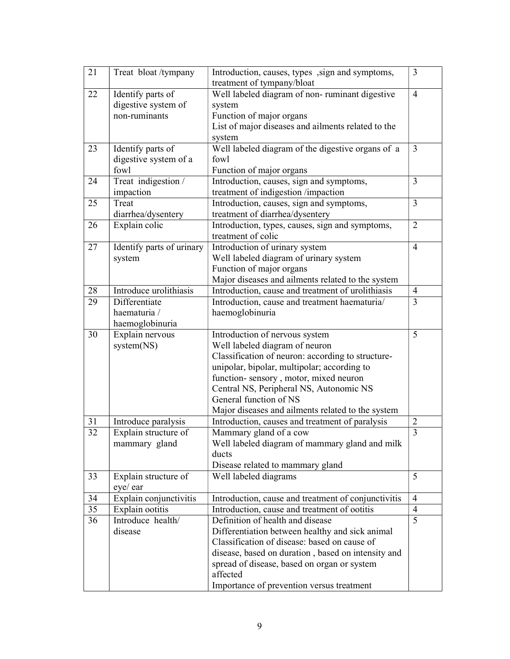| 21 | Treat bloat/tympany       | Introduction, causes, types, sign and symptoms,     | 3              |
|----|---------------------------|-----------------------------------------------------|----------------|
|    |                           | treatment of tympany/bloat                          |                |
| 22 | Identify parts of         | Well labeled diagram of non-ruminant digestive      | $\overline{4}$ |
|    | digestive system of       | system                                              |                |
|    | non-ruminants             | Function of major organs                            |                |
|    |                           | List of major diseases and ailments related to the  |                |
|    |                           | system                                              |                |
| 23 | Identify parts of         | Well labeled diagram of the digestive organs of a   | $\mathfrak{Z}$ |
|    | digestive system of a     | fowl                                                |                |
|    | fowl                      | Function of major organs                            |                |
| 24 | Treat indigestion /       | Introduction, causes, sign and symptoms,            | $\overline{3}$ |
|    | impaction                 | treatment of indigestion /impaction                 |                |
| 25 | Treat                     | Introduction, causes, sign and symptoms,            | 3              |
|    | diarrhea/dysentery        | treatment of diarrhea/dysentery                     |                |
| 26 | Explain colic             | Introduction, types, causes, sign and symptoms,     | $\overline{2}$ |
|    |                           | treatment of colic                                  |                |
| 27 | Identify parts of urinary | Introduction of urinary system                      | $\overline{4}$ |
|    | system                    | Well labeled diagram of urinary system              |                |
|    |                           | Function of major organs                            |                |
|    |                           | Major diseases and ailments related to the system   |                |
| 28 | Introduce urolithiasis    | Introduction, cause and treatment of urolithiasis   | $\overline{4}$ |
| 29 | Differentiate             | Introduction, cause and treatment haematuria/       | 3              |
|    | haematuria /              | haemoglobinuria                                     |                |
|    | haemoglobinuria           |                                                     |                |
| 30 | Explain nervous           | Introduction of nervous system                      | 5              |
|    | system(NS)                | Well labeled diagram of neuron                      |                |
|    |                           | Classification of neuron: according to structure-   |                |
|    |                           | unipolar, bipolar, multipolar; according to         |                |
|    |                           | function-sensory, motor, mixed neuron               |                |
|    |                           | Central NS, Peripheral NS, Autonomic NS             |                |
|    |                           | General function of NS                              |                |
|    |                           | Major diseases and ailments related to the system   |                |
| 31 | Introduce paralysis       | Introduction, causes and treatment of paralysis     | $\overline{2}$ |
| 32 | Explain structure of      | Mammary gland of a cow                              | 3              |
|    | mammary gland             | Well labeled diagram of mammary gland and milk      |                |
|    |                           | ducts                                               |                |
|    |                           | Disease related to mammary gland                    |                |
| 33 | Explain structure of      | Well labeled diagrams                               | 5              |
|    | eye/ ear                  |                                                     |                |
| 34 | Explain conjunctivitis    | Introduction, cause and treatment of conjunctivitis | 4              |
| 35 | Explain ootitis           | Introduction, cause and treatment of ootitis        | $\overline{4}$ |
| 36 | Introduce health/         | Definition of health and disease                    | 5              |
|    | disease                   | Differentiation between healthy and sick animal     |                |
|    |                           | Classification of disease: based on cause of        |                |
|    |                           | disease, based on duration, based on intensity and  |                |
|    |                           | spread of disease, based on organ or system         |                |
|    |                           | affected                                            |                |
|    |                           | Importance of prevention versus treatment           |                |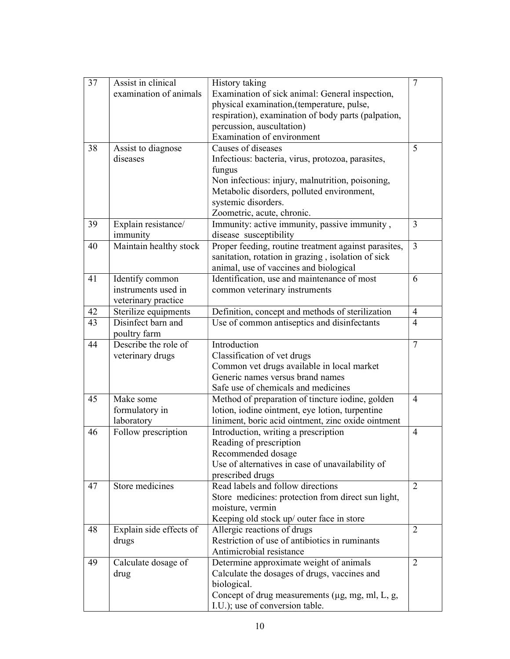| 37 | Assist in clinical      | History taking                                       | $\tau$         |
|----|-------------------------|------------------------------------------------------|----------------|
|    | examination of animals  | Examination of sick animal: General inspection,      |                |
|    |                         | physical examination, (temperature, pulse,           |                |
|    |                         | respiration), examination of body parts (palpation,  |                |
|    |                         | percussion, auscultation)                            |                |
|    |                         | Examination of environment                           |                |
| 38 | Assist to diagnose      | Causes of diseases                                   | 5              |
|    | diseases                | Infectious: bacteria, virus, protozoa, parasites,    |                |
|    |                         | fungus                                               |                |
|    |                         | Non infectious: injury, malnutrition, poisoning,     |                |
|    |                         | Metabolic disorders, polluted environment,           |                |
|    |                         | systemic disorders.                                  |                |
|    |                         | Zoometric, acute, chronic.                           |                |
| 39 | Explain resistance/     | Immunity: active immunity, passive immunity,         | $\overline{3}$ |
|    | immunity                | disease susceptibility                               |                |
| 40 | Maintain healthy stock  | Proper feeding, routine treatment against parasites, | $\overline{3}$ |
|    |                         | sanitation, rotation in grazing, isolation of sick   |                |
|    |                         | animal, use of vaccines and biological               |                |
| 41 | Identify common         | Identification, use and maintenance of most          | 6              |
|    | instruments used in     | common veterinary instruments                        |                |
|    | veterinary practice     |                                                      |                |
| 42 | Sterilize equipments    | Definition, concept and methods of sterilization     | $\overline{4}$ |
| 43 | Disinfect barn and      | Use of common antiseptics and disinfectants          | 4              |
|    | poultry farm            |                                                      |                |
| 44 | Describe the role of    | Introduction                                         | 7              |
|    | veterinary drugs        | Classification of vet drugs                          |                |
|    |                         | Common vet drugs available in local market           |                |
|    |                         | Generic names versus brand names                     |                |
|    |                         | Safe use of chemicals and medicines                  |                |
| 45 | Make some               | Method of preparation of tincture iodine, golden     | 4              |
|    | formulatory in          | lotion, iodine ointment, eye lotion, turpentine      |                |
|    | laboratory              | liniment, boric acid ointment, zinc oxide ointment   |                |
| 46 | Follow prescription     | Introduction, writing a prescription                 | 4              |
|    |                         | Reading of prescription                              |                |
|    |                         | Recommended dosage                                   |                |
|    |                         | Use of alternatives in case of unavailability of     |                |
|    |                         | prescribed drugs                                     |                |
| 47 | Store medicines         | Read labels and follow directions                    | 2              |
|    |                         | Store medicines: protection from direct sun light,   |                |
|    |                         | moisture, vermin                                     |                |
|    |                         | Keeping old stock up/ outer face in store            |                |
| 48 | Explain side effects of | Allergic reactions of drugs                          | 2              |
|    | drugs                   | Restriction of use of antibiotics in ruminants       |                |
|    |                         | Antimicrobial resistance                             |                |
| 49 | Calculate dosage of     | Determine approximate weight of animals              | 2              |
|    | drug                    | Calculate the dosages of drugs, vaccines and         |                |
|    |                         | biological.                                          |                |
|    |                         | Concept of drug measurements (µg, mg, ml, L, g,      |                |
|    |                         | I.U.); use of conversion table.                      |                |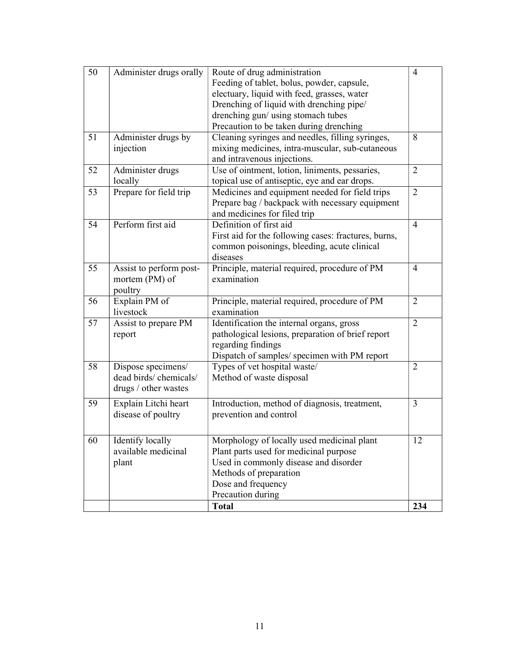|    |                                                      | <b>Total</b>                                                                                                                       | 234            |
|----|------------------------------------------------------|------------------------------------------------------------------------------------------------------------------------------------|----------------|
|    |                                                      | Dose and frequency<br>Precaution during                                                                                            |                |
|    |                                                      | Methods of preparation                                                                                                             |                |
|    | plant                                                | Used in commonly disease and disorder                                                                                              |                |
| 60 | Identify locally<br>available medicinal              | Morphology of locally used medicinal plant<br>Plant parts used for medicinal purpose                                               | 12             |
| 59 | Explain Litchi heart<br>disease of poultry           | Introduction, method of diagnosis, treatment,<br>prevention and control                                                            | 3              |
|    | dead birds/ chemicals/<br>drugs / other wastes       | Method of waste disposal                                                                                                           |                |
| 58 | Dispose specimens/                                   | Dispatch of samples/ specimen with PM report<br>Types of vet hospital waste/                                                       | 2              |
|    | report                                               | pathological lesions, preparation of brief report<br>regarding findings                                                            |                |
| 57 | livestock<br>Assist to prepare PM                    | examination<br>Identification the internal organs, gross                                                                           | $\overline{2}$ |
| 56 | Explain PM of                                        | Principle, material required, procedure of PM                                                                                      | 2              |
| 55 | Assist to perform post-<br>mortem (PM) of<br>poultry | Principle, material required, procedure of PM<br>examination                                                                       | $\overline{4}$ |
|    |                                                      | First aid for the following cases: fractures, burns,<br>common poisonings, bleeding, acute clinical<br>diseases                    |                |
| 54 | Perform first aid                                    | Prepare bag / backpack with necessary equipment<br>and medicines for filed trip<br>Definition of first aid                         | $\overline{4}$ |
| 53 | Prepare for field trip                               | Medicines and equipment needed for field trips                                                                                     | $\overline{2}$ |
| 52 | Administer drugs<br>locally                          | Use of ointment, lotion, liniments, pessaries,<br>topical use of antiseptic, eye and ear drops.                                    | $\overline{2}$ |
| 51 | Administer drugs by<br>injection                     | Cleaning syringes and needles, filling syringes,<br>mixing medicines, intra-muscular, sub-cutaneous<br>and intravenous injections. | 8              |
|    |                                                      | Drenching of liquid with drenching pipe/<br>drenching gun/ using stomach tubes<br>Precaution to be taken during drenching          |                |
|    |                                                      | Feeding of tablet, bolus, powder, capsule,<br>electuary, liquid with feed, grasses, water                                          |                |
| 50 | Administer drugs orally                              | Route of drug administration                                                                                                       | $\overline{4}$ |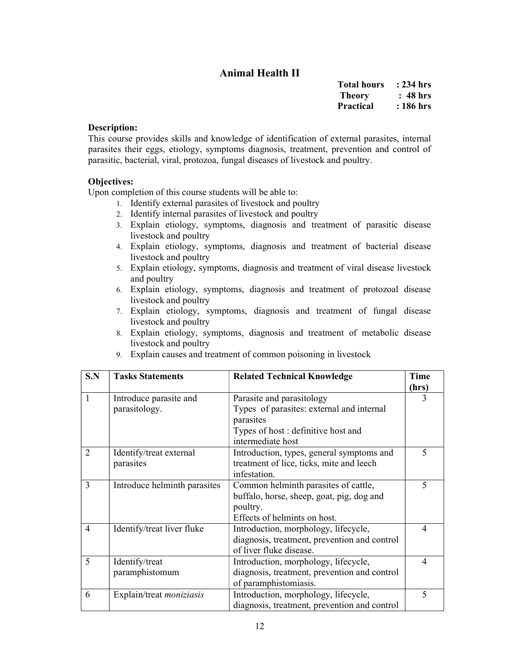# Animal Health II

| <b>Total hours</b> | : 234 hrs |
|--------------------|-----------|
| Theory             | : 48 hrs  |
| <b>Practical</b>   | : 186 hrs |

#### Description:

This course provides skills and knowledge of identification of external parasites, internal parasites their eggs, etiology, symptoms diagnosis, treatment, prevention and control of parasitic, bacterial, viral, protozoa, fungal diseases of livestock and poultry.

#### Objectives:

- 1. Identify external parasites of livestock and poultry
- 2. Identify internal parasites of livestock and poultry
- 3. Explain etiology, symptoms, diagnosis and treatment of parasitic disease livestock and poultry
- 4. Explain etiology, symptoms, diagnosis and treatment of bacterial disease livestock and poultry
- 5. Explain etiology, symptoms, diagnosis and treatment of viral disease livestock and poultry
- 6. Explain etiology, symptoms, diagnosis and treatment of protozoal disease livestock and poultry
- 7. Explain etiology, symptoms, diagnosis and treatment of fungal disease livestock and poultry
- 8. Explain etiology, symptoms, diagnosis and treatment of metabolic disease livestock and poultry
- 9. Explain causes and treatment of common poisoning in livestock

| S.N          | <b>Tasks Statements</b>         | <b>Related Technical Knowledge</b>           | Time                     |
|--------------|---------------------------------|----------------------------------------------|--------------------------|
|              |                                 |                                              | (hrs)                    |
| $\mathbf{1}$ | Introduce parasite and          | Parasite and parasitology                    | 3                        |
|              | parasitology.                   | Types of parasites: external and internal    |                          |
|              |                                 | parasites                                    |                          |
|              |                                 | Types of host: definitive host and           |                          |
|              |                                 | intermediate host                            |                          |
| 2            | Identify/treat external         | Introduction, types, general symptoms and    | $\overline{\mathcal{L}}$ |
|              | parasites                       | treatment of lice, ticks, mite and leech     |                          |
|              |                                 | infestation.                                 |                          |
| 3            | Introduce helminth parasites    | Common helminth parasites of cattle,         | 5                        |
|              |                                 | buffalo, horse, sheep, goat, pig, dog and    |                          |
|              |                                 | poultry.                                     |                          |
|              |                                 | Effects of helmints on host.                 |                          |
| 4            | Identify/treat liver fluke      | Introduction, morphology, lifecycle,         | $\overline{4}$           |
|              |                                 | diagnosis, treatment, prevention and control |                          |
|              |                                 | of liver fluke disease.                      |                          |
| 5            | Identify/treat                  | Introduction, morphology, lifecycle,         | $\overline{\mathcal{A}}$ |
|              | paramphistomum                  | diagnosis, treatment, prevention and control |                          |
|              |                                 | of paramphistomiasis.                        |                          |
| 6            | Explain/treat <i>moniziasis</i> | Introduction, morphology, lifecycle,         | $\overline{5}$           |
|              |                                 | diagnosis, treatment, prevention and control |                          |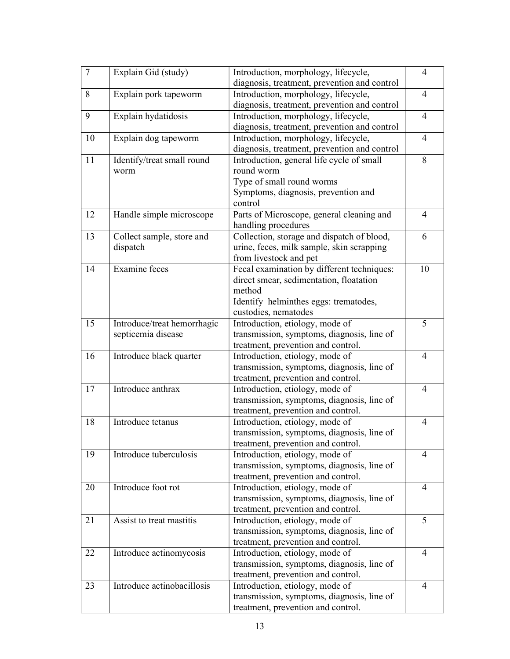| 7  | Explain Gid (study)         | Introduction, morphology, lifecycle,         | $\overline{4}$ |
|----|-----------------------------|----------------------------------------------|----------------|
|    |                             | diagnosis, treatment, prevention and control |                |
| 8  | Explain pork tapeworm       | Introduction, morphology, lifecycle,         | $\overline{4}$ |
|    |                             | diagnosis, treatment, prevention and control |                |
| 9  | Explain hydatidosis         | Introduction, morphology, lifecycle,         | $\overline{4}$ |
|    |                             | diagnosis, treatment, prevention and control |                |
| 10 | Explain dog tapeworm        | Introduction, morphology, lifecycle,         | $\overline{4}$ |
|    |                             | diagnosis, treatment, prevention and control |                |
| 11 | Identify/treat small round  | Introduction, general life cycle of small    | 8              |
|    | worm                        | round worm                                   |                |
|    |                             | Type of small round worms                    |                |
|    |                             | Symptoms, diagnosis, prevention and          |                |
|    |                             | control                                      |                |
| 12 | Handle simple microscope    | Parts of Microscope, general cleaning and    | $\overline{4}$ |
|    |                             | handling procedures                          |                |
| 13 | Collect sample, store and   | Collection, storage and dispatch of blood,   | 6              |
|    | dispatch                    | urine, feces, milk sample, skin scrapping    |                |
|    |                             | from livestock and pet                       |                |
| 14 | <b>Examine</b> feces        | Fecal examination by different techniques:   | 10             |
|    |                             | direct smear, sedimentation, floatation      |                |
|    |                             | method                                       |                |
|    |                             | Identify helminthes eggs: trematodes,        |                |
|    |                             | custodies, nematodes                         |                |
| 15 | Introduce/treat hemorrhagic | Introduction, etiology, mode of              | 5              |
|    | septicemia disease          | transmission, symptoms, diagnosis, line of   |                |
|    |                             | treatment, prevention and control.           |                |
| 16 | Introduce black quarter     | Introduction, etiology, mode of              | $\overline{4}$ |
|    |                             | transmission, symptoms, diagnosis, line of   |                |
|    |                             | treatment, prevention and control.           |                |
| 17 | Introduce anthrax           | Introduction, etiology, mode of              | $\overline{4}$ |
|    |                             | transmission, symptoms, diagnosis, line of   |                |
|    |                             | treatment, prevention and control.           |                |
| 18 | Introduce tetanus           | Introduction, etiology, mode of              | 4              |
|    |                             | transmission, symptoms, diagnosis, line of   |                |
|    |                             | treatment, prevention and control.           |                |
| 19 | Introduce tuberculosis      | Introduction, etiology, mode of              | $\overline{4}$ |
|    |                             | transmission, symptoms, diagnosis, line of   |                |
|    |                             | treatment, prevention and control.           |                |
| 20 | Introduce foot rot          | Introduction, etiology, mode of              | $\overline{4}$ |
|    |                             | transmission, symptoms, diagnosis, line of   |                |
|    |                             | treatment, prevention and control.           |                |
| 21 | Assist to treat mastitis    | Introduction, etiology, mode of              | 5              |
|    |                             | transmission, symptoms, diagnosis, line of   |                |
|    |                             | treatment, prevention and control.           |                |
| 22 | Introduce actinomycosis     | Introduction, etiology, mode of              | $\overline{4}$ |
|    |                             | transmission, symptoms, diagnosis, line of   |                |
|    |                             | treatment, prevention and control.           |                |
| 23 | Introduce actinobacillosis  | Introduction, etiology, mode of              | $\overline{4}$ |
|    |                             | transmission, symptoms, diagnosis, line of   |                |
|    |                             | treatment, prevention and control.           |                |
|    |                             |                                              |                |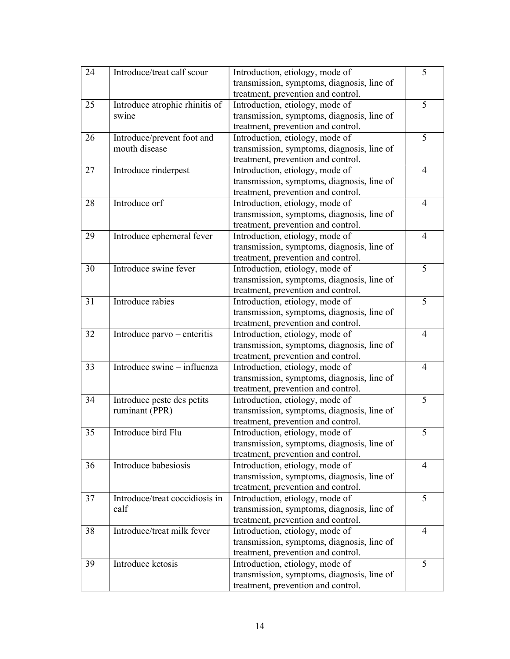| 24 | Introduce/treat calf scour     | Introduction, etiology, mode of            | 5              |
|----|--------------------------------|--------------------------------------------|----------------|
|    |                                | transmission, symptoms, diagnosis, line of |                |
|    |                                | treatment, prevention and control.         |                |
| 25 | Introduce atrophic rhinitis of | Introduction, etiology, mode of            | 5              |
|    | swine                          | transmission, symptoms, diagnosis, line of |                |
|    |                                | treatment, prevention and control.         |                |
| 26 | Introduce/prevent foot and     | Introduction, etiology, mode of            | 5              |
|    | mouth disease                  | transmission, symptoms, diagnosis, line of |                |
|    |                                | treatment, prevention and control.         |                |
| 27 | Introduce rinderpest           | Introduction, etiology, mode of            | $\overline{4}$ |
|    |                                | transmission, symptoms, diagnosis, line of |                |
|    |                                | treatment, prevention and control.         |                |
| 28 | Introduce orf                  | Introduction, etiology, mode of            | $\overline{4}$ |
|    |                                | transmission, symptoms, diagnosis, line of |                |
|    |                                | treatment, prevention and control.         |                |
| 29 | Introduce ephemeral fever      | Introduction, etiology, mode of            | $\overline{4}$ |
|    |                                | transmission, symptoms, diagnosis, line of |                |
|    |                                | treatment, prevention and control.         |                |
| 30 | Introduce swine fever          | Introduction, etiology, mode of            | 5              |
|    |                                | transmission, symptoms, diagnosis, line of |                |
|    |                                | treatment, prevention and control.         |                |
| 31 | Introduce rabies               | Introduction, etiology, mode of            | $\overline{5}$ |
|    |                                | transmission, symptoms, diagnosis, line of |                |
|    |                                | treatment, prevention and control.         |                |
| 32 | Introduce parvo – enteritis    | Introduction, etiology, mode of            | $\overline{4}$ |
|    |                                | transmission, symptoms, diagnosis, line of |                |
|    |                                | treatment, prevention and control.         |                |
| 33 | Introduce swine - influenza    | Introduction, etiology, mode of            | $\overline{4}$ |
|    |                                | transmission, symptoms, diagnosis, line of |                |
|    |                                | treatment, prevention and control.         |                |
| 34 | Introduce peste des petits     | Introduction, etiology, mode of            | 5              |
|    | ruminant (PPR)                 | transmission, symptoms, diagnosis, line of |                |
|    |                                | treatment, prevention and control.         |                |
| 35 | Introduce bird Flu             | Introduction, etiology, mode of            | 5              |
|    |                                | transmission, symptoms, diagnosis, line of |                |
|    |                                | treatment, prevention and control.         |                |
| 36 | Introduce babesiosis           | Introduction, etiology, mode of            | 4              |
|    |                                | transmission, symptoms, diagnosis, line of |                |
|    |                                | treatment, prevention and control.         |                |
| 37 | Introduce/treat coccidiosis in | Introduction, etiology, mode of            | 5              |
|    | calf                           | transmission, symptoms, diagnosis, line of |                |
|    |                                | treatment, prevention and control.         |                |
| 38 | Introduce/treat milk fever     | Introduction, etiology, mode of            | $\overline{4}$ |
|    |                                | transmission, symptoms, diagnosis, line of |                |
|    |                                | treatment, prevention and control.         |                |
| 39 | Introduce ketosis              | Introduction, etiology, mode of            | 5              |
|    |                                | transmission, symptoms, diagnosis, line of |                |
|    |                                | treatment, prevention and control.         |                |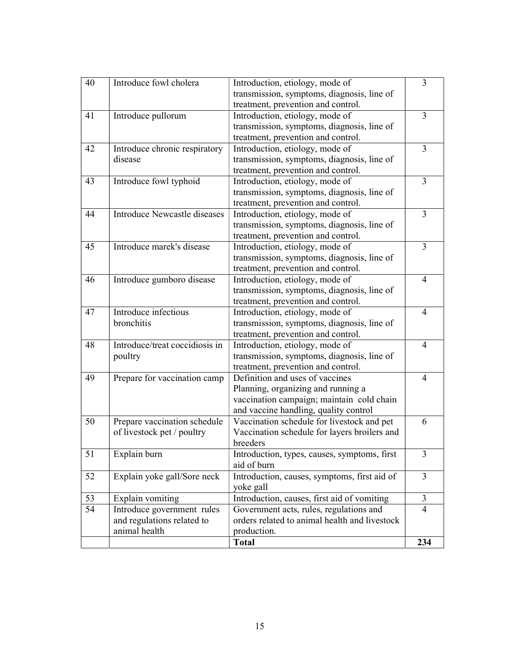| 40 | Introduce fowl cholera         | Introduction, etiology, mode of               | 3              |
|----|--------------------------------|-----------------------------------------------|----------------|
|    |                                | transmission, symptoms, diagnosis, line of    |                |
|    |                                | treatment, prevention and control.            |                |
| 41 | Introduce pullorum             | Introduction, etiology, mode of               | 3              |
|    |                                | transmission, symptoms, diagnosis, line of    |                |
|    |                                | treatment, prevention and control.            |                |
| 42 | Introduce chronic respiratory  | Introduction, etiology, mode of               | 3              |
|    | disease                        | transmission, symptoms, diagnosis, line of    |                |
|    |                                | treatment, prevention and control.            |                |
| 43 | Introduce fowl typhoid         | Introduction, etiology, mode of               | $\overline{3}$ |
|    |                                | transmission, symptoms, diagnosis, line of    |                |
|    |                                | treatment, prevention and control.            |                |
| 44 | Introduce Newcastle diseases   | Introduction, etiology, mode of               | $\overline{3}$ |
|    |                                | transmission, symptoms, diagnosis, line of    |                |
|    |                                | treatment, prevention and control.            |                |
| 45 | Introduce marek's disease      | Introduction, etiology, mode of               | 3              |
|    |                                | transmission, symptoms, diagnosis, line of    |                |
|    |                                | treatment, prevention and control.            |                |
| 46 | Introduce gumboro disease      | Introduction, etiology, mode of               | $\overline{4}$ |
|    |                                | transmission, symptoms, diagnosis, line of    |                |
|    |                                | treatment, prevention and control.            |                |
| 47 | Introduce infectious           | Introduction, etiology, mode of               | $\overline{4}$ |
|    | bronchitis                     | transmission, symptoms, diagnosis, line of    |                |
|    |                                | treatment, prevention and control.            |                |
| 48 | Introduce/treat coccidiosis in | Introduction, etiology, mode of               | $\overline{4}$ |
|    | poultry                        | transmission, symptoms, diagnosis, line of    |                |
|    |                                | treatment, prevention and control.            |                |
| 49 | Prepare for vaccination camp   | Definition and uses of vaccines               | $\overline{4}$ |
|    |                                | Planning, organizing and running a            |                |
|    |                                | vaccination campaign; maintain cold chain     |                |
|    |                                | and vaccine handling, quality control         |                |
| 50 | Prepare vaccination schedule   | Vaccination schedule for livestock and pet    | 6              |
|    | of livestock pet / poultry     | Vaccination schedule for layers broilers and  |                |
|    |                                | breeders                                      |                |
| 51 | Explain burn                   | Introduction, types, causes, symptoms, first  | 3              |
|    |                                | aid of burn                                   |                |
| 52 | Explain yoke gall/Sore neck    | Introduction, causes, symptoms, first aid of  | $\overline{3}$ |
|    |                                | yoke gall                                     |                |
| 53 | Explain vomiting               | Introduction, causes, first aid of vomiting   | 3              |
| 54 | Introduce government rules     | Government acts, rules, regulations and       | $\overline{4}$ |
|    | and regulations related to     | orders related to animal health and livestock |                |
|    | animal health                  | production.                                   |                |
|    |                                | <b>Total</b>                                  | 234            |
|    |                                |                                               |                |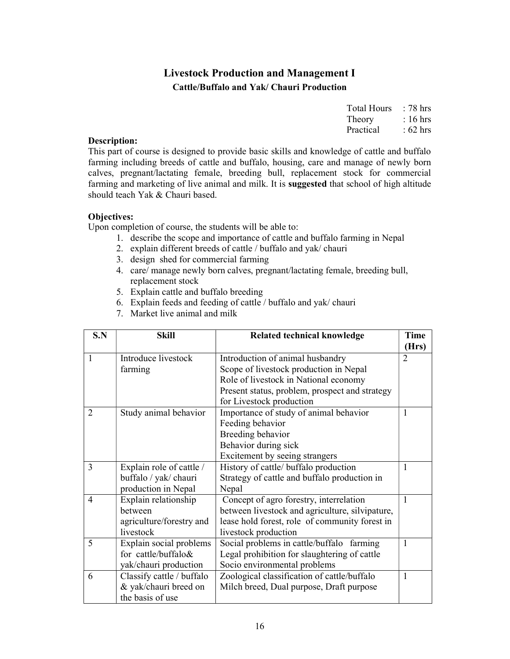# Livestock Production and Management I Cattle/Buffalo and Yak/ Chauri Production

| <b>Total Hours</b> | : 78 hrs           |
|--------------------|--------------------|
| Theory             | $: 16 \text{ hrs}$ |
| Practical          | $:62$ hrs          |

#### Description:

This part of course is designed to provide basic skills and knowledge of cattle and buffalo farming including breeds of cattle and buffalo, housing, care and manage of newly born calves, pregnant/lactating female, breeding bull, replacement stock for commercial farming and marketing of live animal and milk. It is suggested that school of high altitude should teach Yak & Chauri based.

#### Objectives:

- 1. describe the scope and importance of cattle and buffalo farming in Nepal
- 2. explain different breeds of cattle / buffalo and yak/ chauri
- 3. design shed for commercial farming
- 4. care/ manage newly born calves, pregnant/lactating female, breeding bull, replacement stock
- 5. Explain cattle and buffalo breeding
- 6. Explain feeds and feeding of cattle / buffalo and yak/ chauri
- 7. Market live animal and milk

| S.N            | <b>Skill</b>              | Related technical knowledge                     | <b>Time</b>    |
|----------------|---------------------------|-------------------------------------------------|----------------|
|                |                           |                                                 | (Hrs)          |
| $\mathbf{1}$   | Introduce livestock       | Introduction of animal husbandry                | $\overline{2}$ |
|                | farming                   | Scope of livestock production in Nepal          |                |
|                |                           | Role of livestock in National economy           |                |
|                |                           | Present status, problem, prospect and strategy  |                |
|                |                           | for Livestock production                        |                |
| 2              | Study animal behavior     | Importance of study of animal behavior          | 1              |
|                |                           | Feeding behavior                                |                |
|                |                           | Breeding behavior                               |                |
|                |                           | Behavior during sick                            |                |
|                |                           | Excitement by seeing strangers                  |                |
| 3              | Explain role of cattle /  | History of cattle/ buffalo production           | 1              |
|                | buffalo / yak/ chauri     | Strategy of cattle and buffalo production in    |                |
|                | production in Nepal       | Nepal                                           |                |
| $\overline{4}$ | Explain relationship      | Concept of agro forestry, interrelation         | 1              |
|                | between                   | between livestock and agriculture, silvipature, |                |
|                | agriculture/forestry and  | lease hold forest, role of community forest in  |                |
|                | livestock                 | livestock production                            |                |
| 5              | Explain social problems   | Social problems in cattle/buffalo farming       | 1              |
|                | for cattle/buffalo&       | Legal prohibition for slaughtering of cattle    |                |
|                | yak/chauri production     | Socio environmental problems                    |                |
| 6              | Classify cattle / buffalo | Zoological classification of cattle/buffalo     | 1              |
|                | & yak/chauri breed on     | Milch breed, Dual purpose, Draft purpose        |                |
|                | the basis of use          |                                                 |                |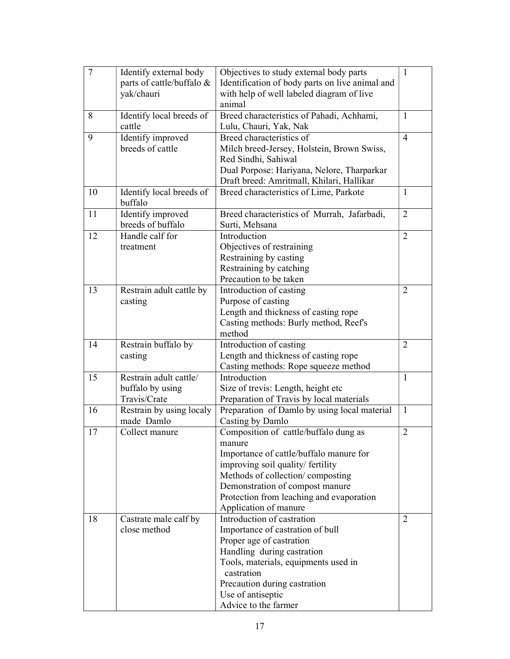| $\overline{7}$ | Identify external body    | Objectives to study external body parts         | $\mathbf{1}$   |
|----------------|---------------------------|-------------------------------------------------|----------------|
|                | parts of cattle/buffalo & | Identification of body parts on live animal and |                |
|                | yak/chauri                | with help of well labeled diagram of live       |                |
|                |                           | animal                                          |                |
| 8              | Identify local breeds of  | Breed characteristics of Pahadi, Achhami,       | 1              |
|                | cattle                    | Lulu, Chauri, Yak, Nak                          |                |
| 9              | Identify improved         | Breed characteristics of                        | $\overline{4}$ |
|                | breeds of cattle          | Milch breed-Jersey, Holstein, Brown Swiss,      |                |
|                |                           | Red Sindhi, Sahiwal                             |                |
|                |                           | Dual Porpose: Hariyana, Nelore, Tharparkar      |                |
|                |                           | Draft breed: Amritmall, Khilari, Hallikar       |                |
| 10             | Identify local breeds of  | Breed characteristics of Lime, Parkote          | 1              |
|                | buffalo                   |                                                 |                |
| 11             | Identify improved         | Breed characteristics of Murrah, Jafarbadi,     | $\overline{2}$ |
|                | breeds of buffalo         | Surti, Mehsana                                  |                |
| 12             | Handle calf for           | Introduction                                    | $\overline{2}$ |
|                | treatment                 | Objectives of restraining                       |                |
|                |                           | Restraining by casting                          |                |
|                |                           | Restraining by catching                         |                |
|                |                           | Precaution to be taken                          |                |
| 13             | Restrain adult cattle by  | Introduction of casting                         | $\overline{2}$ |
|                | casting                   | Purpose of casting                              |                |
|                |                           | Length and thickness of casting rope            |                |
|                |                           | Casting methods: Burly method, Reef's           |                |
|                |                           | method                                          |                |
| 14             | Restrain buffalo by       | Introduction of casting                         | $\overline{2}$ |
|                | casting                   | Length and thickness of casting rope            |                |
|                |                           | Casting methods: Rope squeeze method            |                |
| 15             | Restrain adult cattle/    | Introduction                                    | $\mathbf{1}$   |
|                | buffalo by using          | Size of trevis: Length, height etc              |                |
|                | Travis/Crate              | Preparation of Travis by local materials        |                |
| 16             | Restrain by using localy  | Preparation of Damlo by using local material    | $\mathbf{1}$   |
|                | made Damlo                | Casting by Damlo                                |                |
| 17             | Collect manure            | Composition of cattle/buffalo dung as           | $\overline{2}$ |
|                |                           | manure                                          |                |
|                |                           | Importance of cattle/buffalo manure for         |                |
|                |                           | improving soil quality/ fertility               |                |
|                |                           | Methods of collection/composting                |                |
|                |                           | Demonstration of compost manure                 |                |
|                |                           | Protection from leaching and evaporation        |                |
|                |                           | Application of manure                           |                |
| 18             | Castrate male calf by     | Introduction of castration                      | $\overline{2}$ |
|                | close method              | Importance of castration of bull                |                |
|                |                           | Proper age of castration                        |                |
|                |                           | Handling during castration                      |                |
|                |                           | Tools, materials, equipments used in            |                |
|                |                           | castration                                      |                |
|                |                           | Precaution during castration                    |                |
|                |                           | Use of antiseptic                               |                |
|                |                           | Advice to the farmer                            |                |
|                |                           |                                                 |                |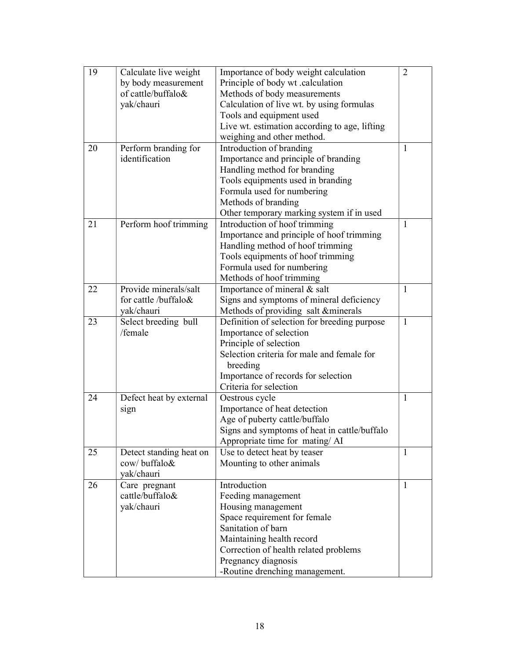| 19 | Calculate live weight   | Importance of body weight calculation         | $\overline{2}$ |
|----|-------------------------|-----------------------------------------------|----------------|
|    | by body measurement     | Principle of body wt .calculation             |                |
|    | of cattle/buffalo&      | Methods of body measurements                  |                |
|    | yak/chauri              | Calculation of live wt. by using formulas     |                |
|    |                         | Tools and equipment used                      |                |
|    |                         | Live wt. estimation according to age, lifting |                |
|    |                         | weighing and other method.                    |                |
| 20 | Perform branding for    | Introduction of branding                      | $\mathbf{1}$   |
|    | identification          | Importance and principle of branding          |                |
|    |                         | Handling method for branding                  |                |
|    |                         | Tools equipments used in branding             |                |
|    |                         | Formula used for numbering                    |                |
|    |                         | Methods of branding                           |                |
|    |                         | Other temporary marking system if in used     |                |
| 21 | Perform hoof trimming   | Introduction of hoof trimming                 | $\mathbf{1}$   |
|    |                         | Importance and principle of hoof trimming     |                |
|    |                         | Handling method of hoof trimming              |                |
|    |                         | Tools equipments of hoof trimming             |                |
|    |                         | Formula used for numbering                    |                |
|    |                         | Methods of hoof trimming                      |                |
| 22 | Provide minerals/salt   | Importance of mineral & salt                  | $\mathbf{1}$   |
|    | for cattle /buffalo&    | Signs and symptoms of mineral deficiency      |                |
|    | yak/chauri              | Methods of providing salt &minerals           |                |
| 23 | Select breeding bull    | Definition of selection for breeding purpose  | $\mathbf{1}$   |
|    | /female                 | Importance of selection                       |                |
|    |                         | Principle of selection                        |                |
|    |                         | Selection criteria for male and female for    |                |
|    |                         | breeding                                      |                |
|    |                         | Importance of records for selection           |                |
|    |                         | Criteria for selection                        |                |
| 24 | Defect heat by external | Oestrous cycle                                | $\mathbf{1}$   |
|    | sign                    | Importance of heat detection                  |                |
|    |                         | Age of puberty cattle/buffalo                 |                |
|    |                         | Signs and symptoms of heat in cattle/buffalo  |                |
|    |                         | Appropriate time for mating/ AI               |                |
| 25 | Detect standing heat on | Use to detect heat by teaser                  | 1              |
|    | cow/buffalo&            | Mounting to other animals                     |                |
|    | yak/chauri              |                                               |                |
| 26 | Care pregnant           | Introduction                                  | 1              |
|    | cattle/buffalo&         | Feeding management                            |                |
|    | yak/chauri              | Housing management                            |                |
|    |                         | Space requirement for female                  |                |
|    |                         | Sanitation of barn                            |                |
|    |                         | Maintaining health record                     |                |
|    |                         | Correction of health related problems         |                |
|    |                         | Pregnancy diagnosis                           |                |
|    |                         | -Routine drenching management.                |                |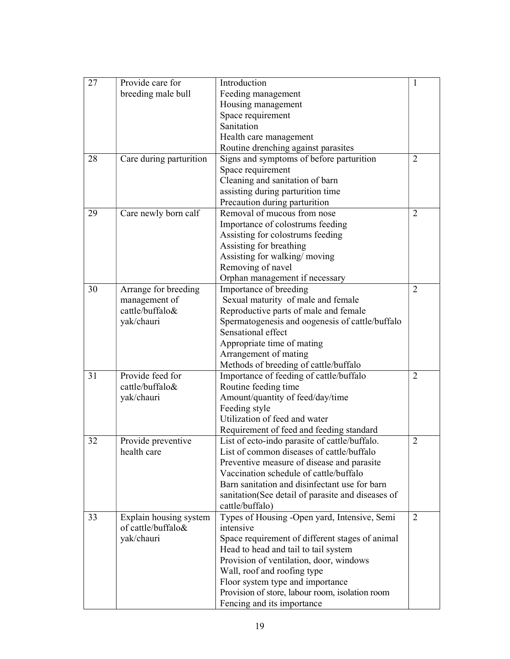| 27 | Provide care for        | Introduction                                       | 1              |
|----|-------------------------|----------------------------------------------------|----------------|
|    | breeding male bull      | Feeding management                                 |                |
|    |                         | Housing management                                 |                |
|    |                         | Space requirement                                  |                |
|    |                         | Sanitation                                         |                |
|    |                         | Health care management                             |                |
|    |                         | Routine drenching against parasites                |                |
| 28 | Care during parturition | Signs and symptoms of before parturition           | 2              |
|    |                         | Space requirement                                  |                |
|    |                         | Cleaning and sanitation of barn                    |                |
|    |                         | assisting during parturition time                  |                |
|    |                         | Precaution during parturition                      |                |
| 29 | Care newly born calf    | Removal of mucous from nose                        | $\overline{2}$ |
|    |                         | Importance of colostrums feeding                   |                |
|    |                         | Assisting for colostrums feeding                   |                |
|    |                         | Assisting for breathing                            |                |
|    |                         | Assisting for walking/moving                       |                |
|    |                         | Removing of navel                                  |                |
|    |                         | Orphan management if necessary                     |                |
| 30 | Arrange for breeding    | Importance of breeding                             | $\overline{2}$ |
|    | management of           | Sexual maturity of male and female                 |                |
|    | cattle/buffalo&         | Reproductive parts of male and female              |                |
|    | yak/chauri              | Spermatogenesis and oogenesis of cattle/buffalo    |                |
|    |                         | Sensational effect                                 |                |
|    |                         | Appropriate time of mating                         |                |
|    |                         | Arrangement of mating                              |                |
|    |                         | Methods of breeding of cattle/buffalo              |                |
| 31 | Provide feed for        | Importance of feeding of cattle/buffalo            | 2              |
|    | cattle/buffalo&         | Routine feeding time                               |                |
|    | yak/chauri              | Amount/quantity of feed/day/time                   |                |
|    |                         | Feeding style                                      |                |
|    |                         | Utilization of feed and water                      |                |
|    |                         | Requirement of feed and feeding standard           |                |
| 32 | Provide preventive      | List of ecto-indo parasite of cattle/buffalo.      | 2              |
|    | health care             | List of common diseases of cattle/buffalo          |                |
|    |                         | Preventive measure of disease and parasite         |                |
|    |                         | Vaccination schedule of cattle/buffalo             |                |
|    |                         | Barn sanitation and disinfectant use for barn      |                |
|    |                         | sanitation (See detail of parasite and diseases of |                |
|    |                         | cattle/buffalo)                                    |                |
| 33 | Explain housing system  | Types of Housing -Open yard, Intensive, Semi       | $\overline{2}$ |
|    | of cattle/buffalo&      | intensive                                          |                |
|    | yak/chauri              | Space requirement of different stages of animal    |                |
|    |                         | Head to head and tail to tail system               |                |
|    |                         | Provision of ventilation, door, windows            |                |
|    |                         | Wall, roof and roofing type                        |                |
|    |                         | Floor system type and importance                   |                |
|    |                         | Provision of store, labour room, isolation room    |                |
|    |                         | Fencing and its importance                         |                |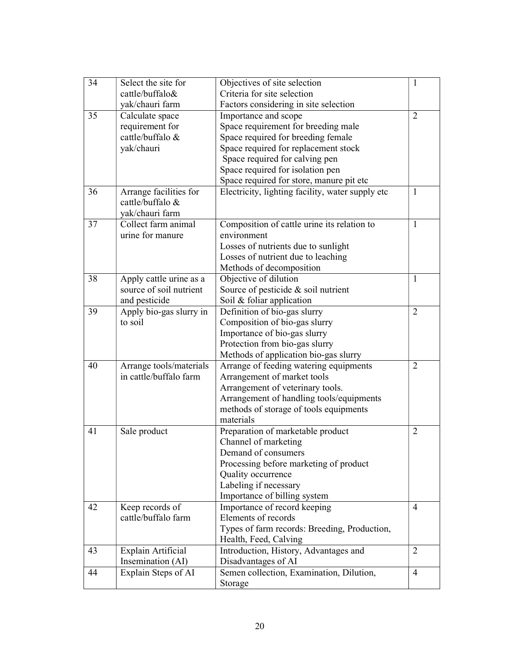| 34 | Select the site for     | Objectives of site selection                     | 1              |
|----|-------------------------|--------------------------------------------------|----------------|
|    | cattle/buffalo&         | Criteria for site selection                      |                |
|    | yak/chauri farm         | Factors considering in site selection            |                |
| 35 | Calculate space         | Importance and scope                             | $\overline{2}$ |
|    | requirement for         | Space requirement for breeding male              |                |
|    | cattle/buffalo &        | Space required for breeding female               |                |
|    | yak/chauri              | Space required for replacement stock             |                |
|    |                         | Space required for calving pen                   |                |
|    |                         | Space required for isolation pen                 |                |
|    |                         | Space required for store, manure pit etc         |                |
| 36 | Arrange facilities for  | Electricity, lighting facility, water supply etc | $\mathbf{1}$   |
|    | cattle/buffalo &        |                                                  |                |
|    | yak/chauri farm         |                                                  |                |
| 37 | Collect farm animal     | Composition of cattle urine its relation to      | $\mathbf{1}$   |
|    | urine for manure        | environment                                      |                |
|    |                         | Losses of nutrients due to sunlight              |                |
|    |                         | Losses of nutrient due to leaching               |                |
|    |                         | Methods of decomposition                         |                |
| 38 | Apply cattle urine as a | Objective of dilution                            | $\mathbf{1}$   |
|    | source of soil nutrient | Source of pesticide & soil nutrient              |                |
|    | and pesticide           | Soil & foliar application                        |                |
| 39 | Apply bio-gas slurry in | Definition of bio-gas slurry                     | $\overline{2}$ |
|    | to soil                 | Composition of bio-gas slurry                    |                |
|    |                         | Importance of bio-gas slurry                     |                |
|    |                         | Protection from bio-gas slurry                   |                |
|    |                         | Methods of application bio-gas slurry            |                |
| 40 | Arrange tools/materials | Arrange of feeding watering equipments           | $\overline{2}$ |
|    | in cattle/buffalo farm  | Arrangement of market tools                      |                |
|    |                         | Arrangement of veterinary tools.                 |                |
|    |                         | Arrangement of handling tools/equipments         |                |
|    |                         | methods of storage of tools equipments           |                |
|    |                         | materials                                        |                |
| 41 | Sale product            | Preparation of marketable product                | $\overline{2}$ |
|    |                         | Channel of marketing                             |                |
|    |                         | Demand of consumers                              |                |
|    |                         | Processing before marketing of product           |                |
|    |                         | Quality occurrence                               |                |
|    |                         | Labeling if necessary                            |                |
|    |                         | Importance of billing system                     |                |
| 42 | Keep records of         | Importance of record keeping                     | 4              |
|    | cattle/buffalo farm     | Elements of records                              |                |
|    |                         | Types of farm records: Breeding, Production,     |                |
|    |                         | Health, Feed, Calving                            |                |
| 43 | Explain Artificial      | Introduction, History, Advantages and            | $\overline{2}$ |
|    | Insemination (AI)       | Disadvantages of AI                              |                |
| 44 | Explain Steps of AI     | Semen collection, Examination, Dilution,         | 4              |
|    |                         | Storage                                          |                |
|    |                         |                                                  |                |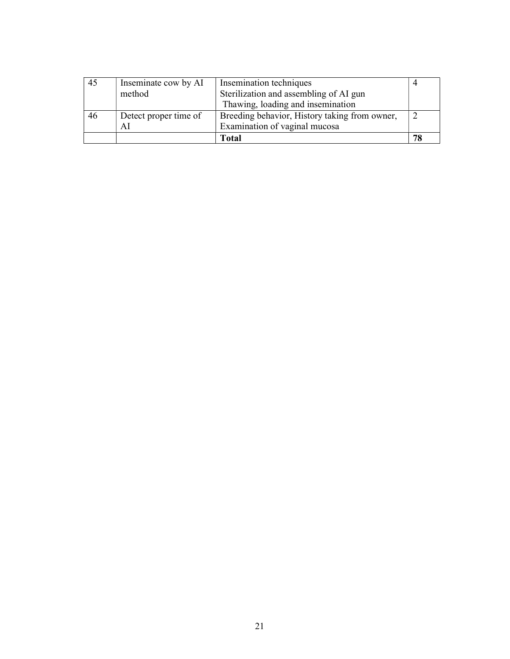| 45 | Inseminate cow by AI  | Insemination techniques                       |    |
|----|-----------------------|-----------------------------------------------|----|
|    | method                | Sterilization and assembling of AI gun        |    |
|    |                       | Thawing, loading and insemination             |    |
| 46 | Detect proper time of | Breeding behavior, History taking from owner, |    |
|    | ΑI                    | Examination of vaginal mucosa                 |    |
|    |                       | <b>Total</b>                                  | 78 |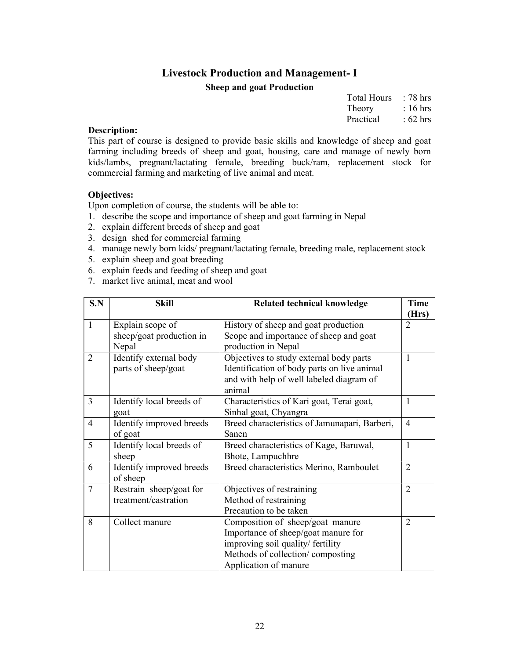# Livestock Production and Management- I Sheep and goat Production

| <b>Total Hours</b> | $: 78 \text{ hrs}$ |
|--------------------|--------------------|
| Theory             | $: 16 \text{ hrs}$ |
| Practical          | $:62$ hrs          |

#### Description:

This part of course is designed to provide basic skills and knowledge of sheep and goat farming including breeds of sheep and goat, housing, care and manage of newly born kids/lambs, pregnant/lactating female, breeding buck/ram, replacement stock for commercial farming and marketing of live animal and meat.

#### Objectives:

- 1. describe the scope and importance of sheep and goat farming in Nepal
- 2. explain different breeds of sheep and goat
- 3. design shed for commercial farming
- 4. manage newly born kids/ pregnant/lactating female, breeding male, replacement stock
- 5. explain sheep and goat breeding
- 6. explain feeds and feeding of sheep and goat
- 7. market live animal, meat and wool

| S.N            | <b>Skill</b>             | <b>Related technical knowledge</b>            | <b>Time</b>    |
|----------------|--------------------------|-----------------------------------------------|----------------|
|                |                          |                                               | (Hrs)          |
| $\mathbf{1}$   | Explain scope of         | History of sheep and goat production          | 2              |
|                | sheep/goat production in | Scope and importance of sheep and goat        |                |
|                | Nepal                    | production in Nepal                           |                |
| 2              | Identify external body   | Objectives to study external body parts       | 1              |
|                | parts of sheep/goat      | Identification of body parts on live animal   |                |
|                |                          | and with help of well labeled diagram of      |                |
|                |                          | animal                                        |                |
| 3              | Identify local breeds of | Characteristics of Kari goat, Terai goat,     | 1              |
|                | goat                     | Sinhal goat, Chyangra                         |                |
| $\overline{4}$ | Identify improved breeds | Breed characteristics of Jamunapari, Barberi, | $\overline{4}$ |
|                | of goat                  | Sanen                                         |                |
| 5              | Identify local breeds of | Breed characteristics of Kage, Baruwal,       | 1              |
|                | sheep                    | Bhote, Lampuchhre                             |                |
| 6              | Identify improved breeds | Breed characteristics Merino, Ramboulet       | $\overline{2}$ |
|                | of sheep                 |                                               |                |
| 7              | Restrain sheep/goat for  | Objectives of restraining                     | $\overline{2}$ |
|                | treatment/castration     | Method of restraining                         |                |
|                |                          | Precaution to be taken                        |                |
| 8              | Collect manure           | Composition of sheep/goat manure              | 2              |
|                |                          | Importance of sheep/goat manure for           |                |
|                |                          | improving soil quality/ fertility             |                |
|                |                          | Methods of collection/composting              |                |
|                |                          | Application of manure                         |                |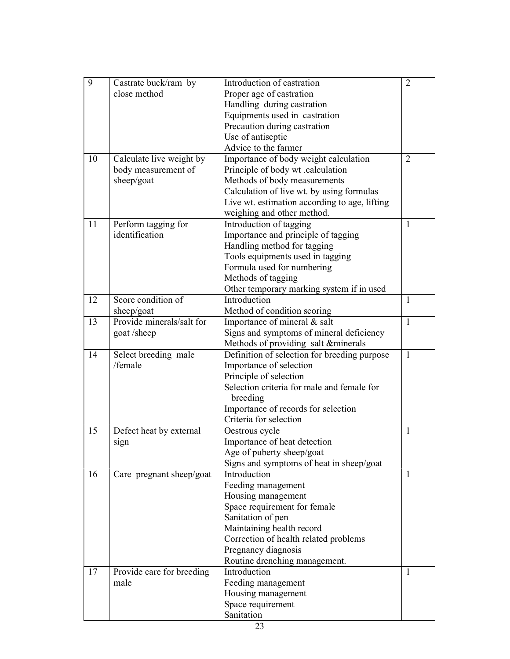| 9  | Castrate buck/ram by      | Introduction of castration                    | $\overline{2}$ |
|----|---------------------------|-----------------------------------------------|----------------|
|    | close method              | Proper age of castration                      |                |
|    |                           | Handling during castration                    |                |
|    |                           | Equipments used in castration                 |                |
|    |                           | Precaution during castration                  |                |
|    |                           | Use of antiseptic                             |                |
|    |                           | Advice to the farmer                          |                |
| 10 | Calculate live weight by  | Importance of body weight calculation         | $\overline{2}$ |
|    | body measurement of       | Principle of body wt .calculation             |                |
|    | sheep/goat                | Methods of body measurements                  |                |
|    |                           | Calculation of live wt. by using formulas     |                |
|    |                           | Live wt. estimation according to age, lifting |                |
|    |                           | weighing and other method.                    |                |
| 11 | Perform tagging for       | Introduction of tagging                       | 1              |
|    | identification            | Importance and principle of tagging           |                |
|    |                           | Handling method for tagging                   |                |
|    |                           | Tools equipments used in tagging              |                |
|    |                           | Formula used for numbering                    |                |
|    |                           | Methods of tagging                            |                |
|    |                           | Other temporary marking system if in used     |                |
| 12 | Score condition of        | <b>Introduction</b>                           | 1              |
|    | sheep/goat                | Method of condition scoring                   |                |
| 13 | Provide minerals/salt for | Importance of mineral & salt                  | $\mathbf{1}$   |
|    | goat/sheep                | Signs and symptoms of mineral deficiency      |                |
|    |                           | Methods of providing salt &minerals           |                |
| 14 | Select breeding male      | Definition of selection for breeding purpose  | 1              |
|    | /female                   | Importance of selection                       |                |
|    |                           | Principle of selection                        |                |
|    |                           | Selection criteria for male and female for    |                |
|    |                           | breeding                                      |                |
|    |                           | Importance of records for selection           |                |
|    |                           | Criteria for selection                        |                |
| 15 | Defect heat by external   | Oestrous cycle                                | 1              |
|    | sign                      | Importance of heat detection                  |                |
|    |                           | Age of puberty sheep/goat                     |                |
|    |                           | Signs and symptoms of heat in sheep/goat      |                |
| 16 | Care pregnant sheep/goat  | Introduction                                  | 1              |
|    |                           | Feeding management                            |                |
|    |                           | Housing management                            |                |
|    |                           | Space requirement for female                  |                |
|    |                           | Sanitation of pen                             |                |
|    |                           | Maintaining health record                     |                |
|    |                           | Correction of health related problems         |                |
|    |                           | Pregnancy diagnosis                           |                |
|    |                           | Routine drenching management.                 |                |
| 17 | Provide care for breeding | Introduction                                  | 1              |
|    | male                      | Feeding management                            |                |
|    |                           | Housing management                            |                |
|    |                           | Space requirement                             |                |
|    |                           | Sanitation                                    |                |
|    |                           |                                               |                |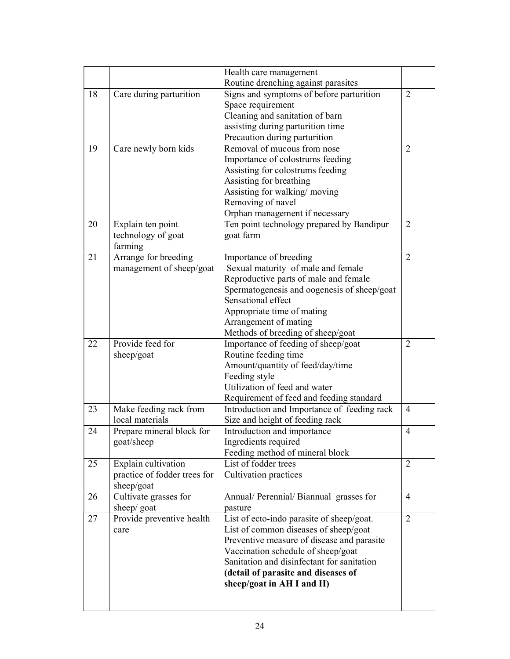|    |                              | Health care management                      |                |
|----|------------------------------|---------------------------------------------|----------------|
|    |                              | Routine drenching against parasites         |                |
| 18 | Care during parturition      | Signs and symptoms of before parturition    | $\overline{2}$ |
|    |                              | Space requirement                           |                |
|    |                              | Cleaning and sanitation of barn             |                |
|    |                              | assisting during parturition time           |                |
|    |                              | Precaution during parturition               |                |
| 19 | Care newly born kids         | Removal of mucous from nose                 | 2              |
|    |                              | Importance of colostrums feeding            |                |
|    |                              | Assisting for colostrums feeding            |                |
|    |                              | Assisting for breathing                     |                |
|    |                              | Assisting for walking/moving                |                |
|    |                              | Removing of navel                           |                |
|    |                              | Orphan management if necessary              |                |
| 20 | Explain ten point            | Ten point technology prepared by Bandipur   | 2              |
|    | technology of goat           | goat farm                                   |                |
|    | farming                      |                                             |                |
| 21 | Arrange for breeding         | Importance of breeding                      | $\overline{2}$ |
|    | management of sheep/goat     | Sexual maturity of male and female          |                |
|    |                              | Reproductive parts of male and female       |                |
|    |                              | Spermatogenesis and oogenesis of sheep/goat |                |
|    |                              | Sensational effect                          |                |
|    |                              | Appropriate time of mating                  |                |
|    |                              | Arrangement of mating                       |                |
|    |                              | Methods of breeding of sheep/goat           |                |
| 22 | Provide feed for             | Importance of feeding of sheep/goat         | $\overline{2}$ |
|    | sheep/goat                   | Routine feeding time                        |                |
|    |                              | Amount/quantity of feed/day/time            |                |
|    |                              | Feeding style                               |                |
|    |                              | Utilization of feed and water               |                |
|    |                              | Requirement of feed and feeding standard    |                |
| 23 | Make feeding rack from       | Introduction and Importance of feeding rack | $\overline{4}$ |
|    | local materials              | Size and height of feeding rack             |                |
| 24 | Prepare mineral block for    | Introduction and importance                 | $\overline{4}$ |
|    | goat/sheep                   | Ingredients required                        |                |
|    |                              | Feeding method of mineral block             |                |
| 25 | Explain cultivation          | List of fodder trees                        | 2              |
|    | practice of fodder trees for | Cultivation practices                       |                |
|    | sheep/goat                   |                                             |                |
| 26 | Cultivate grasses for        | Annual/ Perennial/ Biannual grasses for     | 4              |
|    | sheep/ goat                  | pasture                                     |                |
| 27 | Provide preventive health    | List of ecto-indo parasite of sheep/goat.   | $\overline{2}$ |
|    | care                         | List of common diseases of sheep/goat       |                |
|    |                              | Preventive measure of disease and parasite  |                |
|    |                              | Vaccination schedule of sheep/goat          |                |
|    |                              | Sanitation and disinfectant for sanitation  |                |
|    |                              | (detail of parasite and diseases of         |                |
|    |                              |                                             |                |
|    |                              |                                             |                |
|    |                              | sheep/goat in AH I and II)                  |                |
|    |                              |                                             |                |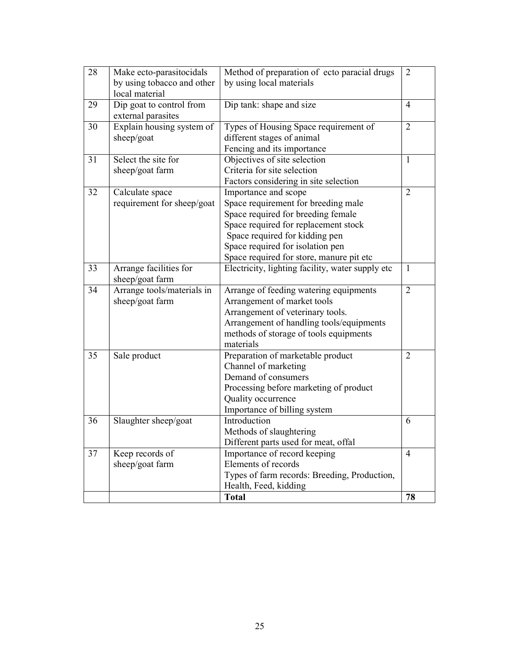| 28 | Make ecto-parasitocidals                       | Method of preparation of ecto paracial drugs                                                                                                                                                                                                                | $\overline{2}$ |
|----|------------------------------------------------|-------------------------------------------------------------------------------------------------------------------------------------------------------------------------------------------------------------------------------------------------------------|----------------|
|    | by using tobacco and other<br>local material   | by using local materials                                                                                                                                                                                                                                    |                |
| 29 | Dip goat to control from<br>external parasites | Dip tank: shape and size                                                                                                                                                                                                                                    | 4              |
| 30 | Explain housing system of<br>sheep/goat        | Types of Housing Space requirement of<br>different stages of animal<br>Fencing and its importance                                                                                                                                                           | $\overline{2}$ |
| 31 | Select the site for<br>sheep/goat farm         | Objectives of site selection<br>Criteria for site selection<br>Factors considering in site selection                                                                                                                                                        | $\mathbf{1}$   |
| 32 | Calculate space<br>requirement for sheep/goat  | Importance and scope<br>Space requirement for breeding male<br>Space required for breeding female<br>Space required for replacement stock<br>Space required for kidding pen<br>Space required for isolation pen<br>Space required for store, manure pit etc | 2              |
| 33 | Arrange facilities for<br>sheep/goat farm      | Electricity, lighting facility, water supply etc                                                                                                                                                                                                            | $\mathbf{1}$   |
| 34 | Arrange tools/materials in<br>sheep/goat farm  | Arrange of feeding watering equipments<br>Arrangement of market tools<br>Arrangement of veterinary tools.<br>Arrangement of handling tools/equipments<br>methods of storage of tools equipments<br>materials                                                | $\overline{2}$ |
| 35 | Sale product                                   | Preparation of marketable product<br>Channel of marketing<br>Demand of consumers<br>Processing before marketing of product<br>Quality occurrence<br>Importance of billing system                                                                            | $\overline{2}$ |
| 36 | Slaughter sheep/goat                           | Introduction<br>Methods of slaughtering<br>Different parts used for meat, offal                                                                                                                                                                             | 6              |
| 37 | Keep records of<br>sheep/goat farm             | Importance of record keeping<br>Elements of records<br>Types of farm records: Breeding, Production,<br>Health, Feed, kidding                                                                                                                                | 4              |
|    |                                                | <b>Total</b>                                                                                                                                                                                                                                                | 78             |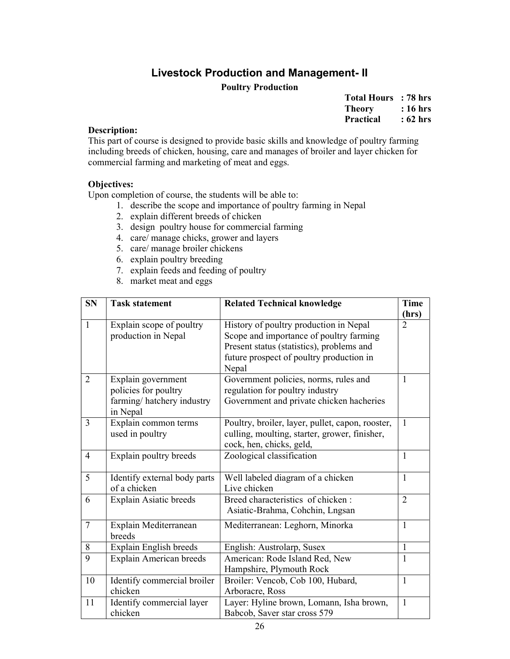# Livestock Production and Management- II Poultry Production

| <b>Total Hours</b> | : 78 hrs |
|--------------------|----------|
| <b>Theory</b>      | : 16 hrs |
| <b>Practical</b>   | : 62 hrs |

# Description:

This part of course is designed to provide basic skills and knowledge of poultry farming including breeds of chicken, housing, care and manages of broiler and layer chicken for commercial farming and marketing of meat and eggs.

# Objectives:

- 1. describe the scope and importance of poultry farming in Nepal
- 2. explain different breeds of chicken
- 3. design poultry house for commercial farming
- 4. care/ manage chicks, grower and layers
- 5. care/ manage broiler chickens
- 6. explain poultry breeding
- 7. explain feeds and feeding of poultry
- 8. market meat and eggs

| <b>SN</b>      | <b>Task statement</b>                 | <b>Related Technical knowledge</b>               | <b>Time</b>    |
|----------------|---------------------------------------|--------------------------------------------------|----------------|
|                |                                       |                                                  | (hrs)          |
| $\mathbf{1}$   | Explain scope of poultry              | History of poultry production in Nepal           | $\overline{2}$ |
|                | production in Nepal                   | Scope and importance of poultry farming          |                |
|                |                                       | Present status (statistics), problems and        |                |
|                |                                       | future prospect of poultry production in         |                |
|                |                                       | Nepal                                            |                |
| $\overline{2}$ | Explain government                    | Government policies, norms, rules and            | $\mathbf{1}$   |
|                | policies for poultry                  | regulation for poultry industry                  |                |
|                | farming/hatchery industry<br>in Nepal | Government and private chicken hacheries         |                |
| $\mathfrak{Z}$ | Explain common terms                  | Poultry, broiler, layer, pullet, capon, rooster, | $\mathbf{1}$   |
|                | used in poultry                       | culling, moulting, starter, grower, finisher,    |                |
|                |                                       | cock, hen, chicks, geld,                         |                |
| $\overline{4}$ | Explain poultry breeds                | Zoological classification                        | $\mathbf{1}$   |
| 5              | Identify external body parts          | Well labeled diagram of a chicken                | $\mathbf{1}$   |
|                | of a chicken                          | Live chicken                                     |                |
| 6              | Explain Asiatic breeds                | Breed characteristics of chicken:                | $\overline{2}$ |
|                |                                       | Asiatic-Brahma, Cohchin, Lngsan                  |                |
| $\overline{7}$ | Explain Mediterranean                 | Mediterranean: Leghorn, Minorka                  | $\mathbf{1}$   |
|                | breeds                                |                                                  |                |
| 8              | Explain English breeds                | English: Austrolarp, Susex                       | $\mathbf{1}$   |
| 9              | <b>Explain American breeds</b>        | American: Rode Island Red, New                   | 1              |
|                |                                       | Hampshire, Plymouth Rock                         |                |
| 10             | Identify commercial broiler           | Broiler: Vencob, Cob 100, Hubard,                | $\mathbf{1}$   |
|                | chicken                               | Arboracre, Ross                                  |                |
| 11             | Identify commercial layer             | Layer: Hyline brown, Lomann, Isha brown,         | 1              |
|                | chicken                               | Babcob, Saver star cross 579                     |                |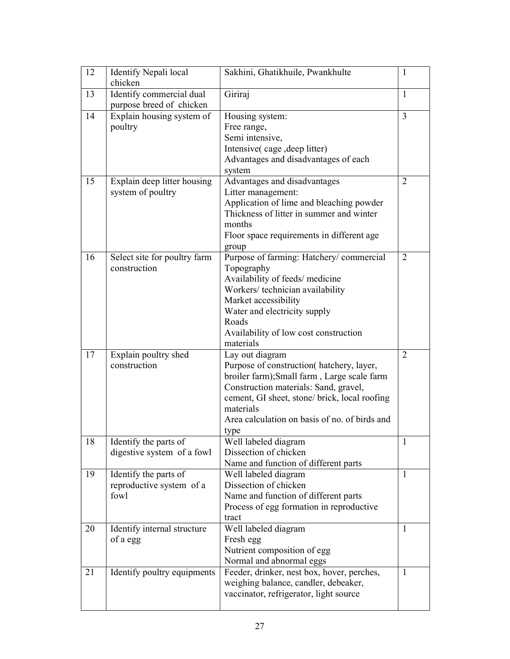| 12 | Identify Nepali local                             | Sakhini, Ghatikhuile, Pwankhulte              | 1                           |
|----|---------------------------------------------------|-----------------------------------------------|-----------------------------|
|    | chicken                                           |                                               |                             |
| 13 | Identify commercial dual                          | Giriraj                                       | 1                           |
|    | purpose breed of chicken                          |                                               |                             |
| 14 | Explain housing system of                         | Housing system:                               | 3                           |
|    | poultry                                           | Free range,                                   |                             |
|    |                                                   | Semi intensive,                               |                             |
|    |                                                   | Intensive (cage, deep litter)                 |                             |
|    |                                                   | Advantages and disadvantages of each          |                             |
|    |                                                   | system                                        |                             |
| 15 | Explain deep litter housing                       | Advantages and disadvantages                  | 2                           |
|    | system of poultry                                 | Litter management:                            |                             |
|    |                                                   | Application of lime and bleaching powder      |                             |
|    |                                                   | Thickness of litter in summer and winter      |                             |
|    |                                                   | months                                        |                             |
|    |                                                   | Floor space requirements in different age     |                             |
|    |                                                   | group                                         |                             |
| 16 | Select site for poultry farm                      | Purpose of farming: Hatchery/commercial       | $\overline{2}$              |
|    | construction                                      | Topography                                    |                             |
|    |                                                   | Availability of feeds/ medicine               |                             |
|    |                                                   | Workers/technician availability               |                             |
|    |                                                   | Market accessibility                          |                             |
|    |                                                   | Water and electricity supply                  |                             |
|    |                                                   | Roads                                         |                             |
|    |                                                   | Availability of low cost construction         |                             |
|    |                                                   | materials                                     |                             |
| 17 | Explain poultry shed                              | Lay out diagram                               | $\mathcal{D}_{\mathcal{L}}$ |
|    | construction                                      | Purpose of construction(hatchery, layer,      |                             |
|    |                                                   | broiler farm); Small farm, Large scale farm   |                             |
|    |                                                   | Construction materials: Sand, gravel,         |                             |
|    |                                                   | cement, GI sheet, stone/ brick, local roofing |                             |
|    |                                                   | materials                                     |                             |
|    |                                                   | Area calculation on basis of no. of birds and |                             |
|    |                                                   | type                                          |                             |
| 18 | Identify the parts of                             | Well labeled diagram<br>Dissection of chicken | $\perp$                     |
|    | digestive system of a fowl                        | Name and function of different parts          |                             |
| 19 |                                                   |                                               | 1                           |
|    | Identify the parts of<br>reproductive system of a | Well labeled diagram<br>Dissection of chicken |                             |
|    | fowl                                              | Name and function of different parts          |                             |
|    |                                                   | Process of egg formation in reproductive      |                             |
|    |                                                   | tract                                         |                             |
| 20 | Identify internal structure                       | Well labeled diagram                          | 1                           |
|    | of a egg                                          | Fresh egg                                     |                             |
|    |                                                   | Nutrient composition of egg                   |                             |
|    |                                                   | Normal and abnormal eggs                      |                             |
| 21 | Identify poultry equipments                       | Feeder, drinker, nest box, hover, perches,    | 1                           |
|    |                                                   | weighing balance, candler, debeaker,          |                             |
|    |                                                   | vaccinator, refrigerator, light source        |                             |
|    |                                                   |                                               |                             |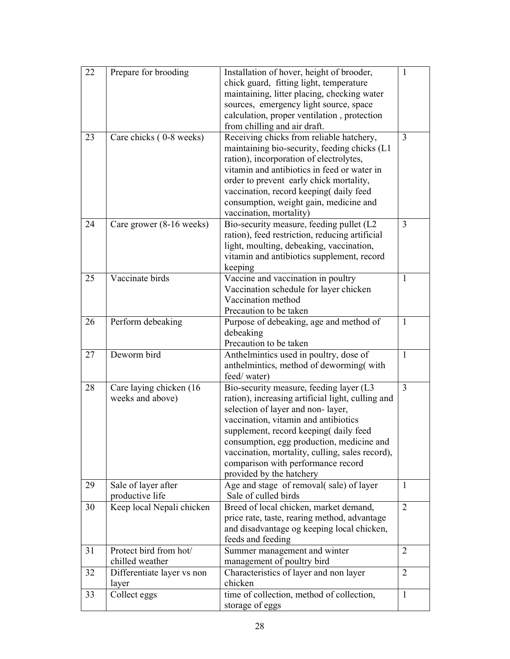| 22 | Prepare for brooding       | Installation of hover, height of brooder,                                             | 1              |
|----|----------------------------|---------------------------------------------------------------------------------------|----------------|
|    |                            | chick guard, fitting light, temperature                                               |                |
|    |                            | maintaining, litter placing, checking water                                           |                |
|    |                            | sources, emergency light source, space                                                |                |
|    |                            | calculation, proper ventilation, protection                                           |                |
|    |                            | from chilling and air draft.                                                          |                |
| 23 | Care chicks (0-8 weeks)    | Receiving chicks from reliable hatchery,                                              | 3              |
|    |                            | maintaining bio-security, feeding chicks (L1                                          |                |
|    |                            | ration), incorporation of electrolytes,                                               |                |
|    |                            | vitamin and antibiotics in feed or water in                                           |                |
|    |                            | order to prevent early chick mortality,                                               |                |
|    |                            | vaccination, record keeping daily feed                                                |                |
|    |                            | consumption, weight gain, medicine and                                                |                |
|    |                            | vaccination, mortality)                                                               |                |
| 24 | Care grower (8-16 weeks)   | Bio-security measure, feeding pullet (L2                                              | 3              |
|    |                            | ration), feed restriction, reducing artificial                                        |                |
|    |                            | light, moulting, debeaking, vaccination,                                              |                |
|    |                            | vitamin and antibiotics supplement, record                                            |                |
|    |                            | keeping                                                                               |                |
| 25 | Vaccinate birds            | Vaccine and vaccination in poultry                                                    | 1              |
|    |                            | Vaccination schedule for layer chicken                                                |                |
|    |                            | Vaccination method                                                                    |                |
|    |                            | Precaution to be taken                                                                |                |
| 26 | Perform debeaking          | Purpose of debeaking, age and method of                                               | 1              |
|    |                            | debeaking                                                                             |                |
|    |                            | Precaution to be taken                                                                |                |
| 27 | Deworm bird                | Anthelmintics used in poultry, dose of                                                | $\mathbf{1}$   |
|    |                            | anthelmintics, method of deworming (with                                              |                |
|    |                            | feed/water)                                                                           |                |
| 28 | Care laying chicken (16)   | Bio-security measure, feeding layer (L3                                               | 3              |
|    | weeks and above)           | ration), increasing artificial light, culling and                                     |                |
|    |                            | selection of layer and non-layer,                                                     |                |
|    |                            | vaccination, vitamin and antibiotics                                                  |                |
|    |                            | supplement, record keeping(daily feed                                                 |                |
|    |                            | consumption, egg production, medicine and                                             |                |
|    |                            | vaccination, mortality, culling, sales record),<br>comparison with performance record |                |
|    |                            | provided by the hatchery                                                              |                |
| 29 | Sale of layer after        | Age and stage of removal(sale) of layer                                               | $\mathbf{1}$   |
|    | productive life            | Sale of culled birds                                                                  |                |
| 30 | Keep local Nepali chicken  | Breed of local chicken, market demand,                                                | $\overline{2}$ |
|    |                            | price rate, taste, rearing method, advantage                                          |                |
|    |                            | and disadvantage og keeping local chicken,                                            |                |
|    |                            | feeds and feeding                                                                     |                |
| 31 | Protect bird from hot/     | Summer management and winter                                                          | $\overline{2}$ |
|    | chilled weather            | management of poultry bird                                                            |                |
| 32 | Differentiate layer vs non | Characteristics of layer and non layer                                                | $\overline{2}$ |
|    | layer                      | chicken                                                                               |                |
| 33 | Collect eggs               | time of collection, method of collection,                                             | $\mathbf{1}$   |
|    |                            | storage of eggs                                                                       |                |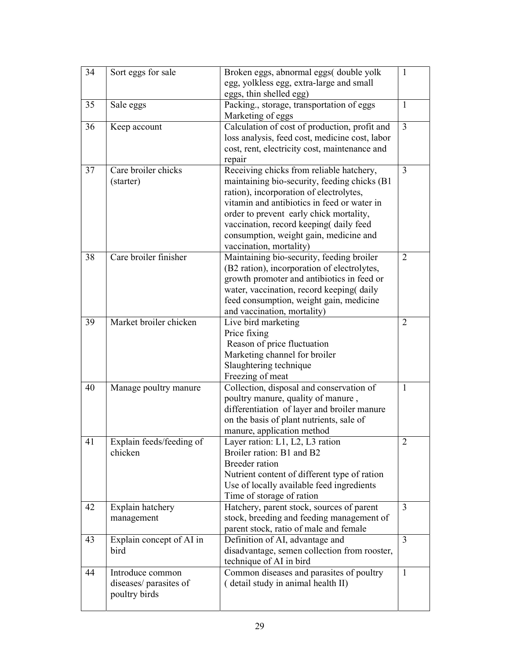| 34 | Sort eggs for sale       | Broken eggs, abnormal eggs( double yolk<br>egg, yolkless egg, extra-large and small     | $\mathbf{1}$   |
|----|--------------------------|-----------------------------------------------------------------------------------------|----------------|
|    |                          | eggs, thin shelled egg)                                                                 |                |
| 35 | Sale eggs                | Packing., storage, transportation of eggs                                               | 1              |
|    |                          | Marketing of eggs                                                                       |                |
| 36 | Keep account             | Calculation of cost of production, profit and                                           | 3              |
|    |                          | loss analysis, feed cost, medicine cost, labor                                          |                |
|    |                          | cost, rent, electricity cost, maintenance and                                           |                |
|    |                          | repair                                                                                  |                |
| 37 | Care broiler chicks      | Receiving chicks from reliable hatchery,                                                | 3              |
|    | (starter)                | maintaining bio-security, feeding chicks (B1)                                           |                |
|    |                          | ration), incorporation of electrolytes,<br>vitamin and antibiotics in feed or water in  |                |
|    |                          | order to prevent early chick mortality,                                                 |                |
|    |                          | vaccination, record keeping(daily feed                                                  |                |
|    |                          | consumption, weight gain, medicine and                                                  |                |
|    |                          | vaccination, mortality)                                                                 |                |
| 38 | Care broiler finisher    | Maintaining bio-security, feeding broiler                                               | $\overline{2}$ |
|    |                          | (B2 ration), incorporation of electrolytes,                                             |                |
|    |                          | growth promoter and antibiotics in feed or                                              |                |
|    |                          | water, vaccination, record keeping daily                                                |                |
|    |                          | feed consumption, weight gain, medicine                                                 |                |
|    |                          | and vaccination, mortality)                                                             |                |
| 39 | Market broiler chicken   | Live bird marketing                                                                     | $\overline{2}$ |
|    |                          | Price fixing                                                                            |                |
|    |                          | Reason of price fluctuation                                                             |                |
|    |                          | Marketing channel for broiler                                                           |                |
|    |                          | Slaughtering technique                                                                  |                |
|    |                          | Freezing of meat                                                                        |                |
| 40 | Manage poultry manure    | Collection, disposal and conservation of                                                | $\mathbf{1}$   |
|    |                          | poultry manure, quality of manure,                                                      |                |
|    |                          | differentiation of layer and broiler manure<br>on the basis of plant nutrients, sale of |                |
|    |                          | manure, application method                                                              |                |
| 41 | Explain feeds/feeding of | Layer ration: L1, L2, L3 ration                                                         | 2              |
|    | chicken                  | Broiler ration: B1 and B2                                                               |                |
|    |                          | <b>Breeder</b> ration                                                                   |                |
|    |                          | Nutrient content of different type of ration                                            |                |
|    |                          | Use of locally available feed ingredients                                               |                |
|    |                          | Time of storage of ration                                                               |                |
| 42 | Explain hatchery         | Hatchery, parent stock, sources of parent                                               | 3              |
|    | management               | stock, breeding and feeding management of                                               |                |
|    |                          | parent stock, ratio of male and female                                                  |                |
| 43 | Explain concept of AI in | Definition of AI, advantage and                                                         | $\overline{3}$ |
|    | bird                     | disadvantage, semen collection from rooster,                                            |                |
|    |                          | technique of AI in bird                                                                 |                |
| 44 | Introduce common         | Common diseases and parasites of poultry                                                | 1              |
|    | diseases/parasites of    | (detail study in animal health II)                                                      |                |
|    | poultry birds            |                                                                                         |                |
|    |                          |                                                                                         |                |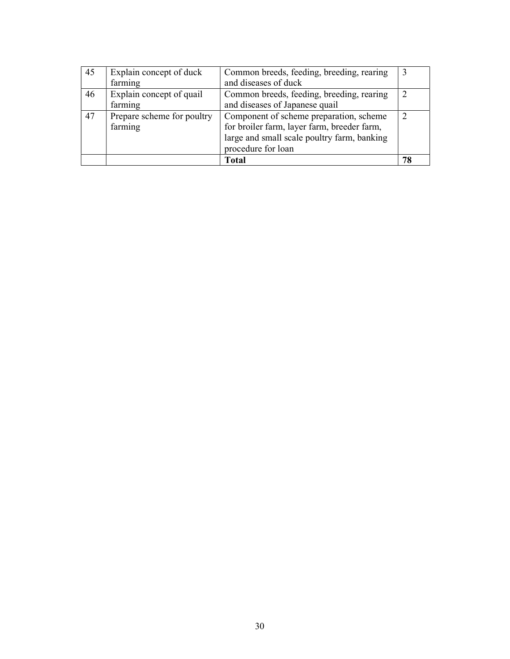| 45 | Explain concept of duck    | Common breeds, feeding, breeding, rearing   |    |
|----|----------------------------|---------------------------------------------|----|
|    | farming                    | and diseases of duck                        |    |
| 46 | Explain concept of quail   | Common breeds, feeding, breeding, rearing   |    |
|    | farming                    | and diseases of Japanese quail              |    |
| 47 | Prepare scheme for poultry | Component of scheme preparation, scheme     |    |
|    | farming                    | for broiler farm, layer farm, breeder farm, |    |
|    |                            | large and small scale poultry farm, banking |    |
|    |                            | procedure for loan                          |    |
|    |                            | <b>Total</b>                                | 78 |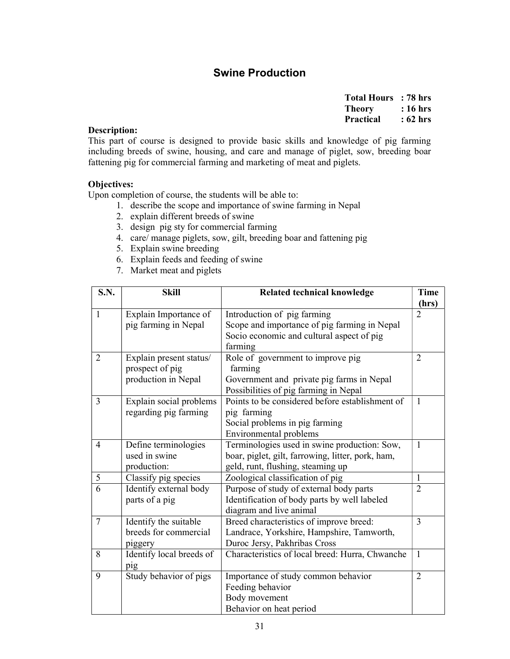# Swine Production

| <b>Total Hours</b> | : 78 hrs |
|--------------------|----------|
| <b>Theory</b>      | : 16 hrs |
| <b>Practical</b>   | : 62 hrs |

# Description:

This part of course is designed to provide basic skills and knowledge of pig farming including breeds of swine, housing, and care and manage of piglet, sow, breeding boar fattening pig for commercial farming and marketing of meat and piglets.

#### Objectives:

- 1. describe the scope and importance of swine farming in Nepal
- 2. explain different breeds of swine
- 3. design pig sty for commercial farming
- 4. care/ manage piglets, sow, gilt, breeding boar and fattening pig
- 5. Explain swine breeding
- 6. Explain feeds and feeding of swine
- 7. Market meat and piglets

| S.N.           | <b>Skill</b>             | Related technical knowledge                       | <b>Time</b>    |
|----------------|--------------------------|---------------------------------------------------|----------------|
|                |                          |                                                   | (hrs)          |
| $\mathbf{1}$   | Explain Importance of    | Introduction of pig farming                       | $\overline{2}$ |
|                | pig farming in Nepal     | Scope and importance of pig farming in Nepal      |                |
|                |                          | Socio economic and cultural aspect of pig         |                |
|                |                          | farming                                           |                |
| $\overline{2}$ | Explain present status/  | Role of government to improve pig                 | $\overline{2}$ |
|                | prospect of pig          | farming                                           |                |
|                | production in Nepal      | Government and private pig farms in Nepal         |                |
|                |                          | Possibilities of pig farming in Nepal             |                |
| 3              | Explain social problems  | Points to be considered before establishment of   | $\mathbf{1}$   |
|                | regarding pig farming    | pig farming                                       |                |
|                |                          | Social problems in pig farming                    |                |
|                |                          | <b>Environmental problems</b>                     |                |
| $\overline{4}$ | Define terminologies     | Terminologies used in swine production: Sow,      | $\mathbf{1}$   |
|                | used in swine            | boar, piglet, gilt, farrowing, litter, pork, ham, |                |
|                | production:              | geld, runt, flushing, steaming up                 |                |
| 5              | Classify pig species     | Zoological classification of pig                  | $\mathbf{1}$   |
| 6              | Identify external body   | Purpose of study of external body parts           | $\overline{2}$ |
|                | parts of a pig           | Identification of body parts by well labeled      |                |
|                |                          | diagram and live animal                           |                |
| $\overline{7}$ | Identify the suitable    | Breed characteristics of improve breed:           | 3              |
|                | breeds for commercial    | Landrace, Yorkshire, Hampshire, Tamworth,         |                |
|                | piggery                  | Duroc Jersy, Pakhribas Cross                      |                |
| 8              | Identify local breeds of | Characteristics of local breed: Hurra, Chwanche   | $\mathbf{1}$   |
|                | pig                      |                                                   |                |
| 9              | Study behavior of pigs   | Importance of study common behavior               | $\overline{2}$ |
|                |                          | Feeding behavior                                  |                |
|                |                          | Body movement                                     |                |
|                |                          | Behavior on heat period                           |                |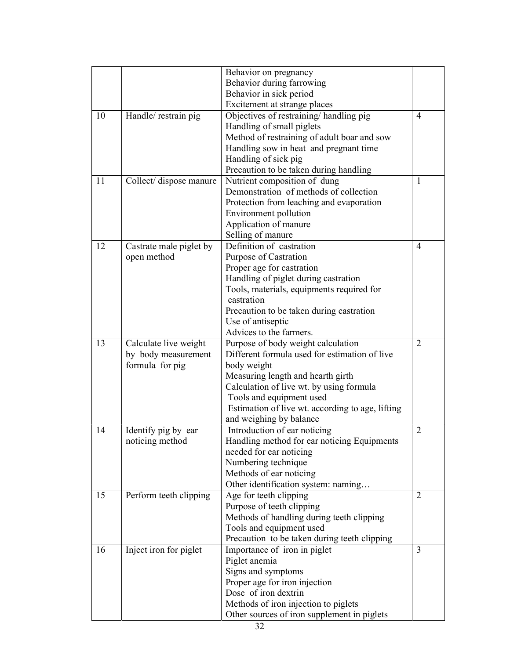|    |                         | Behavior on pregnancy                            |                |
|----|-------------------------|--------------------------------------------------|----------------|
|    |                         | Behavior during farrowing                        |                |
|    |                         | Behavior in sick period                          |                |
|    |                         | Excitement at strange places                     |                |
| 10 | Handle/restrain pig     | Objectives of restraining/ handling pig          | 4              |
|    |                         | Handling of small piglets                        |                |
|    |                         | Method of restraining of adult boar and sow      |                |
|    |                         | Handling sow in heat and pregnant time           |                |
|    |                         | Handling of sick pig                             |                |
|    |                         | Precaution to be taken during handling           |                |
| 11 | Collect/ dispose manure | Nutrient composition of dung                     | 1              |
|    |                         | Demonstration of methods of collection           |                |
|    |                         | Protection from leaching and evaporation         |                |
|    |                         | Environment pollution                            |                |
|    |                         | Application of manure                            |                |
|    |                         | Selling of manure                                |                |
| 12 | Castrate male piglet by | Definition of castration                         | $\overline{4}$ |
|    | open method             | Purpose of Castration                            |                |
|    |                         | Proper age for castration                        |                |
|    |                         | Handling of piglet during castration             |                |
|    |                         | Tools, materials, equipments required for        |                |
|    |                         | castration                                       |                |
|    |                         | Precaution to be taken during castration         |                |
|    |                         | Use of antiseptic                                |                |
|    |                         | Advices to the farmers.                          |                |
| 13 | Calculate live weight   | Purpose of body weight calculation               | $\overline{2}$ |
|    | by body measurement     | Different formula used for estimation of live    |                |
|    | formula for pig         | body weight                                      |                |
|    |                         | Measuring length and hearth girth                |                |
|    |                         | Calculation of live wt. by using formula         |                |
|    |                         | Tools and equipment used                         |                |
|    |                         | Estimation of live wt. according to age, lifting |                |
|    |                         | and weighing by balance                          |                |
| 14 | Identify pig by ear     | Introduction of ear noticing                     | $\overline{2}$ |
|    | noticing method         | Handling method for ear noticing Equipments      |                |
|    |                         | needed for ear noticing                          |                |
|    |                         | Numbering technique                              |                |
|    |                         | Methods of ear noticing                          |                |
|    |                         | Other identification system: naming              |                |
| 15 | Perform teeth clipping  | Age for teeth clipping                           | $\overline{2}$ |
|    |                         | Purpose of teeth clipping                        |                |
|    |                         | Methods of handling during teeth clipping        |                |
|    |                         | Tools and equipment used                         |                |
|    |                         | Precaution to be taken during teeth clipping     |                |
| 16 | Inject iron for piglet  | Importance of iron in piglet                     | 3              |
|    |                         | Piglet anemia                                    |                |
|    |                         | Signs and symptoms                               |                |
|    |                         | Proper age for iron injection                    |                |
|    |                         | Dose of iron dextrin                             |                |
|    |                         | Methods of iron injection to piglets             |                |
|    |                         | Other sources of iron supplement in piglets      |                |
|    |                         |                                                  |                |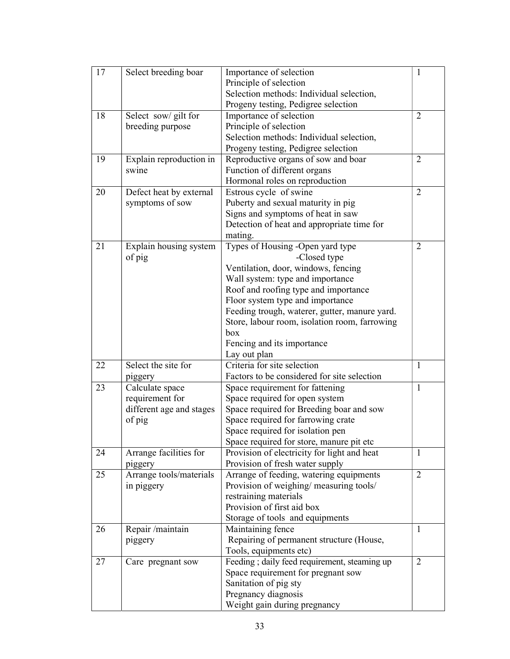| 17 | Select breeding boar     | Importance of selection                       | 1              |
|----|--------------------------|-----------------------------------------------|----------------|
|    |                          | Principle of selection                        |                |
|    |                          | Selection methods: Individual selection,      |                |
|    |                          | Progeny testing, Pedigree selection           |                |
| 18 | Select sow/ gilt for     | Importance of selection                       | $\overline{2}$ |
|    | breeding purpose         | Principle of selection                        |                |
|    |                          | Selection methods: Individual selection,      |                |
|    |                          | Progeny testing, Pedigree selection           |                |
| 19 | Explain reproduction in  | Reproductive organs of sow and boar           | $\overline{2}$ |
|    | swine                    | Function of different organs                  |                |
|    |                          | Hormonal roles on reproduction                |                |
| 20 | Defect heat by external  | Estrous cycle of swine                        | $\overline{2}$ |
|    | symptoms of sow          | Puberty and sexual maturity in pig            |                |
|    |                          | Signs and symptoms of heat in saw             |                |
|    |                          | Detection of heat and appropriate time for    |                |
|    |                          | mating.                                       |                |
| 21 | Explain housing system   | Types of Housing -Open yard type              | $\overline{2}$ |
|    | of pig                   | -Closed type                                  |                |
|    |                          | Ventilation, door, windows, fencing           |                |
|    |                          | Wall system: type and importance              |                |
|    |                          | Roof and roofing type and importance          |                |
|    |                          | Floor system type and importance              |                |
|    |                          | Feeding trough, waterer, gutter, manure yard. |                |
|    |                          | Store, labour room, isolation room, farrowing |                |
|    |                          | box                                           |                |
|    |                          | Fencing and its importance                    |                |
|    |                          | Lay out plan                                  |                |
| 22 | Select the site for      | Criteria for site selection                   | 1              |
|    | piggery                  | Factors to be considered for site selection   |                |
| 23 | Calculate space          | Space requirement for fattening               | $\mathbf{1}$   |
|    | requirement for          | Space required for open system                |                |
|    | different age and stages | Space required for Breeding boar and sow      |                |
|    | of pig                   | Space required for farrowing crate            |                |
|    |                          | Space required for isolation pen              |                |
|    |                          | Space required for store, manure pit etc.     |                |
| 24 | Arrange facilities for   | Provision of electricity for light and heat   | 1              |
|    | piggery                  | Provision of fresh water supply               |                |
| 25 | Arrange tools/materials  | Arrange of feeding, watering equipments       | $\overline{2}$ |
|    | in piggery               | Provision of weighing/ measuring tools/       |                |
|    |                          | restraining materials                         |                |
|    |                          | Provision of first aid box                    |                |
|    |                          | Storage of tools and equipments               |                |
| 26 | Repair/maintain          | Maintaining fence                             | 1              |
|    | piggery                  | Repairing of permanent structure (House,      |                |
|    |                          | Tools, equipments etc)                        |                |
| 27 | Care pregnant sow        | Feeding; daily feed requirement, steaming up  | 2              |
|    |                          | Space requirement for pregnant sow            |                |
|    |                          | Sanitation of pig sty                         |                |
|    |                          | Pregnancy diagnosis                           |                |
|    |                          | Weight gain during pregnancy                  |                |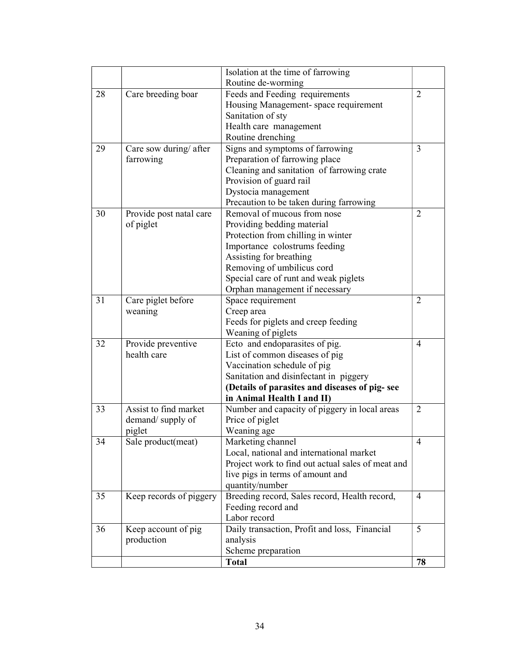|    |                         | Isolation at the time of farrowing                |                             |
|----|-------------------------|---------------------------------------------------|-----------------------------|
|    |                         | Routine de-worming                                |                             |
| 28 | Care breeding boar      | Feeds and Feeding requirements                    | $\mathcal{D}_{\mathcal{L}}$ |
|    |                         | Housing Management-space requirement              |                             |
|    |                         | Sanitation of sty                                 |                             |
|    |                         | Health care management                            |                             |
|    |                         | Routine drenching                                 |                             |
| 29 | Care sow during/ after  | Signs and symptoms of farrowing                   | 3                           |
|    | farrowing               | Preparation of farrowing place                    |                             |
|    |                         | Cleaning and sanitation of farrowing crate        |                             |
|    |                         | Provision of guard rail                           |                             |
|    |                         | Dystocia management                               |                             |
|    |                         | Precaution to be taken during farrowing           |                             |
| 30 | Provide post natal care | Removal of mucous from nose                       | 2                           |
|    | of piglet               | Providing bedding material                        |                             |
|    |                         | Protection from chilling in winter                |                             |
|    |                         | Importance colostrums feeding                     |                             |
|    |                         | Assisting for breathing                           |                             |
|    |                         | Removing of umbilicus cord                        |                             |
|    |                         | Special care of runt and weak piglets             |                             |
|    |                         | Orphan management if necessary                    |                             |
| 31 | Care piglet before      | Space requirement                                 | $\overline{2}$              |
|    | weaning                 | Creep area                                        |                             |
|    |                         | Feeds for piglets and creep feeding               |                             |
|    |                         | Weaning of piglets                                |                             |
| 32 | Provide preventive      | Ecto and endoparasites of pig.                    | $\overline{4}$              |
|    | health care             | List of common diseases of pig                    |                             |
|    |                         | Vaccination schedule of pig                       |                             |
|    |                         | Sanitation and disinfectant in piggery            |                             |
|    |                         | (Details of parasites and diseases of pig-see     |                             |
|    |                         | in Animal Health I and II)                        |                             |
| 33 | Assist to find market   | Number and capacity of piggery in local areas     | $\overline{2}$              |
|    | demand/supply of        | Price of piglet                                   |                             |
|    | piglet                  | Weaning age                                       |                             |
| 34 | Sale product(meat)      | Marketing channel                                 | $\overline{4}$              |
|    |                         | Local, national and international market          |                             |
|    |                         | Project work to find out actual sales of meat and |                             |
|    |                         | live pigs in terms of amount and                  |                             |
|    |                         | quantity/number                                   |                             |
| 35 | Keep records of piggery | Breeding record, Sales record, Health record,     | 4                           |
|    |                         | Feeding record and                                |                             |
|    |                         | Labor record                                      |                             |
| 36 | Keep account of pig     | Daily transaction, Profit and loss, Financial     | 5                           |
|    | production              | analysis                                          |                             |
|    |                         | Scheme preparation                                |                             |
|    |                         | <b>Total</b>                                      | 78                          |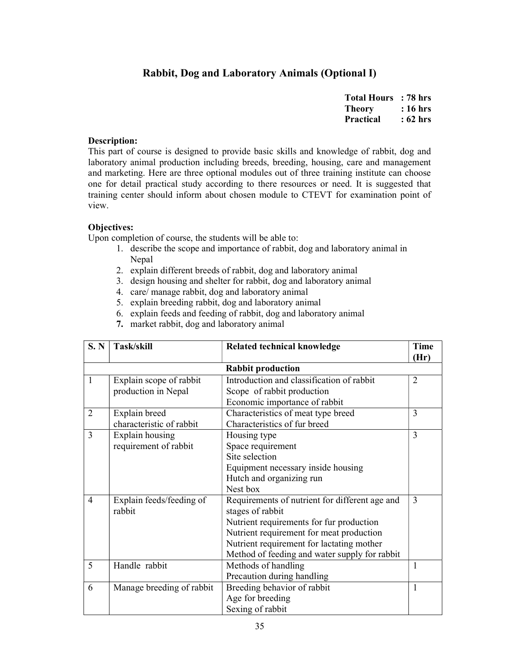# Rabbit, Dog and Laboratory Animals (Optional I)

| <b>Total Hours</b> | : 78 hrs |
|--------------------|----------|
| Theory             | : 16 hrs |
| <b>Practical</b>   | : 62 hrs |

#### Description:

This part of course is designed to provide basic skills and knowledge of rabbit, dog and laboratory animal production including breeds, breeding, housing, care and management and marketing. Here are three optional modules out of three training institute can choose one for detail practical study according to there resources or need. It is suggested that training center should inform about chosen module to CTEVT for examination point of view.

#### Objectives:

- 1. describe the scope and importance of rabbit, dog and laboratory animal in Nepal
- 2. explain different breeds of rabbit, dog and laboratory animal
- 3. design housing and shelter for rabbit, dog and laboratory animal
- 4. care/ manage rabbit, dog and laboratory animal
- 5. explain breeding rabbit, dog and laboratory animal
- 6. explain feeds and feeding of rabbit, dog and laboratory animal
- 7. market rabbit, dog and laboratory animal

| S. N           | Task/skill                | <b>Related technical knowledge</b>             | <b>Time</b>    |
|----------------|---------------------------|------------------------------------------------|----------------|
|                |                           |                                                | (Hr)           |
|                |                           | <b>Rabbit production</b>                       |                |
| $\mathbf{1}$   | Explain scope of rabbit   | Introduction and classification of rabbit      | $\overline{2}$ |
|                | production in Nepal       | Scope of rabbit production                     |                |
|                |                           | Economic importance of rabbit                  |                |
| $\overline{2}$ | Explain breed             | Characteristics of meat type breed             | 3              |
|                | characteristic of rabbit  | Characteristics of fur breed                   |                |
| 3              | Explain housing           | Housing type                                   | 3              |
|                | requirement of rabbit     | Space requirement                              |                |
|                |                           | Site selection                                 |                |
|                |                           | Equipment necessary inside housing             |                |
|                |                           | Hutch and organizing run                       |                |
|                |                           | Nest box                                       |                |
| $\overline{4}$ | Explain feeds/feeding of  | Requirements of nutrient for different age and | 3              |
|                | rabbit                    | stages of rabbit                               |                |
|                |                           | Nutrient requirements for fur production       |                |
|                |                           | Nutrient requirement for meat production       |                |
|                |                           | Nutrient requirement for lactating mother      |                |
|                |                           | Method of feeding and water supply for rabbit  |                |
| 5              | Handle rabbit             | Methods of handling                            | 1              |
|                |                           | Precaution during handling                     |                |
| 6              | Manage breeding of rabbit | Breeding behavior of rabbit                    | 1              |
|                |                           | Age for breeding                               |                |
|                |                           | Sexing of rabbit                               |                |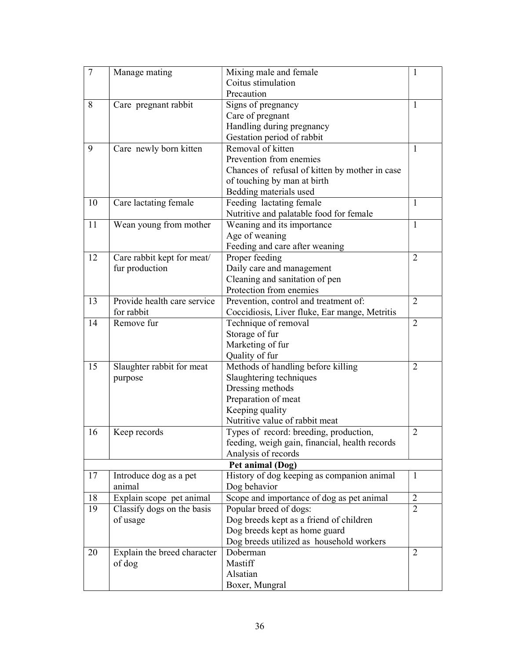| $\tau$ | Manage mating               | Mixing male and female                         | 1              |
|--------|-----------------------------|------------------------------------------------|----------------|
|        |                             | Coitus stimulation                             |                |
|        |                             | Precaution                                     |                |
| 8      | Care pregnant rabbit        | Signs of pregnancy                             | 1              |
|        |                             | Care of pregnant                               |                |
|        |                             | Handling during pregnancy                      |                |
|        |                             | Gestation period of rabbit                     |                |
| 9      | Care newly born kitten      | Removal of kitten                              | 1              |
|        |                             | Prevention from enemies                        |                |
|        |                             | Chances of refusal of kitten by mother in case |                |
|        |                             | of touching by man at birth                    |                |
|        |                             | Bedding materials used                         |                |
| 10     | Care lactating female       | Feeding lactating female                       | 1              |
|        |                             | Nutritive and palatable food for female        |                |
| 11     | Wean young from mother      | Weaning and its importance                     | $\mathbf{1}$   |
|        |                             | Age of weaning                                 |                |
|        |                             | Feeding and care after weaning                 |                |
| 12     | Care rabbit kept for meat/  | Proper feeding                                 | 2              |
|        | fur production              | Daily care and management                      |                |
|        |                             | Cleaning and sanitation of pen                 |                |
|        |                             | Protection from enemies                        |                |
| 13     | Provide health care service | Prevention, control and treatment of:          | $\overline{2}$ |
|        | for rabbit                  | Coccidiosis, Liver fluke, Ear mange, Metritis  |                |
| 14     | Remove fur                  | Technique of removal                           | $\overline{2}$ |
|        |                             | Storage of fur                                 |                |
|        |                             | Marketing of fur                               |                |
|        |                             | Quality of fur                                 |                |
| 15     | Slaughter rabbit for meat   | Methods of handling before killing             | $\overline{2}$ |
|        | purpose                     | Slaughtering techniques                        |                |
|        |                             | Dressing methods                               |                |
|        |                             | Preparation of meat                            |                |
|        |                             | Keeping quality                                |                |
|        |                             | Nutritive value of rabbit meat                 |                |
| 16     | Keep records                | Types of record: breeding, production,         | $\overline{2}$ |
|        |                             | feeding, weigh gain, financial, health records |                |
|        |                             | Analysis of records                            |                |
|        |                             | Pet animal (Dog)                               |                |
| 17     | Introduce dog as a pet      | History of dog keeping as companion animal     | $\mathbf{1}$   |
|        | animal                      | Dog behavior                                   |                |
| 18     | Explain scope pet animal    | Scope and importance of dog as pet animal      | $\overline{2}$ |
| 19     | Classify dogs on the basis  | Popular breed of dogs:                         | 2              |
|        | of usage                    | Dog breeds kept as a friend of children        |                |
|        |                             | Dog breeds kept as home guard                  |                |
|        |                             | Dog breeds utilized as household workers       |                |
| 20     | Explain the breed character | Doberman                                       | 2              |
|        | of dog                      | Mastiff                                        |                |
|        |                             | Alsatian                                       |                |
|        |                             | Boxer, Mungral                                 |                |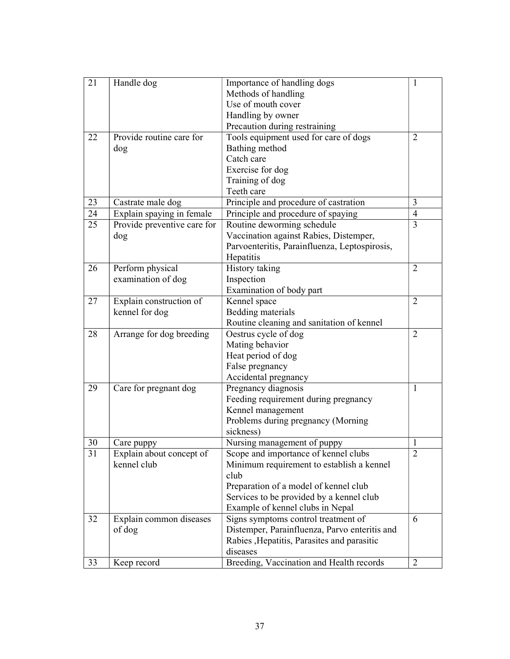| 21 | Handle dog                  | Importance of handling dogs                   | 1              |
|----|-----------------------------|-----------------------------------------------|----------------|
|    |                             | Methods of handling                           |                |
|    |                             | Use of mouth cover                            |                |
|    |                             | Handling by owner                             |                |
|    |                             | Precaution during restraining                 |                |
| 22 | Provide routine care for    | Tools equipment used for care of dogs         | $\overline{2}$ |
|    | dog                         | Bathing method                                |                |
|    |                             | Catch care                                    |                |
|    |                             | Exercise for dog                              |                |
|    |                             | Training of dog                               |                |
|    |                             | Teeth care                                    |                |
| 23 | Castrate male dog           | Principle and procedure of castration         | 3              |
| 24 | Explain spaying in female   | Principle and procedure of spaying            | $\overline{4}$ |
| 25 | Provide preventive care for | Routine deworming schedule                    | $\overline{3}$ |
|    | dog                         | Vaccination against Rabies, Distemper,        |                |
|    |                             | Parvoenteritis, Parainfluenza, Leptospirosis, |                |
|    |                             | Hepatitis                                     |                |
| 26 | Perform physical            | History taking                                | 2              |
|    | examination of dog          | Inspection                                    |                |
|    |                             | Examination of body part                      |                |
| 27 | Explain construction of     | Kennel space                                  | $\overline{2}$ |
|    | kennel for dog              | Bedding materials                             |                |
|    |                             | Routine cleaning and sanitation of kennel     |                |
| 28 | Arrange for dog breeding    | Oestrus cycle of dog                          | 2              |
|    |                             | Mating behavior                               |                |
|    |                             | Heat period of dog                            |                |
|    |                             | False pregnancy                               |                |
|    |                             | Accidental pregnancy                          |                |
| 29 | Care for pregnant dog       | Pregnancy diagnosis                           | 1              |
|    |                             | Feeding requirement during pregnancy          |                |
|    |                             | Kennel management                             |                |
|    |                             | Problems during pregnancy (Morning            |                |
|    |                             | sickness)                                     |                |
| 30 | Care puppy                  | Nursing management of puppy                   | 1              |
| 31 | Explain about concept of    | Scope and importance of kennel clubs          | $\overline{2}$ |
|    | kennel club                 | Minimum requirement to establish a kennel     |                |
|    |                             | club                                          |                |
|    |                             | Preparation of a model of kennel club         |                |
|    |                             | Services to be provided by a kennel club      |                |
|    |                             | Example of kennel clubs in Nepal              |                |
| 32 | Explain common diseases     | Signs symptoms control treatment of           | 6              |
|    | of dog                      | Distemper, Parainfluenza, Parvo enteritis and |                |
|    |                             | Rabies , Hepatitis, Parasites and parasitic   |                |
|    |                             | diseases                                      |                |
| 33 | Keep record                 | Breeding, Vaccination and Health records      | 2              |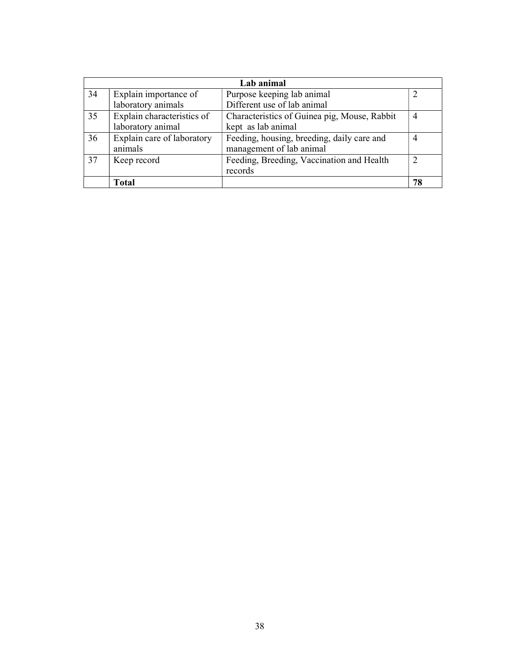|    |                            | Lab animal                                   |                |
|----|----------------------------|----------------------------------------------|----------------|
| 34 | Explain importance of      | Purpose keeping lab animal                   |                |
|    | laboratory animals         | Different use of lab animal                  |                |
| 35 | Explain characteristics of | Characteristics of Guinea pig, Mouse, Rabbit | 4              |
|    | laboratory animal          | kept as lab animal                           |                |
| 36 | Explain care of laboratory | Feeding, housing, breeding, daily care and   | $\overline{4}$ |
|    | animals                    | management of lab animal                     |                |
| 37 | Keep record                | Feeding, Breeding, Vaccination and Health    |                |
|    |                            | records                                      |                |
|    | <b>Total</b>               |                                              | 78             |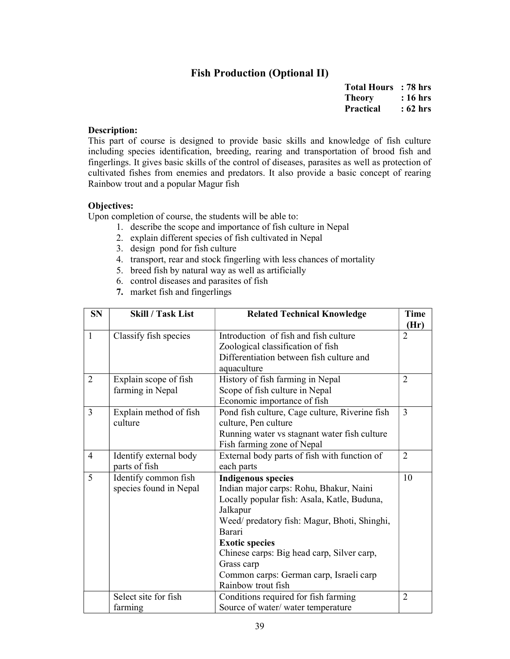# Fish Production (Optional II)

| <b>Total Hours</b> | : 78 hrs |
|--------------------|----------|
| <b>Theory</b>      | : 16 hrs |
| <b>Practical</b>   | : 62 hrs |

#### Description:

This part of course is designed to provide basic skills and knowledge of fish culture including species identification, breeding, rearing and transportation of brood fish and fingerlings. It gives basic skills of the control of diseases, parasites as well as protection of cultivated fishes from enemies and predators. It also provide a basic concept of rearing Rainbow trout and a popular Magur fish

# Objectives:

- 1. describe the scope and importance of fish culture in Nepal
- 2. explain different species of fish cultivated in Nepal
- 3. design pond for fish culture
- 4. transport, rear and stock fingerling with less chances of mortality
- 5. breed fish by natural way as well as artificially
- 6. control diseases and parasites of fish
- 7. market fish and fingerlings

| <b>SN</b>      | <b>Skill / Task List</b> | <b>Related Technical Knowledge</b>             | <b>Time</b>    |
|----------------|--------------------------|------------------------------------------------|----------------|
|                |                          |                                                | (Hr)           |
| $\mathbf{1}$   | Classify fish species    | Introduction of fish and fish culture          | $\overline{2}$ |
|                |                          | Zoological classification of fish              |                |
|                |                          | Differentiation between fish culture and       |                |
|                |                          | aquaculture                                    |                |
| $\overline{2}$ | Explain scope of fish    | History of fish farming in Nepal               | $\overline{2}$ |
|                | farming in Nepal         | Scope of fish culture in Nepal                 |                |
|                |                          | Economic importance of fish                    |                |
| $\overline{3}$ | Explain method of fish   | Pond fish culture, Cage culture, Riverine fish | 3              |
|                | culture                  | culture, Pen culture                           |                |
|                |                          | Running water vs stagnant water fish culture   |                |
|                |                          | Fish farming zone of Nepal                     |                |
| $\overline{4}$ | Identify external body   | External body parts of fish with function of   | $\overline{2}$ |
|                | parts of fish            | each parts                                     |                |
| 5              | Identify common fish     | <b>Indigenous species</b>                      | 10             |
|                | species found in Nepal   | Indian major carps: Rohu, Bhakur, Naini        |                |
|                |                          | Locally popular fish: Asala, Katle, Buduna,    |                |
|                |                          | Jalkapur                                       |                |
|                |                          | Weed/ predatory fish: Magur, Bhoti, Shinghi,   |                |
|                |                          | Barari                                         |                |
|                |                          | <b>Exotic species</b>                          |                |
|                |                          | Chinese carps: Big head carp, Silver carp,     |                |
|                |                          | Grass carp                                     |                |
|                |                          | Common carps: German carp, Israeli carp        |                |
|                |                          | Rainbow trout fish                             |                |
|                | Select site for fish     | Conditions required for fish farming           | $\overline{2}$ |
|                | farming                  | Source of water/ water temperature             |                |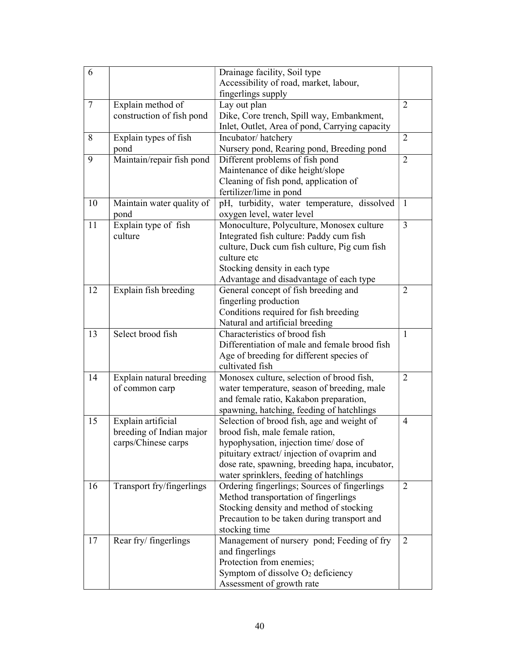| 6               |                           | Drainage facility, Soil type                                                              |                |
|-----------------|---------------------------|-------------------------------------------------------------------------------------------|----------------|
|                 |                           | Accessibility of road, market, labour,                                                    |                |
|                 |                           | fingerlings supply                                                                        |                |
| $7\phantom{.0}$ | Explain method of         | Lay out plan                                                                              | $\overline{2}$ |
|                 | construction of fish pond | Dike, Core trench, Spill way, Embankment,                                                 |                |
|                 |                           | Inlet, Outlet, Area of pond, Carrying capacity                                            |                |
| 8               | Explain types of fish     | Incubator/hatchery                                                                        | $\overline{2}$ |
|                 | pond                      | Nursery pond, Rearing pond, Breeding pond                                                 |                |
| 9               | Maintain/repair fish pond | Different problems of fish pond                                                           | $\overline{2}$ |
|                 |                           | Maintenance of dike height/slope                                                          |                |
|                 |                           | Cleaning of fish pond, application of                                                     |                |
|                 |                           | fertilizer/lime in pond                                                                   |                |
| 10              | Maintain water quality of | pH, turbidity, water temperature, dissolved                                               | $\mathbf{1}$   |
|                 | pond                      | oxygen level, water level                                                                 |                |
| 11              | Explain type of fish      | Monoculture, Polyculture, Monosex culture                                                 | $\overline{3}$ |
|                 | culture                   | Integrated fish culture: Paddy cum fish                                                   |                |
|                 |                           | culture, Duck cum fish culture, Pig cum fish                                              |                |
|                 |                           | culture etc                                                                               |                |
|                 |                           | Stocking density in each type                                                             |                |
|                 |                           | Advantage and disadvantage of each type                                                   |                |
| 12              | Explain fish breeding     | General concept of fish breeding and                                                      | $\overline{2}$ |
|                 |                           | fingerling production                                                                     |                |
|                 |                           | Conditions required for fish breeding                                                     |                |
|                 |                           | Natural and artificial breeding                                                           |                |
| 13              | Select brood fish         | Characteristics of brood fish                                                             | $\mathbf{1}$   |
|                 |                           | Differentiation of male and female brood fish                                             |                |
|                 |                           | Age of breeding for different species of                                                  |                |
|                 |                           | cultivated fish                                                                           |                |
| 14              | Explain natural breeding  | Monosex culture, selection of brood fish,                                                 | $\overline{2}$ |
|                 | of common carp            | water temperature, season of breeding, male                                               |                |
|                 |                           | and female ratio, Kakabon preparation,                                                    |                |
|                 |                           | spawning, hatching, feeding of hatchlings                                                 |                |
| 15              | Explain artificial        | Selection of brood fish, age and weight of                                                | $\overline{4}$ |
|                 | breeding of Indian major  | brood fish, male female ration,                                                           |                |
|                 | carps/Chinese carps       | hypophysation, injection time/ dose of                                                    |                |
|                 |                           | pituitary extract/injection of ovaprim and                                                |                |
|                 |                           | dose rate, spawning, breeding hapa, incubator,<br>water sprinklers, feeding of hatchlings |                |
| 16              | Transport fry/fingerlings | Ordering fingerlings; Sources of fingerlings                                              | 2              |
|                 |                           | Method transportation of fingerlings                                                      |                |
|                 |                           | Stocking density and method of stocking                                                   |                |
|                 |                           | Precaution to be taken during transport and                                               |                |
|                 |                           | stocking time                                                                             |                |
| 17              | Rear fry/fingerlings      | Management of nursery pond; Feeding of fry                                                | 2              |
|                 |                           | and fingerlings                                                                           |                |
|                 |                           | Protection from enemies;                                                                  |                |
|                 |                           | Symptom of dissolve O <sub>2</sub> deficiency                                             |                |
|                 |                           | Assessment of growth rate                                                                 |                |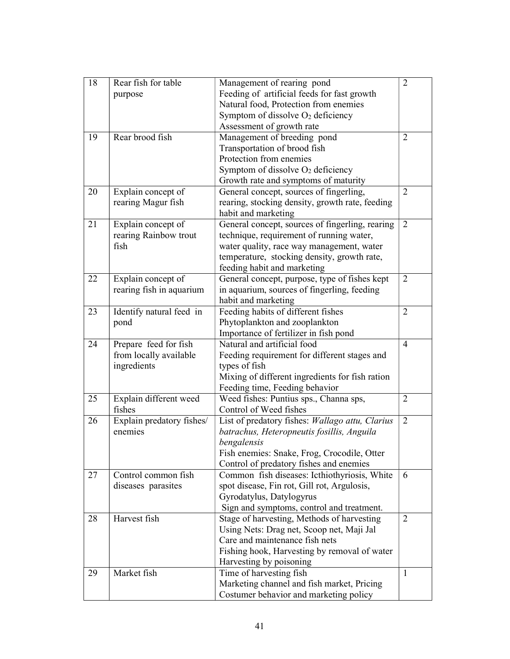| 18 | Rear fish for table       | Management of rearing pond                      | $\overline{2}$ |
|----|---------------------------|-------------------------------------------------|----------------|
|    | purpose                   | Feeding of artificial feeds for fast growth     |                |
|    |                           | Natural food, Protection from enemies           |                |
|    |                           | Symptom of dissolve $O_2$ deficiency            |                |
|    |                           | Assessment of growth rate                       |                |
| 19 | Rear brood fish           | Management of breeding pond                     | $\overline{2}$ |
|    |                           | Transportation of brood fish                    |                |
|    |                           | Protection from enemies                         |                |
|    |                           | Symptom of dissolve $O_2$ deficiency            |                |
|    |                           | Growth rate and symptoms of maturity            |                |
| 20 | Explain concept of        | General concept, sources of fingerling,         | $\overline{2}$ |
|    | rearing Magur fish        | rearing, stocking density, growth rate, feeding |                |
|    |                           | habit and marketing                             |                |
| 21 | Explain concept of        | General concept, sources of fingerling, rearing | $\overline{2}$ |
|    | rearing Rainbow trout     | technique, requirement of running water,        |                |
|    | fish                      | water quality, race way management, water       |                |
|    |                           | temperature, stocking density, growth rate,     |                |
|    |                           | feeding habit and marketing                     |                |
| 22 | Explain concept of        | General concept, purpose, type of fishes kept   | $\overline{2}$ |
|    | rearing fish in aquarium  | in aquarium, sources of fingerling, feeding     |                |
|    |                           | habit and marketing                             |                |
| 23 | Identify natural feed in  | Feeding habits of different fishes              | $\overline{2}$ |
|    | pond                      | Phytoplankton and zooplankton                   |                |
|    |                           | Importance of fertilizer in fish pond           |                |
| 24 | Prepare feed for fish     | Natural and artificial food                     | 4              |
|    | from locally available    | Feeding requirement for different stages and    |                |
|    | ingredients               | types of fish                                   |                |
|    |                           | Mixing of different ingredients for fish ration |                |
|    |                           | Feeding time, Feeding behavior                  |                |
| 25 | Explain different weed    | Weed fishes: Puntius sps., Channa sps,          | $\overline{2}$ |
|    | fishes                    | Control of Weed fishes                          |                |
| 26 | Explain predatory fishes/ | List of predatory fishes: Wallago attu, Clarius | $\overline{2}$ |
|    | enemies                   | batrachus, Heteropneutis fosillis, Anguila      |                |
|    |                           | bengalensis                                     |                |
|    |                           | Fish enemies: Snake, Frog, Crocodile, Otter     |                |
|    |                           | Control of predatory fishes and enemies         |                |
| 27 | Control common fish       | Common fish diseases: Icthiothyriosis, White    | 6              |
|    | diseases parasites        | spot disease, Fin rot, Gill rot, Argulosis,     |                |
|    |                           | Gyrodatylus, Datylogyrus                        |                |
|    |                           | Sign and symptoms, control and treatment.       |                |
| 28 | Harvest fish              | Stage of harvesting, Methods of harvesting      | $\overline{2}$ |
|    |                           | Using Nets: Drag net, Scoop net, Maji Jal       |                |
|    |                           | Care and maintenance fish nets                  |                |
|    |                           | Fishing hook, Harvesting by removal of water    |                |
|    |                           | Harvesting by poisoning                         |                |
| 29 | Market fish               | Time of harvesting fish                         | $\mathbf{1}$   |
|    |                           | Marketing channel and fish market, Pricing      |                |
|    |                           | Costumer behavior and marketing policy          |                |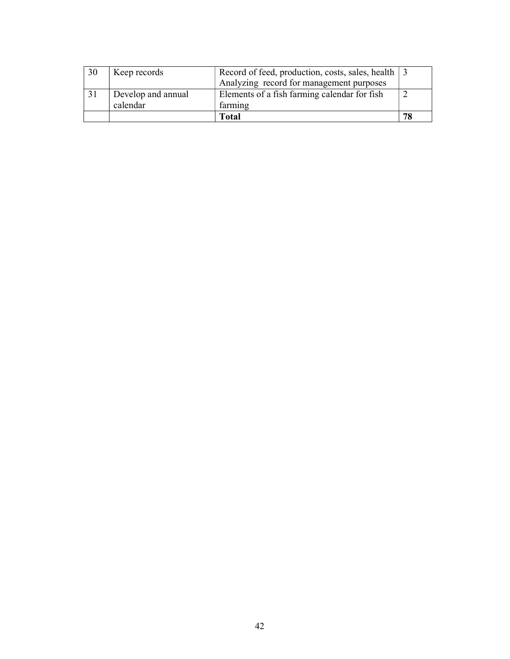| 30 | Keep records       | Record of feed, production, costs, sales, health 3 |  |
|----|--------------------|----------------------------------------------------|--|
|    |                    | Analyzing record for management purposes           |  |
|    | Develop and annual | Elements of a fish farming calendar for fish       |  |
|    | calendar           | farming                                            |  |
|    |                    | Total                                              |  |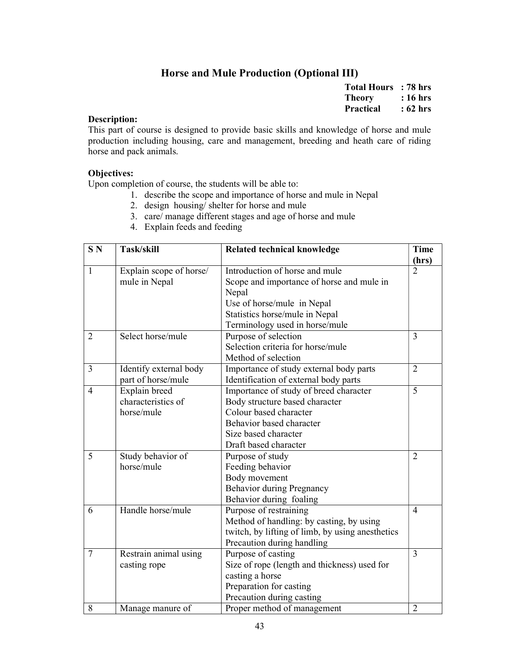# Horse and Mule Production (Optional III)

| <b>Total Hours</b> | : 78 hrs |
|--------------------|----------|
| Theory             | : 16 hrs |
| <b>Practical</b>   | : 62 hrs |

#### Description:

This part of course is designed to provide basic skills and knowledge of horse and mule production including housing, care and management, breeding and heath care of riding horse and pack animals.

#### Objectives:

- 1. describe the scope and importance of horse and mule in Nepal
- 2. design housing/ shelter for horse and mule
- 3. care/ manage different stages and age of horse and mule
- 4. Explain feeds and feeding

| S <sub>N</sub> | Task/skill              | <b>Related technical knowledge</b>               | <b>Time</b>    |
|----------------|-------------------------|--------------------------------------------------|----------------|
|                |                         |                                                  | (hrs)          |
| $\mathbf{1}$   | Explain scope of horse/ | Introduction of horse and mule                   | $\overline{2}$ |
|                | mule in Nepal           | Scope and importance of horse and mule in        |                |
|                |                         | Nepal                                            |                |
|                |                         | Use of horse/mule in Nepal                       |                |
|                |                         | Statistics horse/mule in Nepal                   |                |
|                |                         | Terminology used in horse/mule                   |                |
| $\overline{2}$ | Select horse/mule       | Purpose of selection                             | 3              |
|                |                         | Selection criteria for horse/mule                |                |
|                |                         | Method of selection                              |                |
| $\overline{3}$ | Identify external body  | Importance of study external body parts          | $\overline{2}$ |
|                | part of horse/mule      | Identification of external body parts            |                |
| $\overline{4}$ | Explain breed           | Importance of study of breed character           | $\overline{5}$ |
|                | characteristics of      | Body structure based character                   |                |
|                | horse/mule              | Colour based character                           |                |
|                |                         | Behavior based character                         |                |
|                |                         | Size based character                             |                |
|                |                         | Draft based character                            |                |
| 5              | Study behavior of       | Purpose of study                                 | $\overline{2}$ |
|                | horse/mule              | Feeding behavior                                 |                |
|                |                         | Body movement                                    |                |
|                |                         | <b>Behavior during Pregnancy</b>                 |                |
|                |                         | Behavior during foaling                          |                |
| 6              | Handle horse/mule       | Purpose of restraining                           | $\overline{4}$ |
|                |                         | Method of handling: by casting, by using         |                |
|                |                         | twitch, by lifting of limb, by using anesthetics |                |
|                |                         | Precaution during handling                       |                |
| 7              | Restrain animal using   | Purpose of casting                               | 3              |
|                | casting rope            | Size of rope (length and thickness) used for     |                |
|                |                         | casting a horse                                  |                |
|                |                         | Preparation for casting                          |                |
|                |                         | Precaution during casting                        |                |
| 8              | Manage manure of        | Proper method of management                      | $\overline{2}$ |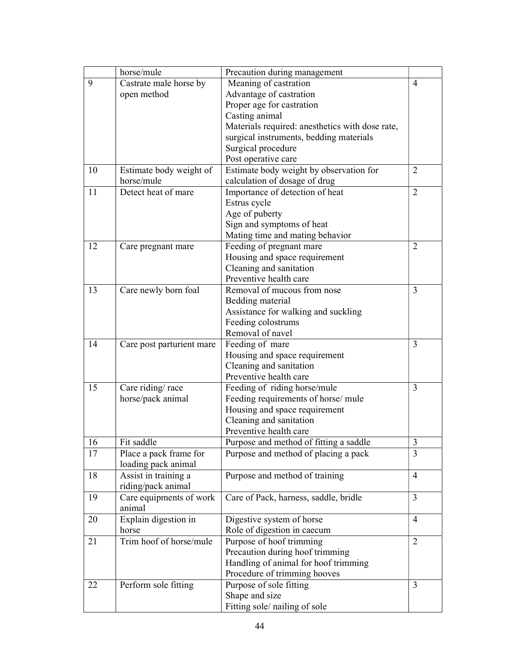|    | horse/mule                | Precaution during management                    |                |
|----|---------------------------|-------------------------------------------------|----------------|
| 9  | Castrate male horse by    | Meaning of castration                           | 4              |
|    | open method               | Advantage of castration                         |                |
|    |                           | Proper age for castration                       |                |
|    |                           | Casting animal                                  |                |
|    |                           | Materials required: anesthetics with dose rate, |                |
|    |                           | surgical instruments, bedding materials         |                |
|    |                           | Surgical procedure                              |                |
|    |                           | Post operative care                             |                |
| 10 | Estimate body weight of   | Estimate body weight by observation for         | $\overline{2}$ |
|    | horse/mule                | calculation of dosage of drug                   |                |
| 11 | Detect heat of mare       | Importance of detection of heat                 | $\overline{2}$ |
|    |                           | Estrus cycle                                    |                |
|    |                           | Age of puberty                                  |                |
|    |                           | Sign and symptoms of heat                       |                |
|    |                           | Mating time and mating behavior                 |                |
| 12 | Care pregnant mare        | Feeding of pregnant mare                        | $\overline{2}$ |
|    |                           | Housing and space requirement                   |                |
|    |                           | Cleaning and sanitation                         |                |
|    |                           | Preventive health care                          |                |
| 13 | Care newly born foal      | Removal of mucous from nose                     | 3              |
|    |                           | Bedding material                                |                |
|    |                           | Assistance for walking and suckling             |                |
|    |                           | Feeding colostrums                              |                |
|    |                           | Removal of navel                                |                |
| 14 | Care post parturient mare | Feeding of mare                                 | 3              |
|    |                           | Housing and space requirement                   |                |
|    |                           | Cleaning and sanitation                         |                |
|    |                           | Preventive health care                          |                |
| 15 | Care riding/race          | Feeding of riding horse/mule                    | 3              |
|    | horse/pack animal         | Feeding requirements of horse/ mule             |                |
|    |                           | Housing and space requirement                   |                |
|    |                           | Cleaning and sanitation                         |                |
|    |                           | Preventive health care                          |                |
| 16 | Fit saddle                | Purpose and method of fitting a saddle          | 3              |
| 17 | Place a pack frame for    | Purpose and method of placing a pack            | $\overline{3}$ |
|    | loading pack animal       |                                                 |                |
| 18 | Assist in training a      | Purpose and method of training                  | 4              |
|    | riding/pack animal        |                                                 |                |
| 19 | Care equipments of work   | Care of Pack, harness, saddle, bridle           | 3              |
|    | animal                    |                                                 |                |
| 20 | Explain digestion in      | Digestive system of horse                       | $\overline{4}$ |
|    | horse                     | Role of digestion in caecum                     |                |
| 21 | Trim hoof of horse/mule   | Purpose of hoof trimming                        | $\overline{2}$ |
|    |                           | Precaution during hoof trimming                 |                |
|    |                           | Handling of animal for hoof trimming            |                |
|    |                           | Procedure of trimming hooves                    |                |
| 22 | Perform sole fitting      | Purpose of sole fitting                         | 3              |
|    |                           | Shape and size                                  |                |
|    |                           | Fitting sole/nailing of sole                    |                |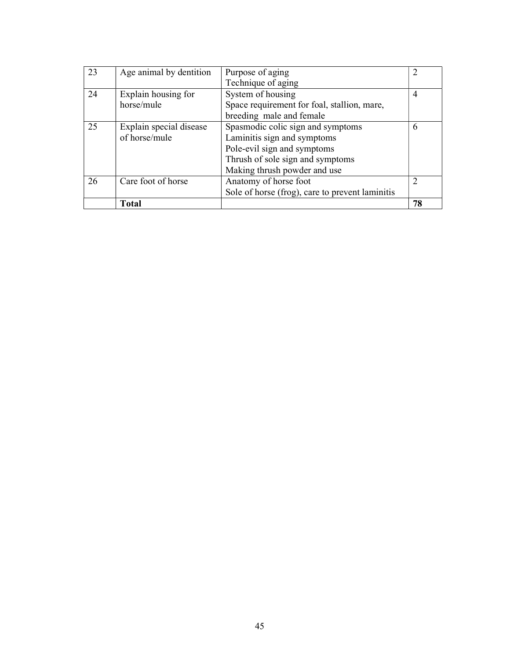| 23 | Age animal by dentition | Purpose of aging                                | 2  |
|----|-------------------------|-------------------------------------------------|----|
|    |                         | Technique of aging                              |    |
| 24 | Explain housing for     | System of housing                               | 4  |
|    | horse/mule              | Space requirement for foal, stallion, mare,     |    |
|    |                         | breeding male and female                        |    |
| 25 | Explain special disease | Spasmodic colic sign and symptoms               | 6  |
|    | of horse/mule           | Laminitis sign and symptoms                     |    |
|    |                         | Pole-evil sign and symptoms                     |    |
|    |                         | Thrush of sole sign and symptoms                |    |
|    |                         | Making thrush powder and use                    |    |
| 26 | Care foot of horse      | Anatomy of horse foot                           | 2  |
|    |                         | Sole of horse (frog), care to prevent laminitis |    |
|    | <b>Total</b>            |                                                 | 78 |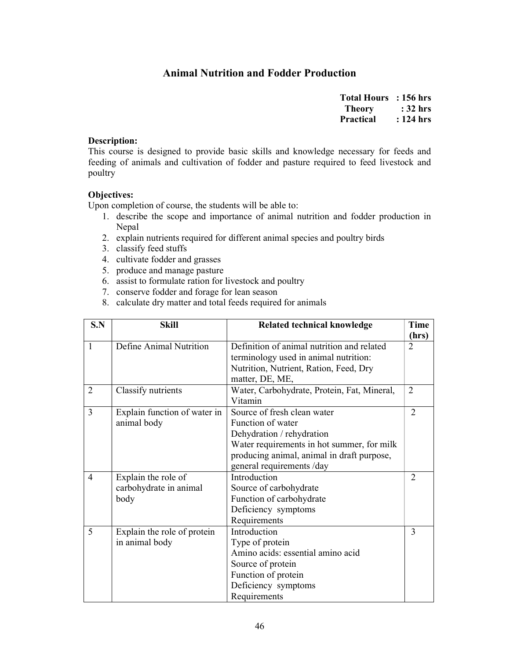# Animal Nutrition and Fodder Production

| <b>Total Hours</b> | : 156 hrs  |
|--------------------|------------|
| <b>Theory</b>      | $: 32$ hrs |
| <b>Practical</b>   | : 124 hrs  |

#### Description:

This course is designed to provide basic skills and knowledge necessary for feeds and feeding of animals and cultivation of fodder and pasture required to feed livestock and poultry

#### Objectives:

- 1. describe the scope and importance of animal nutrition and fodder production in Nepal
- 2. explain nutrients required for different animal species and poultry birds
- 3. classify feed stuffs
- 4. cultivate fodder and grasses
- 5. produce and manage pasture
- 6. assist to formulate ration for livestock and poultry
- 7. conserve fodder and forage for lean season
- 8. calculate dry matter and total feeds required for animals

| S.N            | <b>Skill</b>                                          | <b>Related technical knowledge</b>                                                                                                                                        | <b>Time</b><br>(hrs)        |
|----------------|-------------------------------------------------------|---------------------------------------------------------------------------------------------------------------------------------------------------------------------------|-----------------------------|
| $\mathbf{1}$   | Define Animal Nutrition                               | Definition of animal nutrition and related<br>terminology used in animal nutrition:                                                                                       | $\mathcal{D}_{\mathcal{L}}$ |
|                |                                                       | Nutrition, Nutrient, Ration, Feed, Dry<br>matter, DE, ME,                                                                                                                 |                             |
| $\overline{2}$ | Classify nutrients                                    | Water, Carbohydrate, Protein, Fat, Mineral,<br>Vitamin                                                                                                                    | $\overline{2}$              |
| $\overline{3}$ | Explain function of water in<br>animal body           | Source of fresh clean water<br>Function of water<br>Dehydration / rehydration<br>Water requirements in hot summer, for milk<br>producing animal, animal in draft purpose, | $\overline{2}$              |
|                |                                                       | general requirements /day                                                                                                                                                 |                             |
| $\overline{4}$ | Explain the role of<br>carbohydrate in animal<br>body | Introduction<br>Source of carbohydrate<br>Function of carbohydrate<br>Deficiency symptoms<br>Requirements                                                                 | $\overline{2}$              |
| 5              | Explain the role of protein<br>in animal body         | Introduction<br>Type of protein<br>Amino acids: essential amino acid<br>Source of protein<br>Function of protein<br>Deficiency symptoms<br>Requirements                   | 3                           |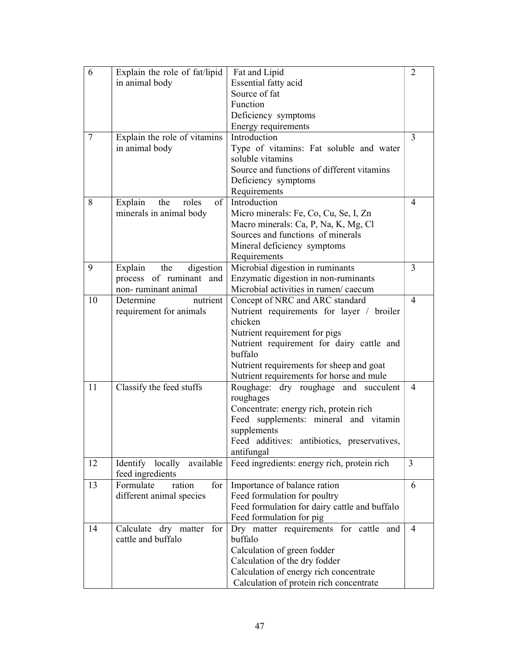| 6               | Explain the role of fat/lipid   | Fat and Lipid                                               | $\overline{2}$ |
|-----------------|---------------------------------|-------------------------------------------------------------|----------------|
|                 | in animal body                  | Essential fatty acid                                        |                |
|                 |                                 | Source of fat                                               |                |
|                 |                                 | Function                                                    |                |
|                 |                                 | Deficiency symptoms                                         |                |
|                 |                                 | Energy requirements                                         |                |
| $7\phantom{.0}$ | Explain the role of vitamins    | Introduction                                                | 3              |
|                 |                                 |                                                             |                |
|                 | in animal body                  | Type of vitamins: Fat soluble and water<br>soluble vitamins |                |
|                 |                                 | Source and functions of different vitamins                  |                |
|                 |                                 |                                                             |                |
|                 |                                 | Deficiency symptoms                                         |                |
|                 |                                 | Requirements                                                |                |
| 8               | of  <br>Explain<br>the<br>roles | Introduction                                                | 4              |
|                 | minerals in animal body         | Micro minerals: Fe, Co, Cu, Se, I, Zn                       |                |
|                 |                                 | Macro minerals: Ca, P, Na, K, Mg, Cl                        |                |
|                 |                                 | Sources and functions of minerals                           |                |
|                 |                                 | Mineral deficiency symptoms                                 |                |
|                 |                                 | Requirements                                                |                |
| 9               | Explain<br>digestion<br>the     | Microbial digestion in ruminants                            | 3              |
|                 | process of ruminant and         | Enzymatic digestion in non-ruminants                        |                |
|                 | non-ruminant animal             | Microbial activities in rumen/ caecum                       |                |
| 10              | nutrient<br>Determine           | Concept of NRC and ARC standard                             | 4              |
|                 | requirement for animals         | Nutrient requirements for layer / broiler                   |                |
|                 |                                 | chicken                                                     |                |
|                 |                                 | Nutrient requirement for pigs                               |                |
|                 |                                 | Nutrient requirement for dairy cattle and                   |                |
|                 |                                 | buffalo                                                     |                |
|                 |                                 | Nutrient requirements for sheep and goat                    |                |
|                 |                                 | Nutrient requirements for horse and mule                    |                |
| 11              | Classify the feed stuffs        | Roughage: dry roughage and succulent                        | 4              |
|                 |                                 | roughages                                                   |                |
|                 |                                 | Concentrate: energy rich, protein rich                      |                |
|                 |                                 | Feed supplements: mineral and vitamin                       |                |
|                 |                                 | supplements                                                 |                |
|                 |                                 | Feed additives: antibiotics, preservatives,                 |                |
|                 |                                 | antifungal                                                  |                |
| 12              | Identify locally<br>available   | Feed ingredients: energy rich, protein rich                 | $\mathfrak{Z}$ |
|                 | feed ingredients                |                                                             |                |
| 13              | Formulate<br>ration<br>for $ $  | Importance of balance ration                                | 6              |
|                 | different animal species        | Feed formulation for poultry                                |                |
|                 |                                 | Feed formulation for dairy cattle and buffalo               |                |
|                 |                                 | Feed formulation for pig                                    |                |
| 14              | Calculate dry matter for        | Dry matter requirements for cattle and                      | $\overline{4}$ |
|                 | cattle and buffalo              | buffalo                                                     |                |
|                 |                                 | Calculation of green fodder                                 |                |
|                 |                                 | Calculation of the dry fodder                               |                |
|                 |                                 | Calculation of energy rich concentrate                      |                |
|                 |                                 | Calculation of protein rich concentrate                     |                |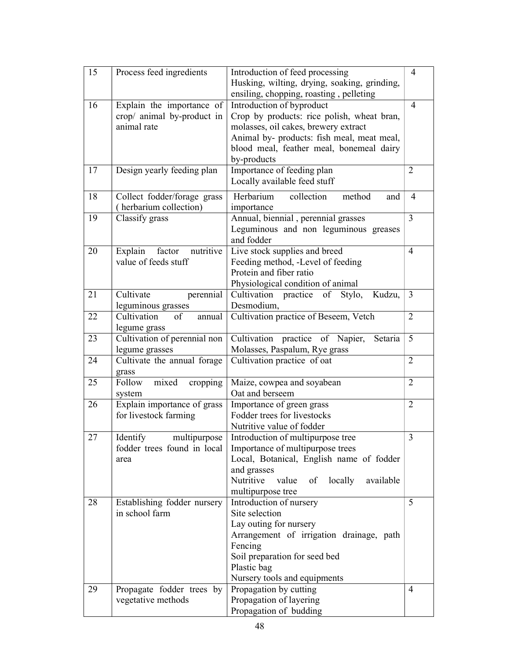| 15 | Process feed ingredients       | Introduction of feed processing                  | 4              |
|----|--------------------------------|--------------------------------------------------|----------------|
|    |                                | Husking, wilting, drying, soaking, grinding,     |                |
|    |                                | ensiling, chopping, roasting, pelleting          |                |
| 16 | Explain the importance of      | Introduction of byproduct                        | $\overline{4}$ |
|    | crop/ animal by-product in     | Crop by products: rice polish, wheat bran,       |                |
|    | animal rate                    | molasses, oil cakes, brewery extract             |                |
|    |                                | Animal by- products: fish meal, meat meal,       |                |
|    |                                | blood meal, feather meal, bonemeal dairy         |                |
|    |                                | by-products                                      |                |
| 17 | Design yearly feeding plan     | Importance of feeding plan                       | $\overline{2}$ |
|    |                                | Locally available feed stuff                     |                |
|    |                                |                                                  |                |
| 18 | Collect fodder/forage grass    | collection<br>Herbarium<br>method<br>and         | 4              |
|    | (herbarium collection)         | importance                                       |                |
| 19 | Classify grass                 | Annual, biennial, perennial grasses              | 3              |
|    |                                | Leguminous and non leguminous greases            |                |
|    |                                | and fodder                                       |                |
| 20 | factor<br>nutritive<br>Explain | Live stock supplies and breed                    | $\overline{4}$ |
|    | value of feeds stuff           | Feeding method, -Level of feeding                |                |
|    |                                | Protein and fiber ratio                          |                |
|    |                                | Physiological condition of animal                |                |
| 21 | Cultivate<br>perennial         | Cultivation practice of<br>Stylo,<br>Kudzu,      | 3              |
|    | leguminous grasses             | Desmodium,                                       |                |
| 22 | Cultivation<br>of<br>annual    | Cultivation practice of Beseem, Vetch            | $\overline{2}$ |
|    | legume grass                   |                                                  |                |
| 23 | Cultivation of perennial non   | Cultivation practice of Napier,<br>Setaria       | 5              |
|    | legume grasses                 | Molasses, Paspalum, Rye grass                    |                |
| 24 | Cultivate the annual forage    | Cultivation practice of oat                      | $\overline{2}$ |
|    | grass                          |                                                  |                |
| 25 | Follow<br>mixed<br>cropping    | Maize, cowpea and soyabean                       | $\overline{2}$ |
|    | system                         | Oat and berseem                                  |                |
| 26 | Explain importance of grass    | Importance of green grass                        | $\overline{2}$ |
|    | for livestock farming          | Fodder trees for livestocks                      |                |
|    |                                | Nutritive value of fodder                        |                |
| 27 | Identify<br>multipurpose       | Introduction of multipurpose tree                | $\mathfrak{Z}$ |
|    | fodder trees found in local    | Importance of multipurpose trees                 |                |
|    | area                           | Local, Botanical, English name of fodder         |                |
|    |                                | and grasses                                      |                |
|    |                                | Nutritive<br>value<br>of<br>locally<br>available |                |
|    |                                | multipurpose tree                                |                |
| 28 | Establishing fodder nursery    | Introduction of nursery<br>Site selection        | 5              |
|    | in school farm                 |                                                  |                |
|    |                                | Lay outing for nursery                           |                |
|    |                                | Arrangement of irrigation drainage, path         |                |
|    |                                | Fencing                                          |                |
|    |                                | Soil preparation for seed bed                    |                |
|    |                                | Plastic bag                                      |                |
|    |                                | Nursery tools and equipments                     |                |
| 29 | Propagate fodder trees by      | Propagation by cutting                           | $\overline{4}$ |
|    | vegetative methods             | Propagation of layering                          |                |
|    |                                | Propagation of budding                           |                |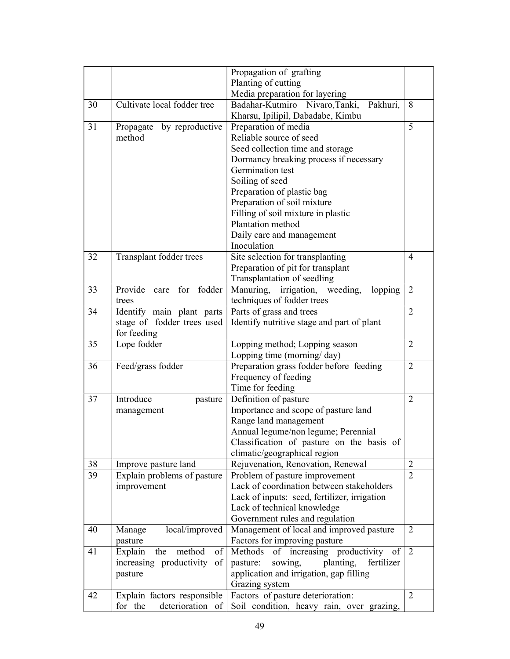|    |                                | Propagation of grafting                                         |                |
|----|--------------------------------|-----------------------------------------------------------------|----------------|
|    |                                | Planting of cutting                                             |                |
|    |                                | Media preparation for layering                                  |                |
| 30 | Cultivate local fodder tree    | Badahar-Kutmiro Nivaro, Tanki,<br>Pakhuri,                      | 8              |
|    |                                | Kharsu, Ipilipil, Dabadabe, Kimbu                               |                |
| 31 | Propagate<br>by reproductive   | Preparation of media                                            | 5              |
|    | method                         | Reliable source of seed                                         |                |
|    |                                | Seed collection time and storage                                |                |
|    |                                | Dormancy breaking process if necessary                          |                |
|    |                                | Germination test                                                |                |
|    |                                | Soiling of seed                                                 |                |
|    |                                | Preparation of plastic bag                                      |                |
|    |                                | Preparation of soil mixture                                     |                |
|    |                                | Filling of soil mixture in plastic                              |                |
|    |                                | Plantation method                                               |                |
|    |                                | Daily care and management                                       |                |
|    |                                | Inoculation                                                     |                |
| 32 | Transplant fodder trees        | Site selection for transplanting                                | $\overline{4}$ |
|    |                                | Preparation of pit for transplant                               |                |
|    |                                | Transplantation of seedling                                     |                |
| 33 | Provide care<br>for fodder     | weeding,<br>Manuring, irrigation,<br>lopping                    | $\overline{2}$ |
|    | trees                          | techniques of fodder trees                                      |                |
| 34 | Identify main plant parts      | Parts of grass and trees                                        | $\overline{2}$ |
|    | stage of fodder trees used     | Identify nutritive stage and part of plant                      |                |
|    | for feeding                    |                                                                 |                |
| 35 | Lope fodder                    | Lopping method; Lopping season                                  | $\overline{2}$ |
|    |                                | Lopping time (morning/day)                                      | $\overline{2}$ |
| 36 | Feed/grass fodder              | Preparation grass fodder before feeding<br>Frequency of feeding |                |
|    |                                | Time for feeding                                                |                |
| 37 | Introduce                      | Definition of pasture                                           | $\overline{2}$ |
|    | pasture                        | Importance and scope of pasture land                            |                |
|    | management                     | Range land management                                           |                |
|    |                                | Annual legume/non legume; Perennial                             |                |
|    |                                | Classification of pasture on the basis of                       |                |
|    |                                | climatic/geographical region                                    |                |
| 38 | Improve pasture land           | Rejuvenation, Renovation, Renewal                               | $\overline{2}$ |
| 39 | Explain problems of pasture    | Problem of pasture improvement                                  | $\overline{2}$ |
|    | improvement                    | Lack of coordination between stakeholders                       |                |
|    |                                | Lack of inputs: seed, fertilizer, irrigation                    |                |
|    |                                | Lack of technical knowledge                                     |                |
|    |                                | Government rules and regulation                                 |                |
| 40 | local/improved<br>Manage       | Management of local and improved pasture                        | $\overline{2}$ |
|    | pasture                        | Factors for improving pasture                                   |                |
| 41 | method<br>Explain<br>the<br>of | of increasing productivity of<br>Methods                        | $\overline{2}$ |
|    | increasing productivity of     | pasture:<br>sowing,<br>planting,<br>fertilizer                  |                |
|    | pasture                        | application and irrigation, gap filling                         |                |
|    |                                | Grazing system                                                  |                |
| 42 | Explain factors responsible    | Factors of pasture deterioration:                               | $\overline{2}$ |
|    | for the<br>deterioration of    | Soil condition, heavy rain, over grazing,                       |                |
|    |                                |                                                                 |                |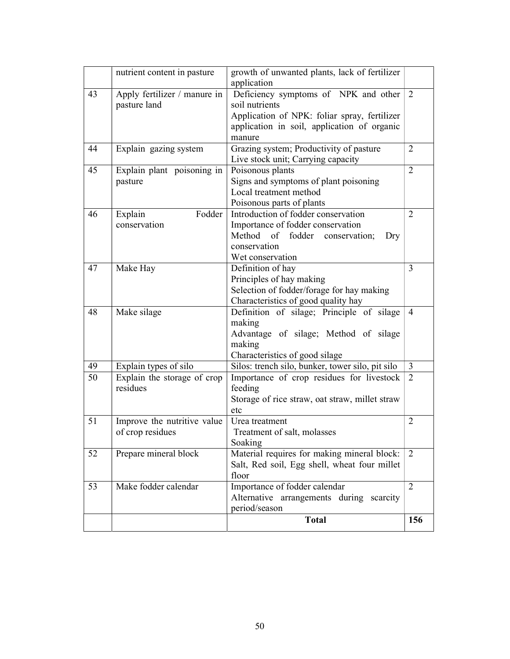|    |                                                 | growth of unwanted plants, lack of fertilizer    |                |
|----|-------------------------------------------------|--------------------------------------------------|----------------|
|    | nutrient content in pasture                     | application                                      |                |
| 43 | Apply fertilizer / manure in                    | Deficiency symptoms of NPK and other             | 2              |
|    | pasture land                                    | soil nutrients                                   |                |
|    |                                                 | Application of NPK: foliar spray, fertilizer     |                |
|    |                                                 | application in soil, application of organic      |                |
|    |                                                 | manure                                           |                |
| 44 | Explain gazing system                           | Grazing system; Productivity of pasture          | $\overline{2}$ |
|    |                                                 | Live stock unit; Carrying capacity               |                |
| 45 | Explain plant poisoning in                      | Poisonous plants                                 | $\overline{2}$ |
|    | pasture                                         | Signs and symptoms of plant poisoning            |                |
|    |                                                 | Local treatment method                           |                |
|    |                                                 | Poisonous parts of plants                        |                |
| 46 | Fodder<br>Explain                               | Introduction of fodder conservation              | $\overline{2}$ |
|    | conservation                                    | Importance of fodder conservation                |                |
|    |                                                 | Method<br>fodder<br>of<br>conservation;<br>Dry   |                |
|    |                                                 | conservation                                     |                |
|    |                                                 | Wet conservation                                 |                |
| 47 | Make Hay                                        | Definition of hay                                | 3              |
|    |                                                 | Principles of hay making                         |                |
|    |                                                 | Selection of fodder/forage for hay making        |                |
|    |                                                 | Characteristics of good quality hay              |                |
| 48 | Make silage                                     | Definition of silage; Principle of silage        | $\overline{4}$ |
|    |                                                 | making                                           |                |
|    |                                                 | Advantage of silage; Method of silage            |                |
|    |                                                 | making                                           |                |
|    |                                                 | Characteristics of good silage                   |                |
| 49 | Explain types of silo                           | Silos: trench silo, bunker, tower silo, pit silo | 3              |
| 50 | Explain the storage of crop                     | Importance of crop residues for livestock        | $\overline{2}$ |
|    | residues                                        | feeding                                          |                |
|    |                                                 | Storage of rice straw, oat straw, millet straw   |                |
| 51 |                                                 | etc<br>Urea treatment                            | $\overline{2}$ |
|    | Improve the nutritive value<br>of crop residues | Treatment of salt, molasses                      |                |
|    |                                                 | Soaking                                          |                |
| 52 | Prepare mineral block                           | Material requires for making mineral block:      | 2              |
|    |                                                 | Salt, Red soil, Egg shell, wheat four millet     |                |
|    |                                                 | floor                                            |                |
| 53 | Make fodder calendar                            | Importance of fodder calendar                    | $\overline{2}$ |
|    |                                                 | Alternative arrangements during scarcity         |                |
|    |                                                 | period/season                                    |                |
|    |                                                 | <b>Total</b>                                     | 156            |
|    |                                                 |                                                  |                |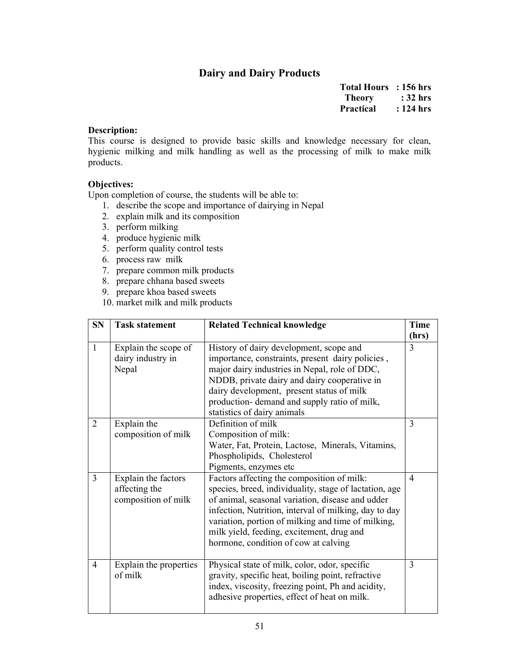# Dairy and Dairy Products

Total Hours : 156 hrs Theory : 32 hrs Practical : 124 hrs

#### Description:

This course is designed to provide basic skills and knowledge necessary for clean, hygienic milking and milk handling as well as the processing of milk to make milk products.

# Objectives:

- 1. describe the scope and importance of dairying in Nepal
- 2. explain milk and its composition
- 3. perform milking
- 4. produce hygienic milk
- 5. perform quality control tests
- 6. process raw milk
- 7. prepare common milk products
- 8. prepare chhana based sweets
- 9. prepare khoa based sweets
- 10. market milk and milk products

| <b>SN</b>      | <b>Task statement</b>                                       | <b>Related Technical knowledge</b>                                                                                                                                                                                                                                                                                                                           | <b>Time</b><br>(hrs) |
|----------------|-------------------------------------------------------------|--------------------------------------------------------------------------------------------------------------------------------------------------------------------------------------------------------------------------------------------------------------------------------------------------------------------------------------------------------------|----------------------|
| $\mathbf{1}$   | Explain the scope of<br>dairy industry in<br>Nepal          | History of dairy development, scope and<br>importance, constraints, present dairy policies,<br>major dairy industries in Nepal, role of DDC,<br>NDDB, private dairy and dairy cooperative in<br>dairy development, present status of milk<br>production- demand and supply ratio of milk,<br>statistics of dairy animals                                     | 3                    |
| $\overline{2}$ | Explain the<br>composition of milk                          | Definition of milk<br>Composition of milk:<br>Water, Fat, Protein, Lactose, Minerals, Vitamins,<br>Phospholipids, Cholesterol<br>Pigments, enzymes etc                                                                                                                                                                                                       | $\overline{3}$       |
| $\overline{3}$ | Explain the factors<br>affecting the<br>composition of milk | Factors affecting the composition of milk:<br>species, breed, individuality, stage of lactation, age<br>of animal, seasonal variation, disease and udder<br>infection, Nutrition, interval of milking, day to day<br>variation, portion of milking and time of milking,<br>milk yield, feeding, excitement, drug and<br>hormone, condition of cow at calving | $\overline{4}$       |
| $\overline{4}$ | Explain the properties<br>of milk                           | Physical state of milk, color, odor, specific<br>gravity, specific heat, boiling point, refractive<br>index, viscosity, freezing point, Ph and acidity,<br>adhesive properties, effect of heat on milk.                                                                                                                                                      | 3                    |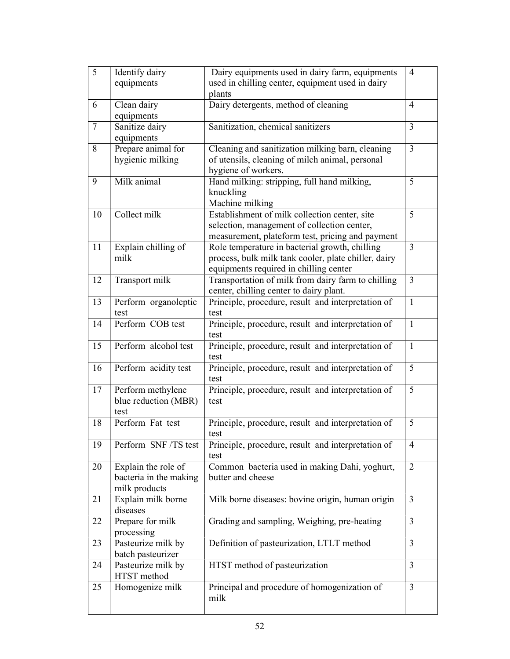| 5      | Identify dairy               | Dairy equipments used in dairy farm, equipments                  | $\overline{4}$ |
|--------|------------------------------|------------------------------------------------------------------|----------------|
|        | equipments                   | used in chilling center, equipment used in dairy                 |                |
|        |                              | plants                                                           |                |
| 6      | Clean dairy                  | Dairy detergents, method of cleaning                             | 4              |
|        | equipments                   |                                                                  |                |
| $\tau$ | Sanitize dairy               | Sanitization, chemical sanitizers                                | 3              |
|        | equipments                   |                                                                  |                |
| 8      | Prepare animal for           | Cleaning and sanitization milking barn, cleaning                 | $\overline{3}$ |
|        | hygienic milking             | of utensils, cleaning of milch animal, personal                  |                |
|        |                              | hygiene of workers.                                              |                |
| 9      | Milk animal                  | Hand milking: stripping, full hand milking,                      | 5              |
|        |                              | knuckling                                                        |                |
| 10     | Collect milk                 | Machine milking<br>Establishment of milk collection center, site | 5              |
|        |                              | selection, management of collection center,                      |                |
|        |                              | measurement, plateform test, pricing and payment                 |                |
| 11     | Explain chilling of          | Role temperature in bacterial growth, chilling                   | $\mathfrak{Z}$ |
|        | milk                         | process, bulk milk tank cooler, plate chiller, dairy             |                |
|        |                              | equipments required in chilling center                           |                |
| 12     | Transport milk               | Transportation of milk from dairy farm to chilling               | 3              |
|        |                              | center, chilling center to dairy plant.                          |                |
| 13     | Perform organoleptic         | Principle, procedure, result and interpretation of               | $\mathbf{1}$   |
|        | test                         | test                                                             |                |
| 14     | Perform COB test             | Principle, procedure, result and interpretation of               | $\mathbf{1}$   |
|        |                              | test                                                             |                |
| 15     | Perform alcohol test         | Principle, procedure, result and interpretation of               | $\mathbf{1}$   |
|        |                              | test                                                             |                |
| 16     | Perform acidity test         | Principle, procedure, result and interpretation of               | 5              |
|        |                              | test                                                             |                |
| 17     | Perform methylene            | Principle, procedure, result and interpretation of               | 5              |
|        | blue reduction (MBR)         | test                                                             |                |
|        | test                         |                                                                  |                |
| 18     | Perform Fat test             | Principle, procedure, result and interpretation of               | 5              |
|        |                              | test                                                             |                |
| 19     | Perform SNF/TS test          | Principle, procedure, result and interpretation of               | 4              |
|        |                              | test                                                             |                |
| 20     | Explain the role of          | Common bacteria used in making Dahi, yoghurt,                    | $\overline{2}$ |
|        | bacteria in the making       | butter and cheese                                                |                |
|        | milk products                |                                                                  |                |
| 21     | Explain milk borne           | Milk borne diseases: bovine origin, human origin                 | $\overline{3}$ |
|        | diseases<br>Prepare for milk | Grading and sampling, Weighing, pre-heating                      | $\overline{3}$ |
| 22     | processing                   |                                                                  |                |
| 23     | Pasteurize milk by           | Definition of pasteurization, LTLT method                        | 3              |
|        | batch pasteurizer            |                                                                  |                |
| 24     | Pasteurize milk by           | HTST method of pasteurization                                    | 3              |
|        | HTST method                  |                                                                  |                |
| 25     | Homogenize milk              | Principal and procedure of homogenization of                     | 3              |
|        |                              | milk                                                             |                |
|        |                              |                                                                  |                |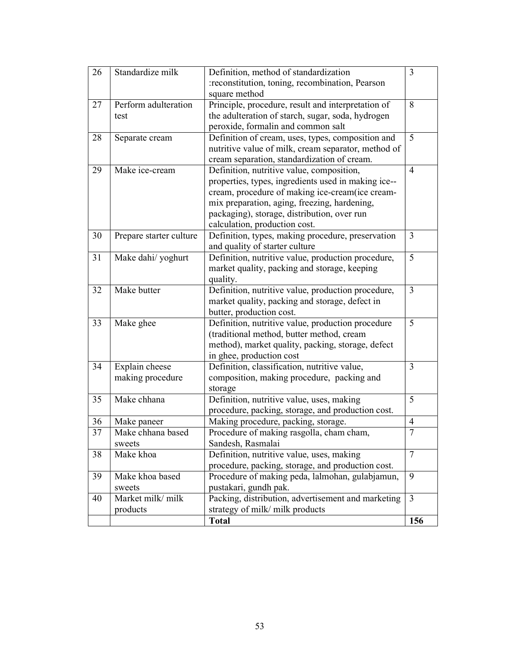| 26 | Standardize milk        | Definition, method of standardization               | 3              |
|----|-------------------------|-----------------------------------------------------|----------------|
|    |                         | :reconstitution, toning, recombination, Pearson     |                |
|    |                         | square method                                       |                |
| 27 | Perform adulteration    | Principle, procedure, result and interpretation of  | 8              |
|    | test                    | the adulteration of starch, sugar, soda, hydrogen   |                |
|    |                         | peroxide, formalin and common salt                  |                |
| 28 | Separate cream          | Definition of cream, uses, types, composition and   | 5              |
|    |                         | nutritive value of milk, cream separator, method of |                |
|    |                         | cream separation, standardization of cream.         |                |
| 29 | Make ice-cream          | Definition, nutritive value, composition,           | $\overline{4}$ |
|    |                         | properties, types, ingredients used in making ice-- |                |
|    |                         | cream, procedure of making ice-cream(ice cream-     |                |
|    |                         | mix preparation, aging, freezing, hardening,        |                |
|    |                         | packaging), storage, distribution, over run         |                |
|    |                         | calculation, production cost.                       |                |
| 30 | Prepare starter culture | Definition, types, making procedure, preservation   | 3              |
|    |                         | and quality of starter culture                      |                |
| 31 | Make dahi/ yoghurt      | Definition, nutritive value, production procedure,  | 5              |
|    |                         | market quality, packing and storage, keeping        |                |
|    |                         | quality.                                            |                |
| 32 | Make butter             | Definition, nutritive value, production procedure,  | 3              |
|    |                         | market quality, packing and storage, defect in      |                |
|    |                         | butter, production cost.                            |                |
| 33 | Make ghee               | Definition, nutritive value, production procedure   | 5              |
|    |                         | (traditional method, butter method, cream           |                |
|    |                         | method), market quality, packing, storage, defect   |                |
|    |                         | in ghee, production cost                            |                |
| 34 | Explain cheese          | Definition, classification, nutritive value,        | 3              |
|    | making procedure        | composition, making procedure, packing and          |                |
|    |                         | storage                                             |                |
| 35 | Make chhana             | Definition, nutritive value, uses, making           | 5              |
|    |                         | procedure, packing, storage, and production cost.   |                |
| 36 | Make paneer             | Making procedure, packing, storage.                 | 4              |
| 37 | Make chhana based       | Procedure of making rasgolla, cham cham,            | $\overline{7}$ |
|    | sweets                  | Sandesh, Rasmalai                                   |                |
| 38 | Make khoa               | Definition, nutritive value, uses, making           | $\overline{7}$ |
|    |                         | procedure, packing, storage, and production cost.   |                |
| 39 | Make khoa based         | Procedure of making peda, lalmohan, gulabjamun,     | 9              |
|    | sweets                  | pustakari, gundh pak.                               |                |
| 40 | Market milk/ milk       | Packing, distribution, advertisement and marketing  | $\overline{3}$ |
|    |                         | strategy of milk/ milk products                     |                |
|    | products                |                                                     |                |
|    |                         | <b>Total</b>                                        | 156            |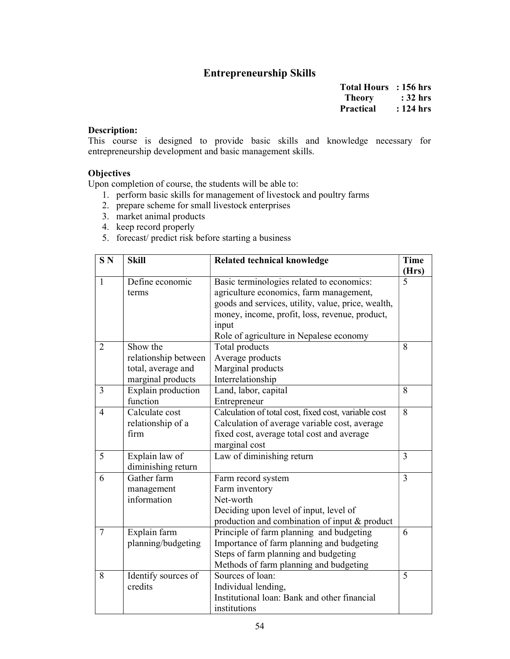# Entrepreneurship Skills

Total Hours : 156 hrs Theory : 32 hrs Practical : 124 hrs

# Description:

This course is designed to provide basic skills and knowledge necessary for entrepreneurship development and basic management skills.

#### **Objectives**

- 1. perform basic skills for management of livestock and poultry farms
- 2. prepare scheme for small livestock enterprises
- 3. market animal products
- 4. keep record properly
- 5. forecast/ predict risk before starting a business

| S <sub>N</sub> | <b>Skill</b>         | <b>Related technical knowledge</b>                   |                |
|----------------|----------------------|------------------------------------------------------|----------------|
| $\mathbf{1}$   | Define economic      | Basic terminologies related to economics:            | (Hrs)<br>5     |
|                | terms                | agriculture economics, farm management,              |                |
|                |                      | goods and services, utility, value, price, wealth,   |                |
|                |                      | money, income, profit, loss, revenue, product,       |                |
|                |                      | input                                                |                |
|                |                      | Role of agriculture in Nepalese economy              |                |
| $\overline{2}$ | Show the             | Total products                                       | 8              |
|                | relationship between | Average products                                     |                |
|                | total, average and   | Marginal products                                    |                |
|                | marginal products    | Interrelationship                                    |                |
| $\overline{3}$ | Explain production   | Land, labor, capital                                 | 8              |
|                | function             | Entrepreneur                                         |                |
| $\overline{4}$ | Calculate cost       | Calculation of total cost, fixed cost, variable cost | 8              |
|                | relationship of a    | Calculation of average variable cost, average        |                |
|                | firm                 | fixed cost, average total cost and average           |                |
|                |                      | marginal cost                                        |                |
| 5              | Explain law of       | Law of diminishing return                            | 3              |
|                | diminishing return   |                                                      |                |
| 6              | Gather farm          | Farm record system                                   | $\overline{3}$ |
|                | management           | Farm inventory                                       |                |
|                | information          | Net-worth                                            |                |
|                |                      | Deciding upon level of input, level of               |                |
|                |                      | production and combination of input & product        |                |
| $\overline{7}$ | Explain farm         | Principle of farm planning and budgeting             | 6              |
|                | planning/budgeting   | Importance of farm planning and budgeting            |                |
|                |                      | Steps of farm planning and budgeting                 |                |
|                |                      | Methods of farm planning and budgeting               |                |
| 8              | Identify sources of  | Sources of loan:                                     | 5              |
|                | credits              | Individual lending,                                  |                |
|                |                      | Institutional loan: Bank and other financial         |                |
|                |                      | institutions                                         |                |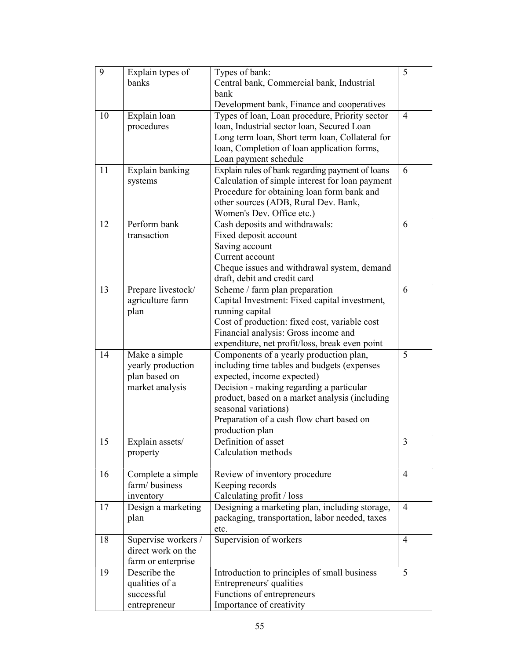| 9  | Explain types of    | Types of bank:                                   | 5              |
|----|---------------------|--------------------------------------------------|----------------|
|    | banks               | Central bank, Commercial bank, Industrial        |                |
|    |                     | bank                                             |                |
|    |                     | Development bank, Finance and cooperatives       |                |
| 10 | Explain loan        | Types of loan, Loan procedure, Priority sector   | $\overline{4}$ |
|    | procedures          | loan, Industrial sector loan, Secured Loan       |                |
|    |                     | Long term loan, Short term loan, Collateral for  |                |
|    |                     | loan, Completion of loan application forms,      |                |
|    |                     | Loan payment schedule                            |                |
| 11 | Explain banking     | Explain rules of bank regarding payment of loans | 6              |
|    | systems             | Calculation of simple interest for loan payment  |                |
|    |                     | Procedure for obtaining loan form bank and       |                |
|    |                     | other sources (ADB, Rural Dev. Bank,             |                |
|    |                     | Women's Dev. Office etc.)                        |                |
| 12 | Perform bank        | Cash deposits and withdrawals:                   | 6              |
|    | transaction         | Fixed deposit account                            |                |
|    |                     | Saving account                                   |                |
|    |                     | Current account                                  |                |
|    |                     | Cheque issues and withdrawal system, demand      |                |
|    |                     | draft, debit and credit card                     |                |
| 13 | Prepare livestock/  | Scheme / farm plan preparation                   | 6              |
|    | agriculture farm    | Capital Investment: Fixed capital investment,    |                |
|    | plan                | running capital                                  |                |
|    |                     | Cost of production: fixed cost, variable cost    |                |
|    |                     | Financial analysis: Gross income and             |                |
|    |                     | expenditure, net profit/loss, break even point   |                |
| 14 | Make a simple       | Components of a yearly production plan,          | 5              |
|    | yearly production   | including time tables and budgets (expenses      |                |
|    | plan based on       | expected, income expected)                       |                |
|    | market analysis     | Decision - making regarding a particular         |                |
|    |                     | product, based on a market analysis (including   |                |
|    |                     | seasonal variations)                             |                |
|    |                     | Preparation of a cash flow chart based on        |                |
|    |                     | production plan                                  |                |
| 15 | Explain assets/     | Definition of asset                              | 3              |
|    | property            | Calculation methods                              |                |
|    |                     |                                                  |                |
| 16 | Complete a simple   | Review of inventory procedure                    | $\overline{4}$ |
|    | farm/business       | Keeping records                                  |                |
|    | inventory           | Calculating profit / loss                        |                |
| 17 | Design a marketing  | Designing a marketing plan, including storage,   | $\overline{4}$ |
|    | plan                | packaging, transportation, labor needed, taxes   |                |
|    |                     | etc.                                             |                |
| 18 | Supervise workers / | Supervision of workers                           | 4              |
|    | direct work on the  |                                                  |                |
|    | farm or enterprise  |                                                  |                |
| 19 | Describe the        | Introduction to principles of small business     | 5              |
|    | qualities of a      | Entrepreneurs' qualities                         |                |
|    | successful          | Functions of entrepreneurs                       |                |
|    | entrepreneur        | Importance of creativity                         |                |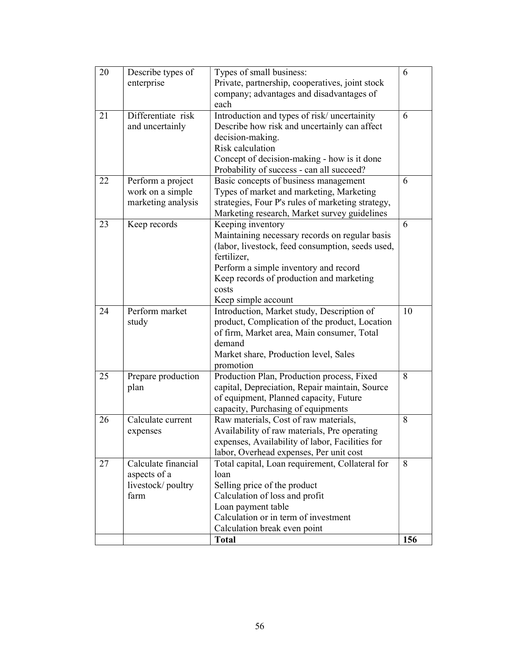| 20 | Describe types of   | Types of small business:                          | 6   |
|----|---------------------|---------------------------------------------------|-----|
|    | enterprise          | Private, partnership, cooperatives, joint stock   |     |
|    |                     | company; advantages and disadvantages of          |     |
|    |                     | each                                              |     |
| 21 | Differentiate risk  | Introduction and types of risk/ uncertainity      | 6   |
|    | and uncertainly     | Describe how risk and uncertainly can affect      |     |
|    |                     | decision-making.                                  |     |
|    |                     | Risk calculation                                  |     |
|    |                     | Concept of decision-making - how is it done       |     |
|    |                     | Probability of success - can all succeed?         |     |
| 22 | Perform a project   | Basic concepts of business management             | 6   |
|    | work on a simple    | Types of market and marketing, Marketing          |     |
|    |                     |                                                   |     |
|    | marketing analysis  | strategies, Four P's rules of marketing strategy, |     |
|    |                     | Marketing research, Market survey guidelines      |     |
| 23 | Keep records        | Keeping inventory                                 | 6   |
|    |                     | Maintaining necessary records on regular basis    |     |
|    |                     | (labor, livestock, feed consumption, seeds used,  |     |
|    |                     | fertilizer,                                       |     |
|    |                     | Perform a simple inventory and record             |     |
|    |                     | Keep records of production and marketing          |     |
|    |                     | costs                                             |     |
|    |                     | Keep simple account                               |     |
| 24 | Perform market      | Introduction, Market study, Description of        | 10  |
|    | study               | product, Complication of the product, Location    |     |
|    |                     | of firm, Market area, Main consumer, Total        |     |
|    |                     | demand                                            |     |
|    |                     | Market share, Production level, Sales             |     |
|    |                     | promotion                                         |     |
| 25 | Prepare production  | Production Plan, Production process, Fixed        | 8   |
|    | plan                | capital, Depreciation, Repair maintain, Source    |     |
|    |                     | of equipment, Planned capacity, Future            |     |
|    |                     | capacity, Purchasing of equipments                |     |
| 26 | Calculate current   | Raw materials, Cost of raw materials,             | 8   |
|    | expenses            | Availability of raw materials, Pre operating      |     |
|    |                     | expenses, Availability of labor, Facilities for   |     |
|    |                     | labor, Overhead expenses, Per unit cost           |     |
| 27 | Calculate financial | Total capital, Loan requirement, Collateral for   | 8   |
|    | aspects of a        | loan                                              |     |
|    | livestock/poultry   | Selling price of the product                      |     |
|    | farm                | Calculation of loss and profit                    |     |
|    |                     | Loan payment table                                |     |
|    |                     | Calculation or in term of investment              |     |
|    |                     | Calculation break even point                      |     |
|    |                     | <b>Total</b>                                      | 156 |
|    |                     |                                                   |     |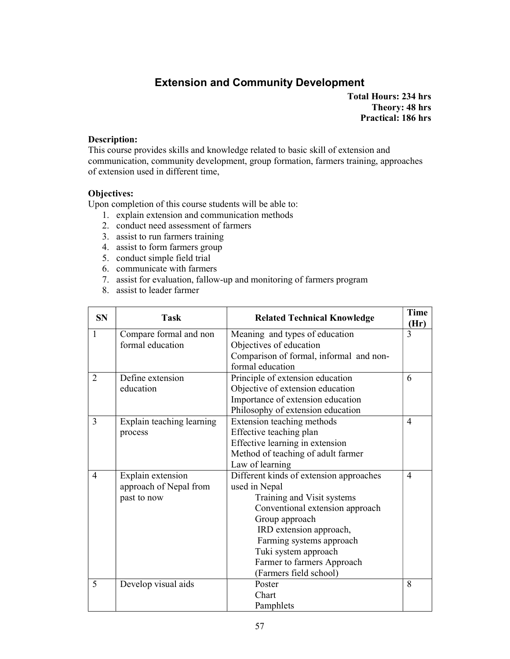# Extension and Community Development

Total Hours: 234 hrs Theory: 48 hrs Practical: 186 hrs

#### Description:

This course provides skills and knowledge related to basic skill of extension and communication, community development, group formation, farmers training, approaches of extension used in different time,

# Objectives:

- 1. explain extension and communication methods
- 2. conduct need assessment of farmers
- 3. assist to run farmers training
- 4. assist to form farmers group
- 5. conduct simple field trial
- 6. communicate with farmers
- 7. assist for evaluation, fallow-up and monitoring of farmers program
- 8. assist to leader farmer

| <b>SN</b>      | Task                      | <b>Related Technical Knowledge</b>      | <b>Time</b><br>(Hr) |
|----------------|---------------------------|-----------------------------------------|---------------------|
| $\mathbf{1}$   | Compare formal and non    | Meaning and types of education          | 3                   |
|                | formal education          | Objectives of education                 |                     |
|                |                           | Comparison of formal, informal and non- |                     |
|                |                           | formal education                        |                     |
| $\overline{2}$ | Define extension          | Principle of extension education        | 6                   |
|                | education                 | Objective of extension education        |                     |
|                |                           | Importance of extension education       |                     |
|                |                           | Philosophy of extension education       |                     |
| $\overline{3}$ | Explain teaching learning | Extension teaching methods              | $\overline{4}$      |
|                | process                   | Effective teaching plan                 |                     |
|                |                           | Effective learning in extension         |                     |
|                |                           | Method of teaching of adult farmer      |                     |
|                |                           | Law of learning                         |                     |
| $\overline{4}$ | Explain extension         | Different kinds of extension approaches | $\overline{4}$      |
|                | approach of Nepal from    | used in Nepal                           |                     |
|                | past to now               | Training and Visit systems              |                     |
|                |                           | Conventional extension approach         |                     |
|                |                           | Group approach                          |                     |
|                |                           | IRD extension approach,                 |                     |
|                |                           | Farming systems approach                |                     |
|                |                           | Tuki system approach                    |                     |
|                |                           | Farmer to farmers Approach              |                     |
|                |                           | (Farmers field school)                  |                     |
| 5              | Develop visual aids       | Poster                                  | 8                   |
|                |                           | Chart                                   |                     |
|                |                           | Pamphlets                               |                     |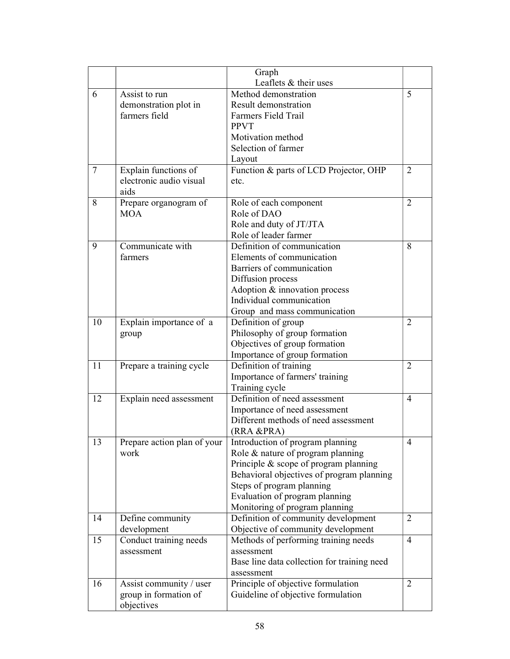|    |                             | Graph                                                          |                |
|----|-----------------------------|----------------------------------------------------------------|----------------|
|    |                             | Leaflets & their uses                                          |                |
| 6  | Assist to run               | Method demonstration                                           | 5              |
|    | demonstration plot in       | Result demonstration                                           |                |
|    | farmers field               | Farmers Field Trail                                            |                |
|    |                             | <b>PPVT</b>                                                    |                |
|    |                             | Motivation method                                              |                |
|    |                             | Selection of farmer                                            |                |
|    |                             | Layout                                                         |                |
| 7  | Explain functions of        | Function & parts of LCD Projector, OHP                         | 2              |
|    | electronic audio visual     | etc.                                                           |                |
|    | aids                        |                                                                |                |
| 8  | Prepare organogram of       | Role of each component                                         | 2              |
|    | <b>MOA</b>                  | Role of DAO                                                    |                |
|    |                             | Role and duty of JT/JTA                                        |                |
|    |                             | Role of leader farmer                                          |                |
| 9  | Communicate with            | Definition of communication                                    | 8              |
|    | farmers                     | Elements of communication                                      |                |
|    |                             | Barriers of communication                                      |                |
|    |                             | Diffusion process                                              |                |
|    |                             | Adoption & innovation process<br>Individual communication      |                |
|    |                             |                                                                |                |
| 10 |                             | Group and mass communication                                   | 2              |
|    | Explain importance of a     | Definition of group                                            |                |
|    | group                       | Philosophy of group formation<br>Objectives of group formation |                |
|    |                             | Importance of group formation                                  |                |
| 11 | Prepare a training cycle    | Definition of training                                         | 2              |
|    |                             | Importance of farmers' training                                |                |
|    |                             | Training cycle                                                 |                |
| 12 | Explain need assessment     | Definition of need assessment                                  | $\overline{4}$ |
|    |                             | Importance of need assessment                                  |                |
|    |                             | Different methods of need assessment                           |                |
|    |                             | (RRA &PRA)                                                     |                |
| 13 | Prepare action plan of your | Introduction of program planning                               | $\overline{4}$ |
|    | work                        | Role & nature of program planning                              |                |
|    |                             | Principle & scope of program planning                          |                |
|    |                             | Behavioral objectives of program planning                      |                |
|    |                             | Steps of program planning                                      |                |
|    |                             | Evaluation of program planning                                 |                |
|    |                             | Monitoring of program planning                                 |                |
| 14 | Define community            | Definition of community development                            | 2              |
|    | development                 | Objective of community development                             |                |
| 15 | Conduct training needs      | Methods of performing training needs                           | $\overline{4}$ |
|    | assessment                  | assessment                                                     |                |
|    |                             | Base line data collection for training need                    |                |
|    |                             | assessment                                                     |                |
| 16 | Assist community / user     | Principle of objective formulation                             | $\overline{2}$ |
|    | group in formation of       | Guideline of objective formulation                             |                |
|    | objectives                  |                                                                |                |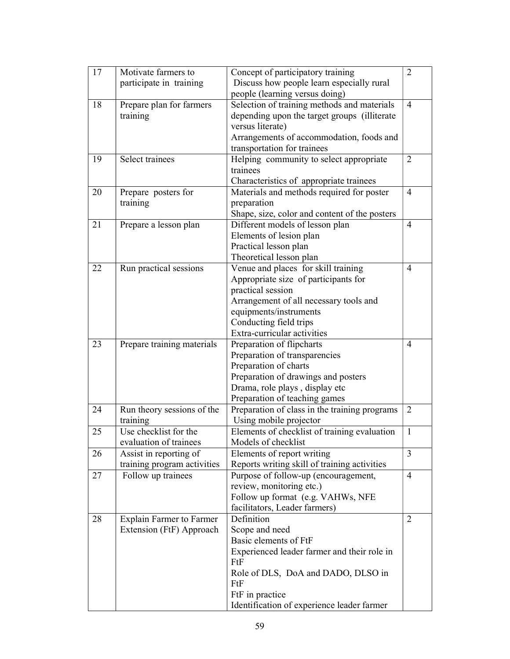| 17 | Motivate farmers to             | Concept of participatory training             | 2              |
|----|---------------------------------|-----------------------------------------------|----------------|
|    | participate in training         | Discuss how people learn especially rural     |                |
|    |                                 | people (learning versus doing)                |                |
| 18 | Prepare plan for farmers        | Selection of training methods and materials   | $\overline{4}$ |
|    | training                        | depending upon the target groups (illiterate  |                |
|    |                                 | versus literate)                              |                |
|    |                                 | Arrangements of accommodation, foods and      |                |
|    |                                 | transportation for trainees                   |                |
| 19 | Select trainees                 | Helping community to select appropriate       | $\overline{2}$ |
|    |                                 | trainees                                      |                |
|    |                                 | Characteristics of appropriate trainees       |                |
| 20 | Prepare posters for             | Materials and methods required for poster     | $\overline{4}$ |
|    | training                        | preparation                                   |                |
|    |                                 | Shape, size, color and content of the posters |                |
| 21 | Prepare a lesson plan           | Different models of lesson plan               | 4              |
|    |                                 | Elements of lesion plan                       |                |
|    |                                 | Practical lesson plan                         |                |
|    |                                 | Theoretical lesson plan                       |                |
| 22 | Run practical sessions          | Venue and places for skill training           | $\overline{4}$ |
|    |                                 | Appropriate size of participants for          |                |
|    |                                 | practical session                             |                |
|    |                                 | Arrangement of all necessary tools and        |                |
|    |                                 | equipments/instruments                        |                |
|    |                                 | Conducting field trips                        |                |
|    |                                 | Extra-curricular activities                   |                |
| 23 | Prepare training materials      | Preparation of flipcharts                     | $\overline{4}$ |
|    |                                 | Preparation of transparencies                 |                |
|    |                                 | Preparation of charts                         |                |
|    |                                 | Preparation of drawings and posters           |                |
|    |                                 | Drama, role plays, display etc                |                |
|    |                                 | Preparation of teaching games                 |                |
| 24 | Run theory sessions of the      | Preparation of class in the training programs | $\overline{2}$ |
|    | training                        | Using mobile projector                        |                |
| 25 | Use checklist for the           | Elements of checklist of training evaluation  | 1              |
|    | evaluation of trainees          | Models of checklist                           |                |
| 26 | Assist in reporting of          | Elements of report writing                    | 3              |
|    | training program activities     | Reports writing skill of training activities  |                |
| 27 | Follow up trainees              | Purpose of follow-up (encouragement,          | $\overline{4}$ |
|    |                                 | review, monitoring etc.)                      |                |
|    |                                 | Follow up format (e.g. VAHWs, NFE             |                |
|    |                                 | facilitators, Leader farmers)                 |                |
|    |                                 | Definition                                    | 2              |
| 28 | <b>Explain Farmer to Farmer</b> |                                               |                |
|    | Extension (FtF) Approach        | Scope and need<br>Basic elements of FtF       |                |
|    |                                 |                                               |                |
|    |                                 | Experienced leader farmer and their role in   |                |
|    |                                 | FtF                                           |                |
|    |                                 | Role of DLS, DoA and DADO, DLSO in            |                |
|    |                                 | FtF                                           |                |
|    |                                 | FtF in practice                               |                |
|    |                                 | Identification of experience leader farmer    |                |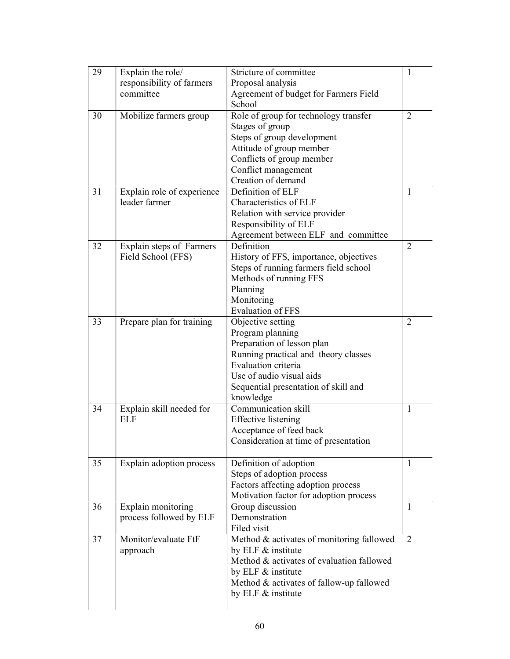| 29 | Explain the role/          | Stricture of committee                    | 1              |
|----|----------------------------|-------------------------------------------|----------------|
|    | responsibility of farmers  | Proposal analysis                         |                |
|    | committee                  | Agreement of budget for Farmers Field     |                |
|    |                            | School                                    |                |
| 30 | Mobilize farmers group     | Role of group for technology transfer     | $\overline{2}$ |
|    |                            | Stages of group                           |                |
|    |                            | Steps of group development                |                |
|    |                            | Attitude of group member                  |                |
|    |                            | Conflicts of group member                 |                |
|    |                            | Conflict management                       |                |
|    |                            | Creation of demand                        |                |
| 31 | Explain role of experience | Definition of ELF                         | 1              |
|    | leader farmer              | Characteristics of ELF                    |                |
|    |                            | Relation with service provider            |                |
|    |                            | Responsibility of ELF                     |                |
|    |                            | Agreement between ELF and committee       |                |
| 32 | Explain steps of Farmers   | Definition                                | $\overline{2}$ |
|    | Field School (FFS)         | History of FFS, importance, objectives    |                |
|    |                            | Steps of running farmers field school     |                |
|    |                            | Methods of running FFS                    |                |
|    |                            | Planning                                  |                |
|    |                            | Monitoring                                |                |
|    |                            | <b>Evaluation of FFS</b>                  |                |
| 33 | Prepare plan for training  | Objective setting                         | $\overline{2}$ |
|    |                            | Program planning                          |                |
|    |                            | Preparation of lesson plan                |                |
|    |                            | Running practical and theory classes      |                |
|    |                            | Evaluation criteria                       |                |
|    |                            | Use of audio visual aids                  |                |
|    |                            | Sequential presentation of skill and      |                |
|    |                            | knowledge                                 |                |
| 34 | Explain skill needed for   | Communication skill                       | $\mathbf{1}$   |
|    | <b>ELF</b>                 | <b>Effective</b> listening                |                |
|    |                            | Acceptance of feed back                   |                |
|    |                            | Consideration at time of presentation     |                |
|    |                            |                                           |                |
| 35 | Explain adoption process   | Definition of adoption                    | $\mathbf{1}$   |
|    |                            | Steps of adoption process                 |                |
|    |                            | Factors affecting adoption process        |                |
|    |                            | Motivation factor for adoption process    |                |
| 36 | Explain monitoring         | Group discussion                          | 1              |
|    | process followed by ELF    | Demonstration                             |                |
|    |                            | Filed visit                               |                |
| 37 | Monitor/evaluate FtF       | Method & activates of monitoring fallowed | $\overline{2}$ |
|    | approach                   | by ELF & institute                        |                |
|    |                            | Method & activates of evaluation fallowed |                |
|    |                            | by ELF & institute                        |                |
|    |                            | Method & activates of fallow-up fallowed  |                |
|    |                            | by ELF & institute                        |                |
|    |                            |                                           |                |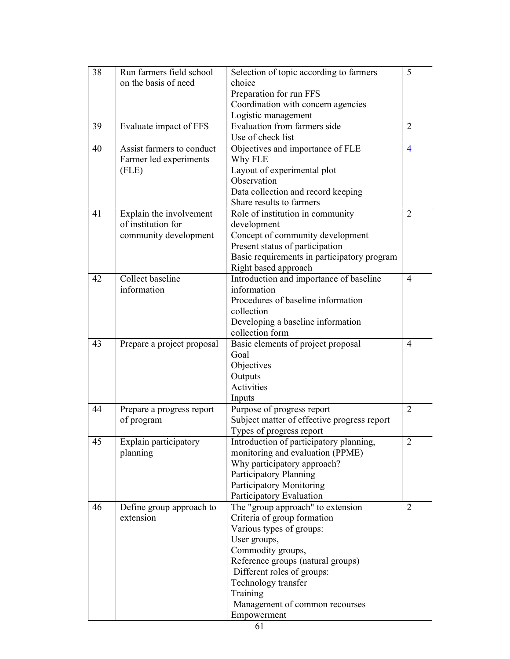| 38 | Run farmers field school   | Selection of topic according to farmers     | 5              |
|----|----------------------------|---------------------------------------------|----------------|
|    | on the basis of need       | choice                                      |                |
|    |                            | Preparation for run FFS                     |                |
|    |                            | Coordination with concern agencies          |                |
|    |                            | Logistic management                         |                |
| 39 | Evaluate impact of FFS     | Evaluation from farmers side                | $\overline{2}$ |
|    |                            | Use of check list                           |                |
| 40 | Assist farmers to conduct  | Objectives and importance of FLE            | 4              |
|    | Farmer led experiments     | Why FLE                                     |                |
|    | (FLE)                      | Layout of experimental plot                 |                |
|    |                            | Observation                                 |                |
|    |                            | Data collection and record keeping          |                |
|    |                            | Share results to farmers                    |                |
| 41 | Explain the involvement    | Role of institution in community            | $\overline{2}$ |
|    | of institution for         | development                                 |                |
|    | community development      | Concept of community development            |                |
|    |                            | Present status of participation             |                |
|    |                            | Basic requirements in participatory program |                |
|    |                            | Right based approach                        |                |
| 42 | Collect baseline           | Introduction and importance of baseline     | $\overline{4}$ |
|    | information                | information                                 |                |
|    |                            | Procedures of baseline information          |                |
|    |                            | collection                                  |                |
|    |                            | Developing a baseline information           |                |
|    |                            | collection form                             |                |
| 43 | Prepare a project proposal | Basic elements of project proposal          | $\overline{4}$ |
|    |                            | Goal                                        |                |
|    |                            | Objectives                                  |                |
|    |                            | Outputs                                     |                |
|    |                            | Activities                                  |                |
|    |                            | Inputs                                      |                |
| 44 | Prepare a progress report  | Purpose of progress report                  | $\overline{2}$ |
|    | of program                 | Subject matter of effective progress report |                |
|    |                            | Types of progress report                    |                |
| 45 | Explain participatory      | Introduction of participatory planning,     | 2              |
|    | planning                   | monitoring and evaluation (PPME)            |                |
|    |                            | Why participatory approach?                 |                |
|    |                            | Participatory Planning                      |                |
|    |                            | Participatory Monitoring                    |                |
|    |                            | Participatory Evaluation                    |                |
| 46 | Define group approach to   | The "group approach" to extension           | 2              |
|    | extension                  | Criteria of group formation                 |                |
|    |                            | Various types of groups:                    |                |
|    |                            | User groups,                                |                |
|    |                            | Commodity groups,                           |                |
|    |                            | Reference groups (natural groups)           |                |
|    |                            | Different roles of groups:                  |                |
|    |                            | Technology transfer                         |                |
|    |                            | Training                                    |                |
|    |                            | Management of common recourses              |                |
|    |                            | Empowerment                                 |                |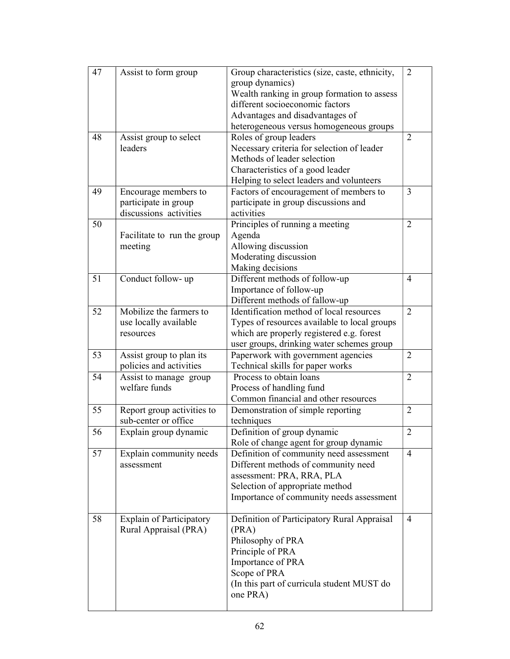| 47 | Assist to form group            | Group characteristics (size, caste, ethnicity, | $\overline{2}$ |
|----|---------------------------------|------------------------------------------------|----------------|
|    |                                 | group dynamics)                                |                |
|    |                                 | Wealth ranking in group formation to assess    |                |
|    |                                 | different socioeconomic factors                |                |
|    |                                 | Advantages and disadvantages of                |                |
|    |                                 | heterogeneous versus homogeneous groups        |                |
| 48 | Assist group to select          | Roles of group leaders                         | 2              |
|    | leaders                         | Necessary criteria for selection of leader     |                |
|    |                                 | Methods of leader selection                    |                |
|    |                                 | Characteristics of a good leader               |                |
|    |                                 | Helping to select leaders and volunteers       |                |
| 49 | Encourage members to            | Factors of encouragement of members to         | 3              |
|    | participate in group            | participate in group discussions and           |                |
|    | discussions activities          | activities                                     |                |
| 50 |                                 | Principles of running a meeting                | $\overline{2}$ |
|    | Facilitate to run the group     | Agenda                                         |                |
|    | meeting                         | Allowing discussion                            |                |
|    |                                 | Moderating discussion                          |                |
|    |                                 | Making decisions                               |                |
| 51 | Conduct follow- up              | Different methods of follow-up                 | $\overline{4}$ |
|    |                                 | Importance of follow-up                        |                |
|    |                                 | Different methods of fallow-up                 |                |
| 52 | Mobilize the farmers to         | Identification method of local resources       | $\overline{2}$ |
|    | use locally available           | Types of resources available to local groups   |                |
|    | resources                       | which are properly registered e.g. forest      |                |
|    |                                 | user groups, drinking water schemes group      |                |
| 53 | Assist group to plan its        | Paperwork with government agencies             | $\overline{2}$ |
|    | policies and activities         | Technical skills for paper works               |                |
| 54 | Assist to manage group          | Process to obtain loans                        |                |
|    | welfare funds                   | Process of handling fund                       |                |
|    |                                 | Common financial and other resources           |                |
| 55 | Report group activities to      | Demonstration of simple reporting              | $\overline{2}$ |
|    | sub-center or office            | techniques                                     |                |
| 56 | Explain group dynamic           | Definition of group dynamic                    | $\overline{2}$ |
|    |                                 | Role of change agent for group dynamic         |                |
| 57 | Explain community needs         | Definition of community need assessment        | $\overline{4}$ |
|    | assessment                      | Different methods of community need            |                |
|    |                                 | assessment: PRA, RRA, PLA                      |                |
|    |                                 | Selection of appropriate method                |                |
|    |                                 | Importance of community needs assessment       |                |
|    |                                 |                                                |                |
| 58 | <b>Explain of Participatory</b> | Definition of Participatory Rural Appraisal    | $\overline{4}$ |
|    | Rural Appraisal (PRA)           | (PRA)                                          |                |
|    |                                 | Philosophy of PRA                              |                |
|    |                                 | Principle of PRA                               |                |
|    |                                 | Importance of PRA                              |                |
|    |                                 | Scope of PRA                                   |                |
|    |                                 | (In this part of curricula student MUST do     |                |
|    |                                 | one PRA)                                       |                |
|    |                                 |                                                |                |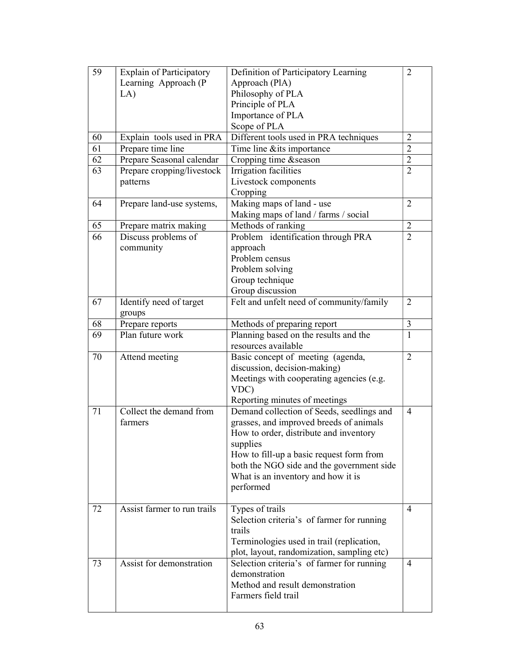| 59 | <b>Explain of Participatory</b>   | Definition of Participatory Learning       |                |
|----|-----------------------------------|--------------------------------------------|----------------|
|    | Learning Approach (P              | Approach (PlA)                             |                |
|    | LA)                               | Philosophy of PLA                          |                |
|    |                                   | Principle of PLA                           |                |
|    |                                   | Importance of PLA                          |                |
|    |                                   | Scope of PLA                               |                |
| 60 | Explain tools used in PRA         | Different tools used in PRA techniques     | $\overline{2}$ |
| 61 | Prepare time line                 | Time line & its importance                 | $\overline{2}$ |
| 62 | Prepare Seasonal calendar         | Cropping time & season                     | $\overline{2}$ |
| 63 | Prepare cropping/livestock        | Irrigation facilities                      | $\overline{2}$ |
|    | patterns                          | Livestock components                       |                |
|    |                                   | Cropping                                   |                |
| 64 | Prepare land-use systems,         | Making maps of land - use                  | $\overline{2}$ |
|    |                                   | Making maps of land / farms / social       |                |
| 65 | Prepare matrix making             | Methods of ranking                         | $\overline{2}$ |
| 66 | Discuss problems of               | Problem identification through PRA         | $\overline{2}$ |
|    | community                         | approach                                   |                |
|    |                                   | Problem census                             |                |
|    |                                   | Problem solving                            |                |
|    |                                   | Group technique                            |                |
|    |                                   | Group discussion                           |                |
| 67 | Identify need of target<br>groups | Felt and unfelt need of community/family   | $\overline{2}$ |
| 68 | Prepare reports                   | Methods of preparing report                | 3              |
| 69 | Plan future work                  | Planning based on the results and the      | 1              |
|    |                                   | resources available                        |                |
| 70 | Attend meeting                    | Basic concept of meeting (agenda,          | $\overline{2}$ |
|    |                                   | discussion, decision-making)               |                |
|    |                                   | Meetings with cooperating agencies (e.g.   |                |
|    |                                   | VDC)                                       |                |
|    |                                   | Reporting minutes of meetings              |                |
| 71 | Collect the demand from           | Demand collection of Seeds, seedlings and  | $\overline{4}$ |
|    | farmers                           | grasses, and improved breeds of animals    |                |
|    |                                   | How to order, distribute and inventory     |                |
|    |                                   | supplies                                   |                |
|    |                                   | How to fill-up a basic request form from   |                |
|    |                                   | both the NGO side and the government side  |                |
|    |                                   | What is an inventory and how it is         |                |
|    |                                   | performed                                  |                |
| 72 | Assist farmer to run trails       | Types of trails                            | $\overline{4}$ |
|    |                                   | Selection criteria's of farmer for running |                |
|    |                                   | trails                                     |                |
|    |                                   | Terminologies used in trail (replication,  |                |
|    |                                   | plot, layout, randomization, sampling etc) |                |
| 73 | Assist for demonstration          | Selection criteria's of farmer for running | $\overline{4}$ |
|    |                                   | demonstration                              |                |
|    |                                   | Method and result demonstration            |                |
|    |                                   | Farmers field trail                        |                |
|    |                                   |                                            |                |
|    |                                   |                                            |                |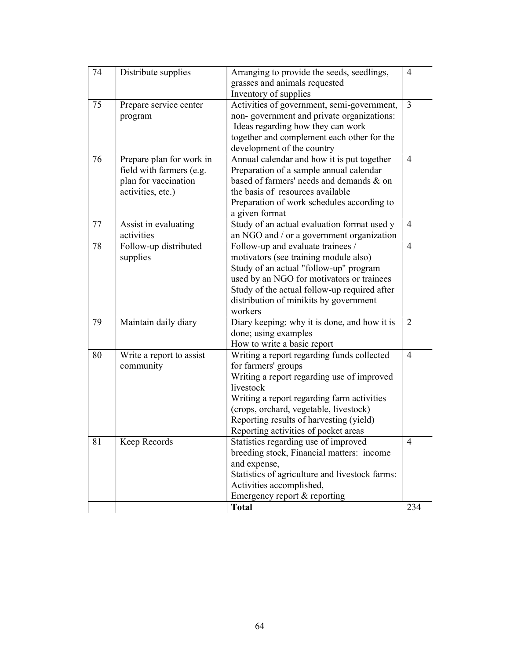| 74 | Distribute supplies                                                                               | Arranging to provide the seeds, seedlings,<br>grasses and animals requested<br>Inventory of supplies                                                                                                                                                                                                    |                |
|----|---------------------------------------------------------------------------------------------------|---------------------------------------------------------------------------------------------------------------------------------------------------------------------------------------------------------------------------------------------------------------------------------------------------------|----------------|
| 75 | Prepare service center<br>program                                                                 | Activities of government, semi-government,<br>non-government and private organizations:<br>Ideas regarding how they can work<br>together and complement each other for the<br>development of the country                                                                                                | $\overline{3}$ |
| 76 | Prepare plan for work in<br>field with farmers (e.g.<br>plan for vaccination<br>activities, etc.) | Annual calendar and how it is put together<br>Preparation of a sample annual calendar<br>based of farmers' needs and demands & on<br>the basis of resources available<br>Preparation of work schedules according to<br>a given format                                                                   | $\overline{4}$ |
| 77 | Assist in evaluating<br>activities                                                                | Study of an actual evaluation format used y<br>an NGO and / or a government organization                                                                                                                                                                                                                | $\overline{4}$ |
| 78 | Follow-up distributed<br>supplies                                                                 | Follow-up and evaluate trainees /<br>motivators (see training module also)<br>Study of an actual "follow-up" program<br>used by an NGO for motivators or trainees<br>Study of the actual follow-up required after<br>distribution of minikits by government<br>workers                                  | $\overline{4}$ |
| 79 | Maintain daily diary                                                                              | Diary keeping: why it is done, and how it is<br>done; using examples<br>How to write a basic report                                                                                                                                                                                                     | 2              |
| 80 | Write a report to assist<br>community                                                             | Writing a report regarding funds collected<br>for farmers' groups<br>Writing a report regarding use of improved<br>livestock<br>Writing a report regarding farm activities<br>(crops, orchard, vegetable, livestock)<br>Reporting results of harvesting (yield)<br>Reporting activities of pocket areas | $\overline{4}$ |
| 81 | Keep Records                                                                                      | Statistics regarding use of improved<br>breeding stock, Financial matters: income<br>and expense,<br>Statistics of agriculture and livestock farms:<br>Activities accomplished,<br>Emergency report & reporting                                                                                         | $\overline{4}$ |
|    |                                                                                                   | <b>Total</b>                                                                                                                                                                                                                                                                                            | 234            |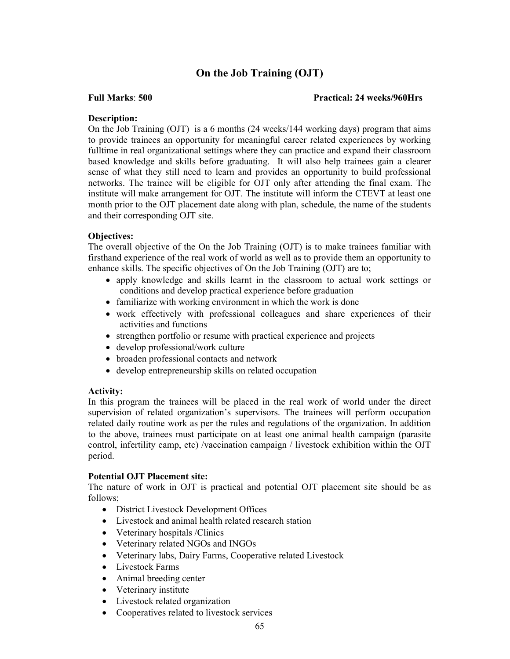# On the Job Training (OJT)

#### Full Marks: 500 Practical: 24 weeks/960Hrs

#### Description:

On the Job Training (OJT) is a 6 months (24 weeks/144 working days) program that aims to provide trainees an opportunity for meaningful career related experiences by working fulltime in real organizational settings where they can practice and expand their classroom based knowledge and skills before graduating. It will also help trainees gain a clearer sense of what they still need to learn and provides an opportunity to build professional networks. The trainee will be eligible for OJT only after attending the final exam. The institute will make arrangement for OJT. The institute will inform the CTEVT at least one month prior to the OJT placement date along with plan, schedule, the name of the students and their corresponding OJT site.

#### Objectives:

The overall objective of the On the Job Training (OJT) is to make trainees familiar with firsthand experience of the real work of world as well as to provide them an opportunity to enhance skills. The specific objectives of On the Job Training (OJT) are to;

- apply knowledge and skills learnt in the classroom to actual work settings or conditions and develop practical experience before graduation
- familiarize with working environment in which the work is done
- work effectively with professional colleagues and share experiences of their activities and functions
- strengthen portfolio or resume with practical experience and projects
- develop professional/work culture
- broaden professional contacts and network
- develop entrepreneurship skills on related occupation

#### Activity:

In this program the trainees will be placed in the real work of world under the direct supervision of related organization's supervisors. The trainees will perform occupation related daily routine work as per the rules and regulations of the organization. In addition to the above, trainees must participate on at least one animal health campaign (parasite control, infertility camp, etc) /vaccination campaign / livestock exhibition within the OJT period.

#### Potential OJT Placement site:

The nature of work in OJT is practical and potential OJT placement site should be as follows;

- District Livestock Development Offices
- Livestock and animal health related research station
- Veterinary hospitals / Clinics
- Veterinary related NGOs and INGOs
- Veterinary labs, Dairy Farms, Cooperative related Livestock
- Livestock Farms
- Animal breeding center
- Veterinary institute
- Livestock related organization
- Cooperatives related to livestock services